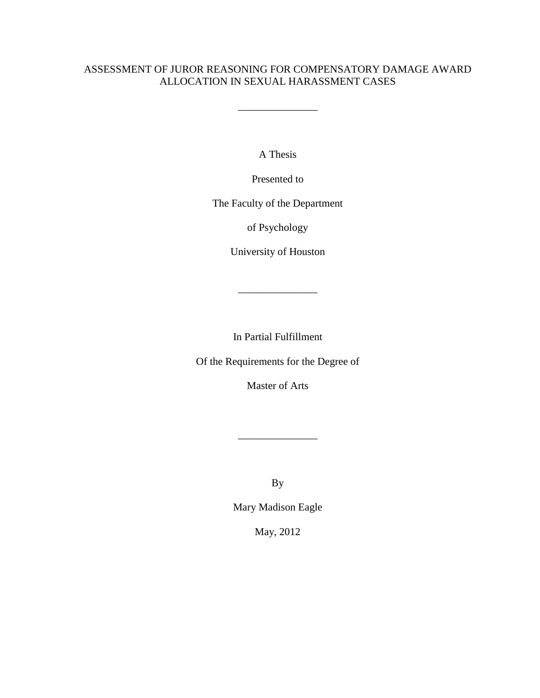\_\_\_\_\_\_\_\_\_\_\_\_\_\_\_

A Thesis

Presented to

The Faculty of the Department

of Psychology

University of Houston

\_\_\_\_\_\_\_\_\_\_\_\_\_\_\_

In Partial Fulfillment

Of the Requirements for the Degree of

Master of Arts

\_\_\_\_\_\_\_\_\_\_\_\_\_\_\_

By

Mary Madison Eagle

May, 2012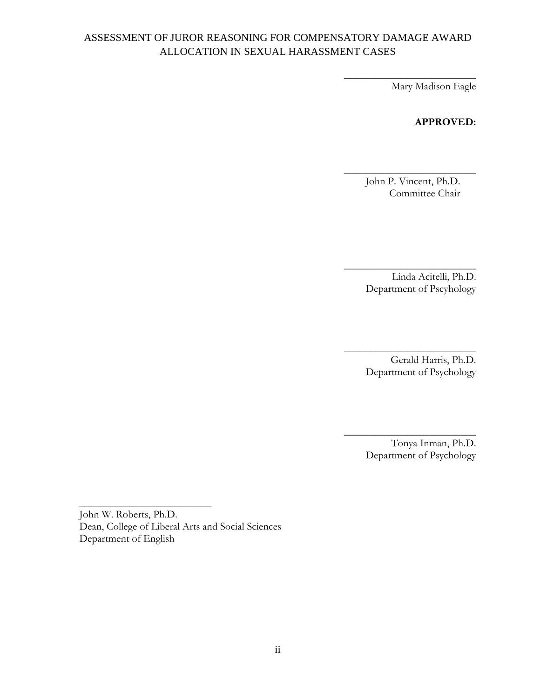\_\_\_\_\_\_\_\_\_\_\_\_\_\_\_\_\_\_\_\_\_\_\_\_\_ Mary Madison Eagle

#### **APPROVED:**

 John P. Vincent, Ph.D. Committee Chair

**\_\_\_\_\_\_\_\_\_\_\_\_\_\_\_\_\_\_\_\_\_\_\_\_\_**

Linda Acitelli, Ph.D. Department of Pscyhology

\_\_\_\_\_\_\_\_\_\_\_\_\_\_\_\_\_\_\_\_\_\_\_\_\_

Gerald Harris, Ph.D. Department of Psychology

\_\_\_\_\_\_\_\_\_\_\_\_\_\_\_\_\_\_\_\_\_\_\_\_\_

Tonya Inman, Ph.D. Department of Psychology

\_\_\_\_\_\_\_\_\_\_\_\_\_\_\_\_\_\_\_\_\_\_\_\_\_

John W. Roberts, Ph.D. Dean, College of Liberal Arts and Social Sciences Department of English

\_\_\_\_\_\_\_\_\_\_\_\_\_\_\_\_\_\_\_\_\_\_\_\_\_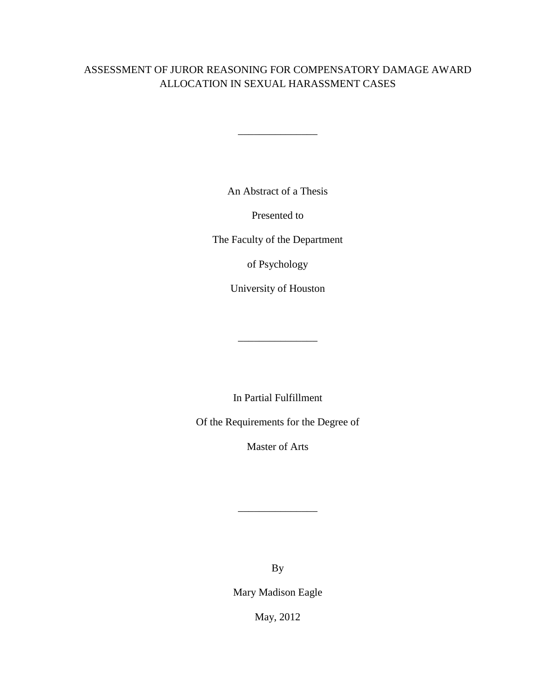$\mathcal{L}=\mathcal{L}$  , we have the set of the set of the set of the set of the set of the set of the set of the set of the set of the set of the set of the set of the set of the set of the set of the set of the set of the set o

An Abstract of a Thesis

Presented to

The Faculty of the Department

of Psychology

University of Houston

\_\_\_\_\_\_\_\_\_\_\_\_\_\_\_

In Partial Fulfillment

Of the Requirements for the Degree of

Master of Arts

By

\_\_\_\_\_\_\_\_\_\_\_\_\_\_\_

Mary Madison Eagle

May, 2012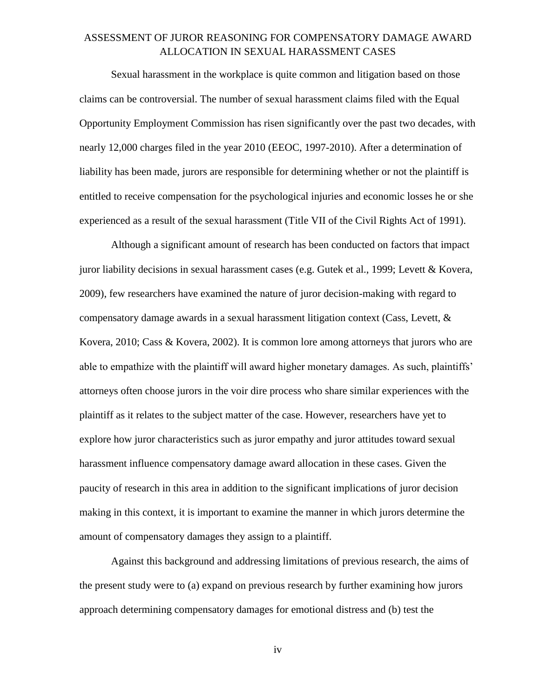Sexual harassment in the workplace is quite common and litigation based on those claims can be controversial. The number of sexual harassment claims filed with the Equal Opportunity Employment Commission has risen significantly over the past two decades, with nearly 12,000 charges filed in the year 2010 (EEOC, 1997-2010). After a determination of liability has been made, jurors are responsible for determining whether or not the plaintiff is entitled to receive compensation for the psychological injuries and economic losses he or she experienced as a result of the sexual harassment (Title VII of the Civil Rights Act of 1991).

Although a significant amount of research has been conducted on factors that impact juror liability decisions in sexual harassment cases (e.g. Gutek et al., 1999; Levett & Kovera, 2009), few researchers have examined the nature of juror decision-making with regard to compensatory damage awards in a sexual harassment litigation context (Cass, Levett,  $\&$ Kovera, 2010; Cass & Kovera, 2002). It is common lore among attorneys that jurors who are able to empathize with the plaintiff will award higher monetary damages. As such, plaintiffs' attorneys often choose jurors in the voir dire process who share similar experiences with the plaintiff as it relates to the subject matter of the case. However, researchers have yet to explore how juror characteristics such as juror empathy and juror attitudes toward sexual harassment influence compensatory damage award allocation in these cases. Given the paucity of research in this area in addition to the significant implications of juror decision making in this context, it is important to examine the manner in which jurors determine the amount of compensatory damages they assign to a plaintiff.

Against this background and addressing limitations of previous research, the aims of the present study were to (a) expand on previous research by further examining how jurors approach determining compensatory damages for emotional distress and (b) test the

iv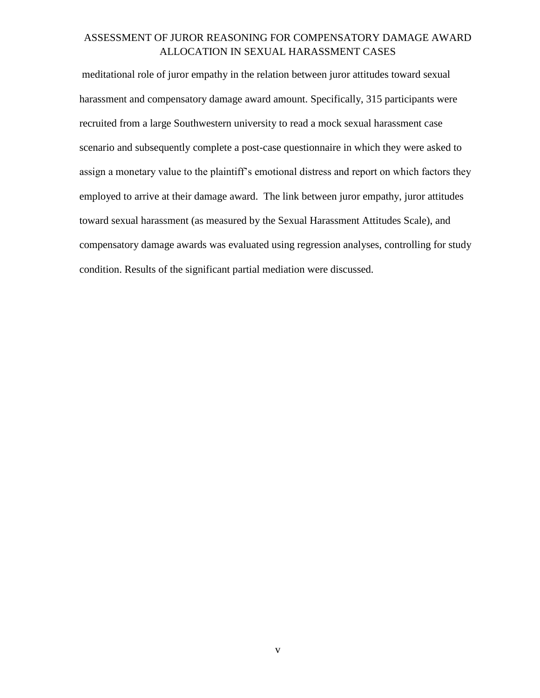meditational role of juror empathy in the relation between juror attitudes toward sexual harassment and compensatory damage award amount. Specifically, 315 participants were recruited from a large Southwestern university to read a mock sexual harassment case scenario and subsequently complete a post-case questionnaire in which they were asked to assign a monetary value to the plaintiff's emotional distress and report on which factors they employed to arrive at their damage award. The link between juror empathy, juror attitudes toward sexual harassment (as measured by the Sexual Harassment Attitudes Scale), and compensatory damage awards was evaluated using regression analyses, controlling for study condition. Results of the significant partial mediation were discussed.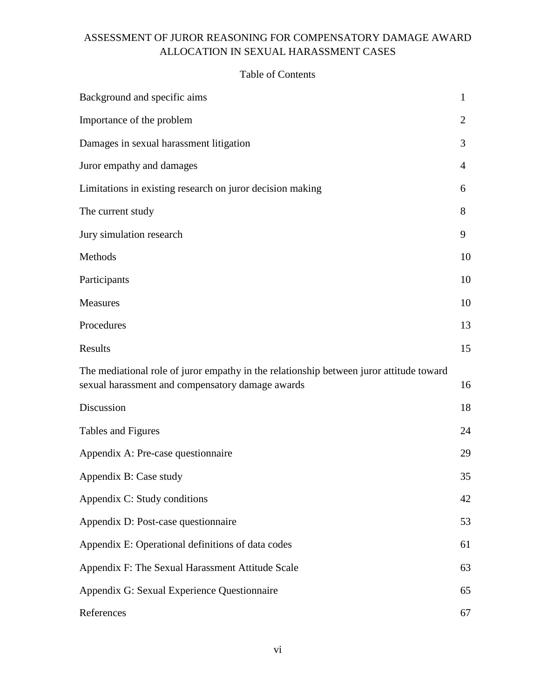# Background and specific aims 1 Importance of the problem 2 Damages in sexual harassment litigation 3 Juror empathy and damages 4 Limitations in existing research on juror decision making 6 The current study 8 Jury simulation research 9 Methods and the set of the set of the set of the set of the set of the set of the set of the set of the set of the set of the set of the set of the set of the set of the set of the set of the set of the set of the set of t Participants 10 Measures 10 Procedures 23 Results and the set of the set of the set of the set of the set of the set of the set of the set of the set of the set of the set of the set of the set of the set of the set of the set of the set of the set of the set of t The mediational role of juror empathy in the relationship between juror attitude toward sexual harassment and compensatory damage awards 16 Discussion 18 Tables and Figures 24 Appendix A: Pre-case questionnaire 29 Appendix B: Case study 35 Appendix C: Study conditions 42 Appendix D: Post-case questionnaire 53 Appendix E: Operational definitions of data codes 61 Appendix F: The Sexual Harassment Attitude Scale 63 Appendix G: Sexual Experience Questionnaire 65 References 67

#### Table of Contents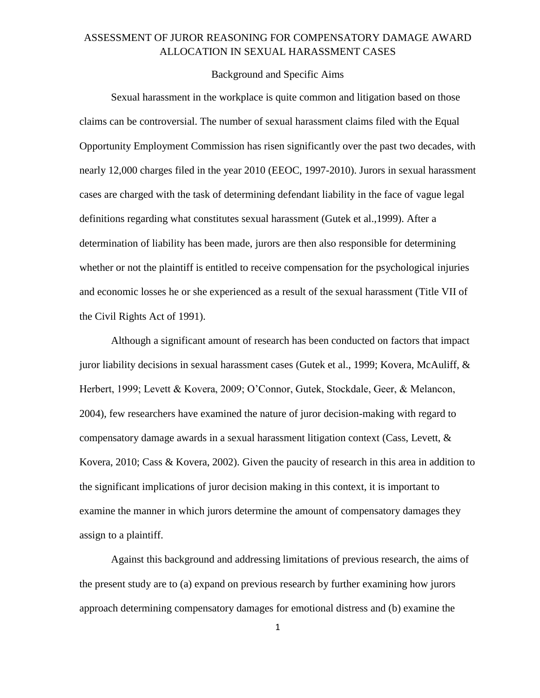#### Background and Specific Aims

Sexual harassment in the workplace is quite common and litigation based on those claims can be controversial. The number of sexual harassment claims filed with the Equal Opportunity Employment Commission has risen significantly over the past two decades, with nearly 12,000 charges filed in the year 2010 (EEOC, 1997-2010). Jurors in sexual harassment cases are charged with the task of determining defendant liability in the face of vague legal definitions regarding what constitutes sexual harassment (Gutek et al.,1999). After a determination of liability has been made, jurors are then also responsible for determining whether or not the plaintiff is entitled to receive compensation for the psychological injuries and economic losses he or she experienced as a result of the sexual harassment (Title VII of the Civil Rights Act of 1991).

Although a significant amount of research has been conducted on factors that impact juror liability decisions in sexual harassment cases (Gutek et al., 1999; Kovera, McAuliff,  $\&$ Herbert, 1999; Levett & Kovera, 2009; O'Connor, Gutek, Stockdale, Geer, & Melancon, 2004), few researchers have examined the nature of juror decision-making with regard to compensatory damage awards in a sexual harassment litigation context (Cass, Levett, & Kovera, 2010; Cass & Kovera, 2002). Given the paucity of research in this area in addition to the significant implications of juror decision making in this context, it is important to examine the manner in which jurors determine the amount of compensatory damages they assign to a plaintiff.

Against this background and addressing limitations of previous research, the aims of the present study are to (a) expand on previous research by further examining how jurors approach determining compensatory damages for emotional distress and (b) examine the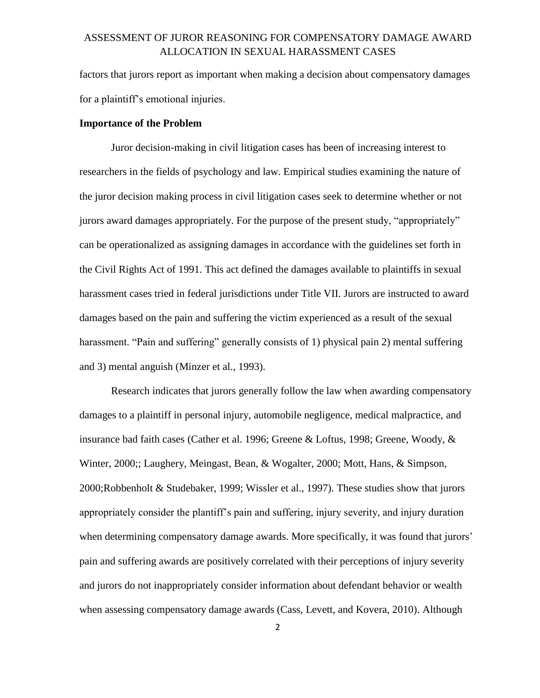factors that jurors report as important when making a decision about compensatory damages for a plaintiff's emotional injuries.

#### **Importance of the Problem**

Juror decision-making in civil litigation cases has been of increasing interest to researchers in the fields of psychology and law. Empirical studies examining the nature of the juror decision making process in civil litigation cases seek to determine whether or not jurors award damages appropriately. For the purpose of the present study, "appropriately" can be operationalized as assigning damages in accordance with the guidelines set forth in the Civil Rights Act of 1991. This act defined the damages available to plaintiffs in sexual harassment cases tried in federal jurisdictions under Title VII. Jurors are instructed to award damages based on the pain and suffering the victim experienced as a result of the sexual harassment. "Pain and suffering" generally consists of 1) physical pain 2) mental suffering and 3) mental anguish (Minzer et al., 1993).

Research indicates that jurors generally follow the law when awarding compensatory damages to a plaintiff in personal injury, automobile negligence, medical malpractice, and insurance bad faith cases (Cather et al. 1996; Greene & Loftus, 1998; Greene, Woody, & Winter, 2000;; Laughery, Meingast, Bean, & Wogalter, 2000; Mott, Hans, & Simpson, 2000;Robbenholt & Studebaker, 1999; Wissler et al., 1997). These studies show that jurors appropriately consider the plantiff's pain and suffering, injury severity, and injury duration when determining compensatory damage awards. More specifically, it was found that jurors' pain and suffering awards are positively correlated with their perceptions of injury severity and jurors do not inappropriately consider information about defendant behavior or wealth when assessing compensatory damage awards (Cass, Levett, and Kovera, 2010). Although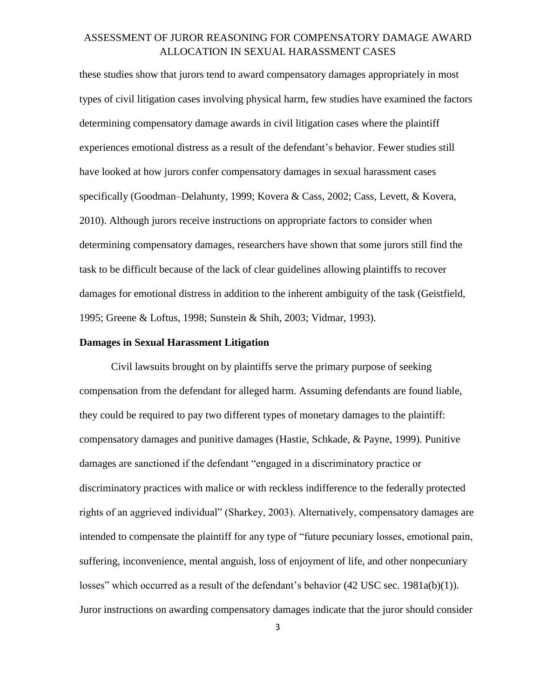these studies show that jurors tend to award compensatory damages appropriately in most types of civil litigation cases involving physical harm, few studies have examined the factors determining compensatory damage awards in civil litigation cases where the plaintiff experiences emotional distress as a result of the defendant's behavior. Fewer studies still have looked at how jurors confer compensatory damages in sexual harassment cases specifically (Goodman–Delahunty, 1999; Kovera & Cass, 2002; Cass, Levett, & Kovera, 2010). Although jurors receive instructions on appropriate factors to consider when determining compensatory damages, researchers have shown that some jurors still find the task to be difficult because of the lack of clear guidelines allowing plaintiffs to recover damages for emotional distress in addition to the inherent ambiguity of the task (Geistfield, 1995; Greene & Loftus, 1998; Sunstein & Shih, 2003; Vidmar, 1993).

#### **Damages in Sexual Harassment Litigation**

Civil lawsuits brought on by plaintiffs serve the primary purpose of seeking compensation from the defendant for alleged harm. Assuming defendants are found liable, they could be required to pay two different types of monetary damages to the plaintiff: compensatory damages and punitive damages (Hastie, Schkade, & Payne, 1999). Punitive damages are sanctioned if the defendant "engaged in a discriminatory practice or discriminatory practices with malice or with reckless indifference to the federally protected rights of an aggrieved individual" (Sharkey, 2003). Alternatively, compensatory damages are intended to compensate the plaintiff for any type of "future pecuniary losses, emotional pain, suffering, inconvenience, mental anguish, loss of enjoyment of life, and other nonpecuniary losses" which occurred as a result of the defendant's behavior (42 USC sec. 1981a(b)(1)). Juror instructions on awarding compensatory damages indicate that the juror should consider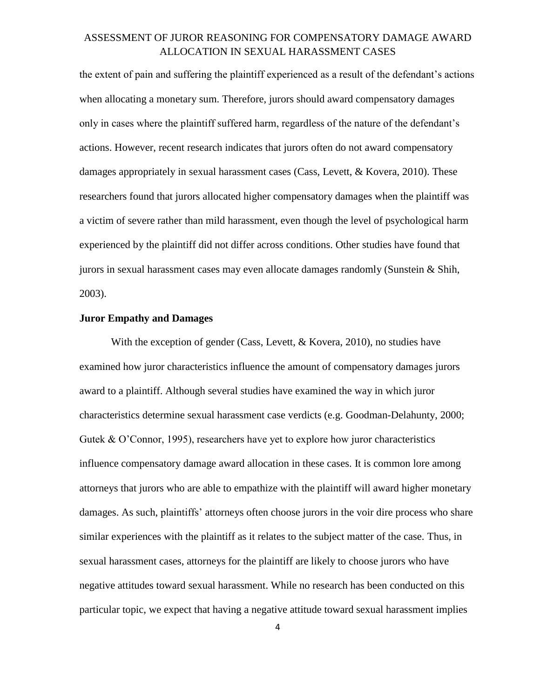the extent of pain and suffering the plaintiff experienced as a result of the defendant's actions when allocating a monetary sum. Therefore, jurors should award compensatory damages only in cases where the plaintiff suffered harm, regardless of the nature of the defendant's actions. However, recent research indicates that jurors often do not award compensatory damages appropriately in sexual harassment cases (Cass, Levett, & Kovera, 2010). These researchers found that jurors allocated higher compensatory damages when the plaintiff was a victim of severe rather than mild harassment, even though the level of psychological harm experienced by the plaintiff did not differ across conditions. Other studies have found that jurors in sexual harassment cases may even allocate damages randomly (Sunstein & Shih, 2003).

#### **Juror Empathy and Damages**

With the exception of gender (Cass, Levett, & Kovera, 2010), no studies have examined how juror characteristics influence the amount of compensatory damages jurors award to a plaintiff. Although several studies have examined the way in which juror characteristics determine sexual harassment case verdicts (e.g. Goodman-Delahunty, 2000; Gutek & O'Connor, 1995), researchers have yet to explore how juror characteristics influence compensatory damage award allocation in these cases. It is common lore among attorneys that jurors who are able to empathize with the plaintiff will award higher monetary damages. As such, plaintiffs' attorneys often choose jurors in the voir dire process who share similar experiences with the plaintiff as it relates to the subject matter of the case. Thus, in sexual harassment cases, attorneys for the plaintiff are likely to choose jurors who have negative attitudes toward sexual harassment. While no research has been conducted on this particular topic, we expect that having a negative attitude toward sexual harassment implies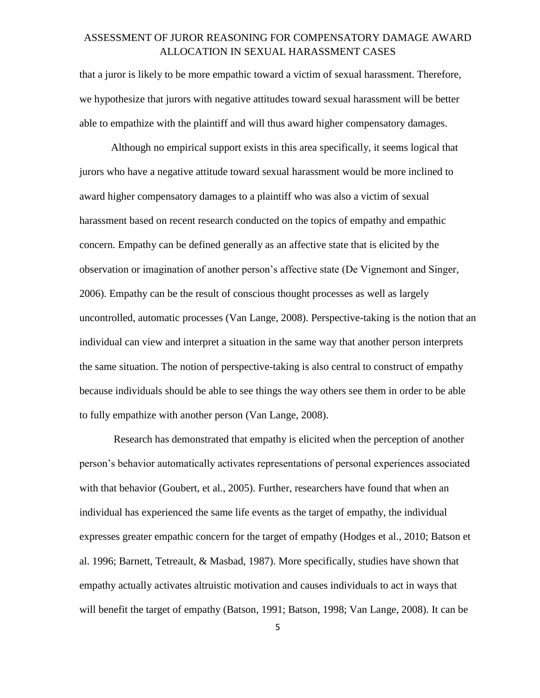that a juror is likely to be more empathic toward a victim of sexual harassment. Therefore, we hypothesize that jurors with negative attitudes toward sexual harassment will be better able to empathize with the plaintiff and will thus award higher compensatory damages.

Although no empirical support exists in this area specifically, it seems logical that jurors who have a negative attitude toward sexual harassment would be more inclined to award higher compensatory damages to a plaintiff who was also a victim of sexual harassment based on recent research conducted on the topics of empathy and empathic concern. Empathy can be defined generally as an affective state that is elicited by the observation or imagination of another person's affective state (De Vignemont and Singer, 2006). Empathy can be the result of conscious thought processes as well as largely uncontrolled, automatic processes (Van Lange, 2008). Perspective-taking is the notion that an individual can view and interpret a situation in the same way that another person interprets the same situation. The notion of perspective-taking is also central to construct of empathy because individuals should be able to see things the way others see them in order to be able to fully empathize with another person (Van Lange, 2008).

Research has demonstrated that empathy is elicited when the perception of another person's behavior automatically activates representations of personal experiences associated with that behavior (Goubert, et al., 2005). Further, researchers have found that when an individual has experienced the same life events as the target of empathy, the individual expresses greater empathic concern for the target of empathy (Hodges et al., 2010; Batson et al. 1996; Barnett, Tetreault, & Masbad, 1987). More specifically, studies have shown that empathy actually activates altruistic motivation and causes individuals to act in ways that will benefit the target of empathy (Batson, 1991; Batson, 1998; Van Lange, 2008). It can be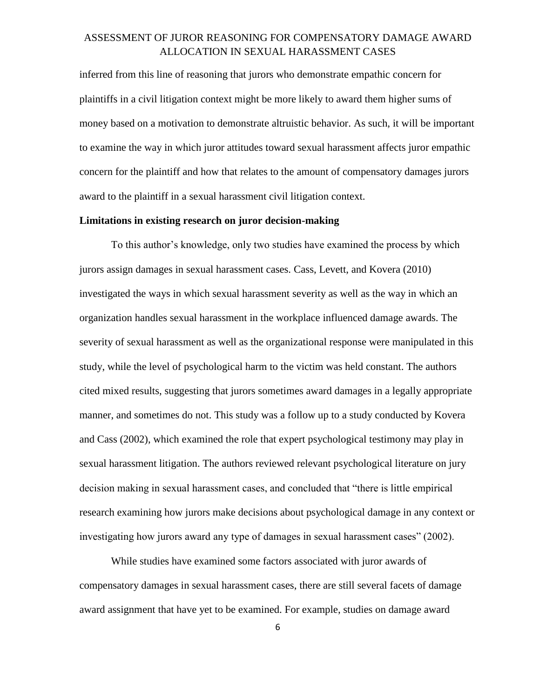inferred from this line of reasoning that jurors who demonstrate empathic concern for plaintiffs in a civil litigation context might be more likely to award them higher sums of money based on a motivation to demonstrate altruistic behavior. As such, it will be important to examine the way in which juror attitudes toward sexual harassment affects juror empathic concern for the plaintiff and how that relates to the amount of compensatory damages jurors award to the plaintiff in a sexual harassment civil litigation context.

#### **Limitations in existing research on juror decision-making**

To this author's knowledge, only two studies have examined the process by which jurors assign damages in sexual harassment cases. Cass, Levett, and Kovera (2010) investigated the ways in which sexual harassment severity as well as the way in which an organization handles sexual harassment in the workplace influenced damage awards. The severity of sexual harassment as well as the organizational response were manipulated in this study, while the level of psychological harm to the victim was held constant. The authors cited mixed results, suggesting that jurors sometimes award damages in a legally appropriate manner, and sometimes do not. This study was a follow up to a study conducted by Kovera and Cass (2002), which examined the role that expert psychological testimony may play in sexual harassment litigation. The authors reviewed relevant psychological literature on jury decision making in sexual harassment cases, and concluded that "there is little empirical research examining how jurors make decisions about psychological damage in any context or investigating how jurors award any type of damages in sexual harassment cases" (2002).

While studies have examined some factors associated with juror awards of compensatory damages in sexual harassment cases, there are still several facets of damage award assignment that have yet to be examined. For example, studies on damage award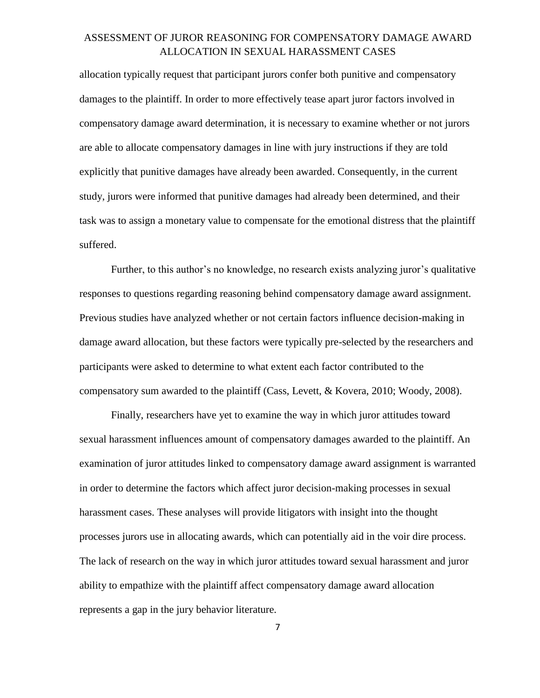allocation typically request that participant jurors confer both punitive and compensatory damages to the plaintiff. In order to more effectively tease apart juror factors involved in compensatory damage award determination, it is necessary to examine whether or not jurors are able to allocate compensatory damages in line with jury instructions if they are told explicitly that punitive damages have already been awarded. Consequently, in the current study, jurors were informed that punitive damages had already been determined, and their task was to assign a monetary value to compensate for the emotional distress that the plaintiff suffered.

Further, to this author's no knowledge, no research exists analyzing juror's qualitative responses to questions regarding reasoning behind compensatory damage award assignment. Previous studies have analyzed whether or not certain factors influence decision-making in damage award allocation, but these factors were typically pre-selected by the researchers and participants were asked to determine to what extent each factor contributed to the compensatory sum awarded to the plaintiff (Cass, Levett, & Kovera, 2010; Woody, 2008).

Finally, researchers have yet to examine the way in which juror attitudes toward sexual harassment influences amount of compensatory damages awarded to the plaintiff. An examination of juror attitudes linked to compensatory damage award assignment is warranted in order to determine the factors which affect juror decision-making processes in sexual harassment cases. These analyses will provide litigators with insight into the thought processes jurors use in allocating awards, which can potentially aid in the voir dire process. The lack of research on the way in which juror attitudes toward sexual harassment and juror ability to empathize with the plaintiff affect compensatory damage award allocation represents a gap in the jury behavior literature.

7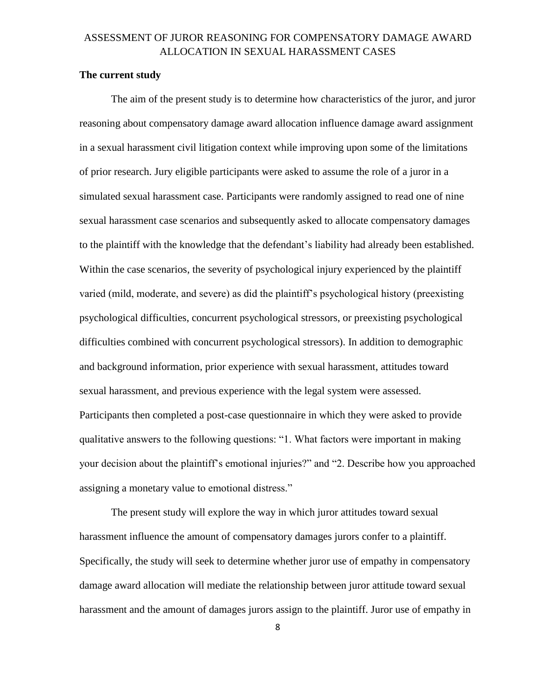#### **The current study**

The aim of the present study is to determine how characteristics of the juror, and juror reasoning about compensatory damage award allocation influence damage award assignment in a sexual harassment civil litigation context while improving upon some of the limitations of prior research. Jury eligible participants were asked to assume the role of a juror in a simulated sexual harassment case. Participants were randomly assigned to read one of nine sexual harassment case scenarios and subsequently asked to allocate compensatory damages to the plaintiff with the knowledge that the defendant's liability had already been established. Within the case scenarios, the severity of psychological injury experienced by the plaintiff varied (mild, moderate, and severe) as did the plaintiff's psychological history (preexisting psychological difficulties, concurrent psychological stressors, or preexisting psychological difficulties combined with concurrent psychological stressors). In addition to demographic and background information, prior experience with sexual harassment, attitudes toward sexual harassment, and previous experience with the legal system were assessed. Participants then completed a post-case questionnaire in which they were asked to provide qualitative answers to the following questions: "1. What factors were important in making your decision about the plaintiff's emotional injuries?" and "2. Describe how you approached assigning a monetary value to emotional distress."

The present study will explore the way in which juror attitudes toward sexual harassment influence the amount of compensatory damages jurors confer to a plaintiff. Specifically, the study will seek to determine whether juror use of empathy in compensatory damage award allocation will mediate the relationship between juror attitude toward sexual harassment and the amount of damages jurors assign to the plaintiff. Juror use of empathy in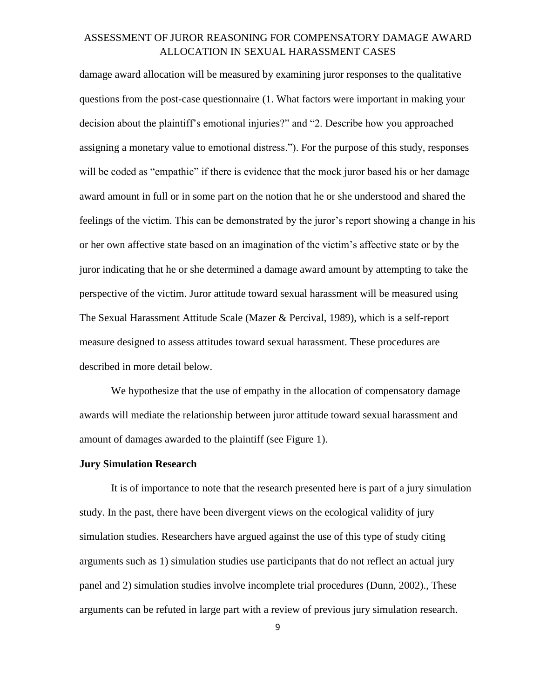damage award allocation will be measured by examining juror responses to the qualitative questions from the post-case questionnaire (1. What factors were important in making your decision about the plaintiff's emotional injuries?" and "2. Describe how you approached assigning a monetary value to emotional distress."). For the purpose of this study, responses will be coded as "empathic" if there is evidence that the mock juror based his or her damage award amount in full or in some part on the notion that he or she understood and shared the feelings of the victim. This can be demonstrated by the juror's report showing a change in his or her own affective state based on an imagination of the victim's affective state or by the juror indicating that he or she determined a damage award amount by attempting to take the perspective of the victim. Juror attitude toward sexual harassment will be measured using The Sexual Harassment Attitude Scale (Mazer & Percival, 1989), which is a self-report measure designed to assess attitudes toward sexual harassment. These procedures are described in more detail below.

We hypothesize that the use of empathy in the allocation of compensatory damage awards will mediate the relationship between juror attitude toward sexual harassment and amount of damages awarded to the plaintiff (see Figure 1).

#### **Jury Simulation Research**

It is of importance to note that the research presented here is part of a jury simulation study. In the past, there have been divergent views on the ecological validity of jury simulation studies. Researchers have argued against the use of this type of study citing arguments such as 1) simulation studies use participants that do not reflect an actual jury panel and 2) simulation studies involve incomplete trial procedures (Dunn, 2002)., These arguments can be refuted in large part with a review of previous jury simulation research.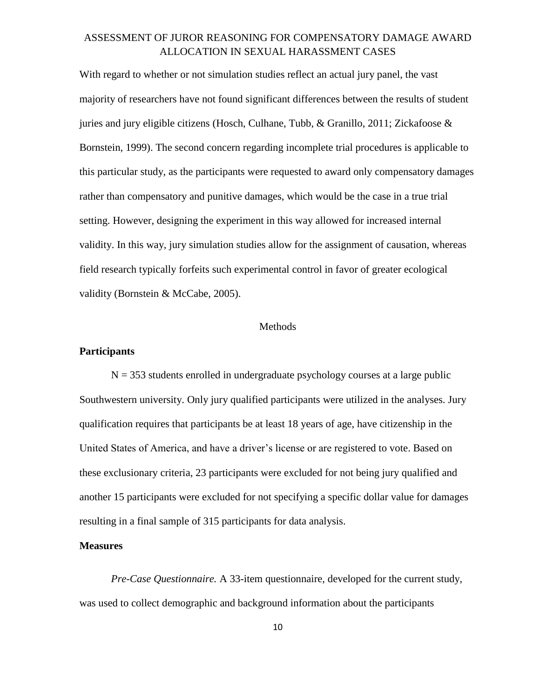With regard to whether or not simulation studies reflect an actual jury panel, the vast majority of researchers have not found significant differences between the results of student juries and jury eligible citizens (Hosch, Culhane, Tubb, & Granillo, 2011; Zickafoose  $\&$ Bornstein, 1999). The second concern regarding incomplete trial procedures is applicable to this particular study, as the participants were requested to award only compensatory damages rather than compensatory and punitive damages, which would be the case in a true trial setting. However, designing the experiment in this way allowed for increased internal validity. In this way, jury simulation studies allow for the assignment of causation, whereas field research typically forfeits such experimental control in favor of greater ecological validity (Bornstein & McCabe, 2005).

#### **Methods**

#### **Participants**

 $N = 353$  students enrolled in undergraduate psychology courses at a large public Southwestern university. Only jury qualified participants were utilized in the analyses. Jury qualification requires that participants be at least 18 years of age, have citizenship in the United States of America, and have a driver's license or are registered to vote. Based on these exclusionary criteria, 23 participants were excluded for not being jury qualified and another 15 participants were excluded for not specifying a specific dollar value for damages resulting in a final sample of 315 participants for data analysis.

#### **Measures**

*Pre-Case Questionnaire.* A 33-item questionnaire, developed for the current study, was used to collect demographic and background information about the participants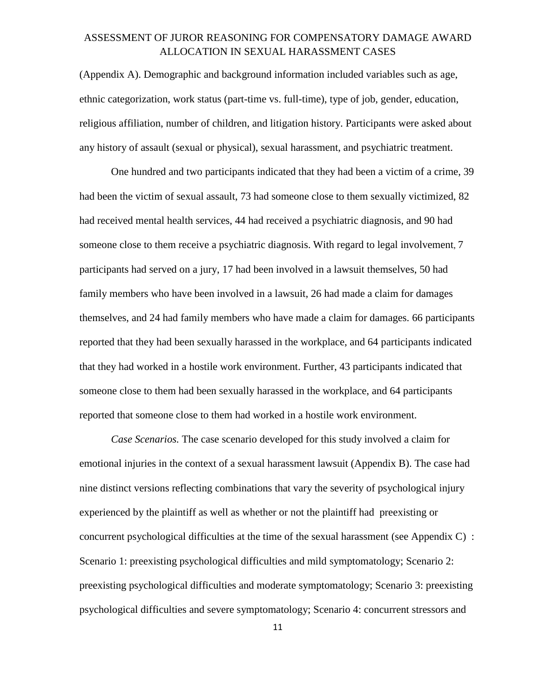(Appendix A). Demographic and background information included variables such as age, ethnic categorization, work status (part-time vs. full-time), type of job, gender, education, religious affiliation, number of children, and litigation history. Participants were asked about any history of assault (sexual or physical), sexual harassment, and psychiatric treatment.

One hundred and two participants indicated that they had been a victim of a crime, 39 had been the victim of sexual assault, 73 had someone close to them sexually victimized, 82 had received mental health services, 44 had received a psychiatric diagnosis, and 90 had someone close to them receive a psychiatric diagnosis. With regard to legal involvement, 7 participants had served on a jury, 17 had been involved in a lawsuit themselves, 50 had family members who have been involved in a lawsuit, 26 had made a claim for damages themselves, and 24 had family members who have made a claim for damages. 66 participants reported that they had been sexually harassed in the workplace, and 64 participants indicated that they had worked in a hostile work environment. Further, 43 participants indicated that someone close to them had been sexually harassed in the workplace, and 64 participants reported that someone close to them had worked in a hostile work environment.

*Case Scenarios.* The case scenario developed for this study involved a claim for emotional injuries in the context of a sexual harassment lawsuit (Appendix B). The case had nine distinct versions reflecting combinations that vary the severity of psychological injury experienced by the plaintiff as well as whether or not the plaintiff had preexisting or concurrent psychological difficulties at the time of the sexual harassment (see Appendix C) : Scenario 1: preexisting psychological difficulties and mild symptomatology; Scenario 2: preexisting psychological difficulties and moderate symptomatology; Scenario 3: preexisting psychological difficulties and severe symptomatology; Scenario 4: concurrent stressors and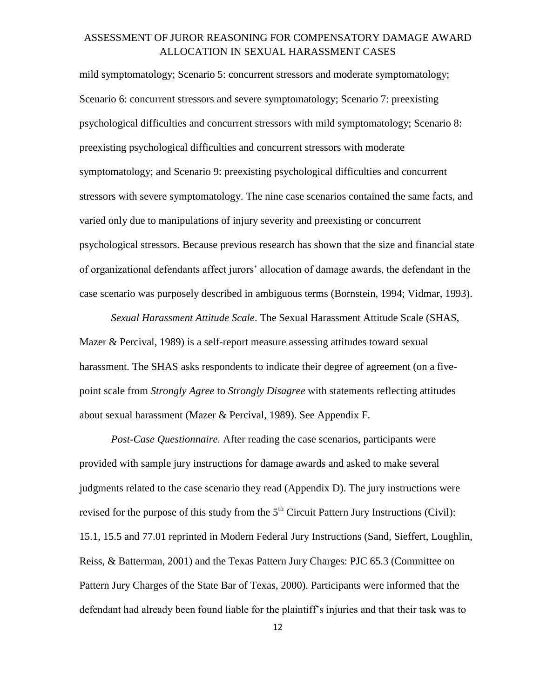mild symptomatology; Scenario 5: concurrent stressors and moderate symptomatology; Scenario 6: concurrent stressors and severe symptomatology; Scenario 7: preexisting psychological difficulties and concurrent stressors with mild symptomatology; Scenario 8: preexisting psychological difficulties and concurrent stressors with moderate symptomatology; and Scenario 9: preexisting psychological difficulties and concurrent stressors with severe symptomatology. The nine case scenarios contained the same facts, and varied only due to manipulations of injury severity and preexisting or concurrent psychological stressors. Because previous research has shown that the size and financial state of organizational defendants affect jurors' allocation of damage awards, the defendant in the case scenario was purposely described in ambiguous terms (Bornstein, 1994; Vidmar, 1993).

*Sexual Harassment Attitude Scale*. The Sexual Harassment Attitude Scale (SHAS, Mazer & Percival, 1989) is a self-report measure assessing attitudes toward sexual harassment. The SHAS asks respondents to indicate their degree of agreement (on a fivepoint scale from *Strongly Agree* to *Strongly Disagree* with statements reflecting attitudes about sexual harassment (Mazer & Percival, 1989). See Appendix F.

*Post-Case Questionnaire.* After reading the case scenarios, participants were provided with sample jury instructions for damage awards and asked to make several judgments related to the case scenario they read (Appendix D). The jury instructions were revised for the purpose of this study from the  $5<sup>th</sup>$  Circuit Pattern Jury Instructions (Civil): 15.1, 15.5 and 77.01 reprinted in Modern Federal Jury Instructions (Sand, Sieffert, Loughlin, Reiss, & Batterman, 2001) and the Texas Pattern Jury Charges: PJC 65.3 (Committee on Pattern Jury Charges of the State Bar of Texas, 2000). Participants were informed that the defendant had already been found liable for the plaintiff's injuries and that their task was to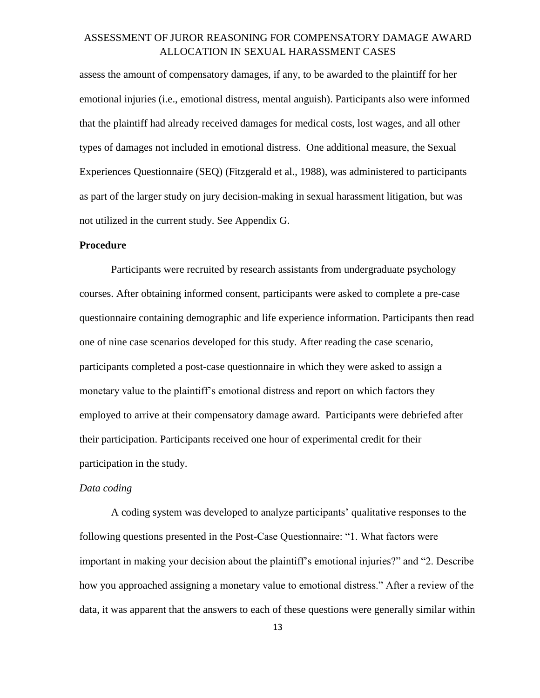assess the amount of compensatory damages, if any, to be awarded to the plaintiff for her emotional injuries (i.e., emotional distress, mental anguish). Participants also were informed that the plaintiff had already received damages for medical costs, lost wages, and all other types of damages not included in emotional distress. One additional measure, the Sexual Experiences Questionnaire (SEQ) (Fitzgerald et al., 1988), was administered to participants as part of the larger study on jury decision-making in sexual harassment litigation, but was not utilized in the current study. See Appendix G.

#### **Procedure**

Participants were recruited by research assistants from undergraduate psychology courses. After obtaining informed consent, participants were asked to complete a pre-case questionnaire containing demographic and life experience information. Participants then read one of nine case scenarios developed for this study. After reading the case scenario, participants completed a post-case questionnaire in which they were asked to assign a monetary value to the plaintiff's emotional distress and report on which factors they employed to arrive at their compensatory damage award. Participants were debriefed after their participation. Participants received one hour of experimental credit for their participation in the study.

#### *Data coding*

A coding system was developed to analyze participants' qualitative responses to the following questions presented in the Post-Case Questionnaire: "1. What factors were important in making your decision about the plaintiff's emotional injuries?" and "2. Describe how you approached assigning a monetary value to emotional distress." After a review of the data, it was apparent that the answers to each of these questions were generally similar within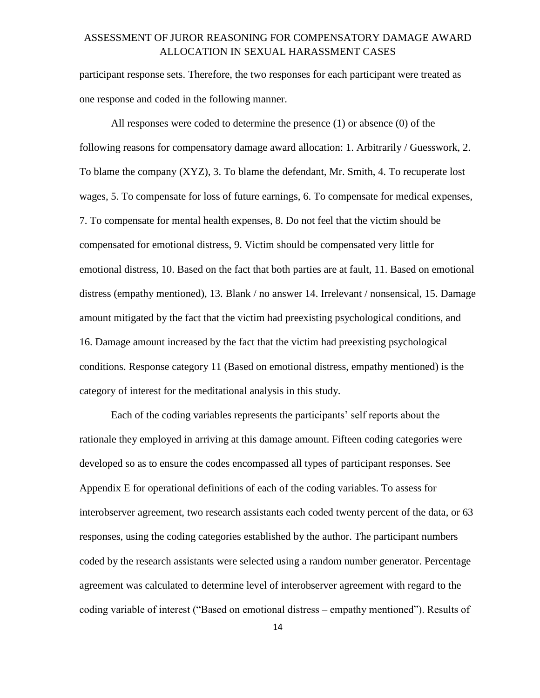participant response sets. Therefore, the two responses for each participant were treated as one response and coded in the following manner.

All responses were coded to determine the presence (1) or absence (0) of the following reasons for compensatory damage award allocation: 1. Arbitrarily / Guesswork, 2. To blame the company (XYZ), 3. To blame the defendant, Mr. Smith, 4. To recuperate lost wages, 5. To compensate for loss of future earnings, 6. To compensate for medical expenses, 7. To compensate for mental health expenses, 8. Do not feel that the victim should be compensated for emotional distress, 9. Victim should be compensated very little for emotional distress, 10. Based on the fact that both parties are at fault, 11. Based on emotional distress (empathy mentioned), 13. Blank / no answer 14. Irrelevant / nonsensical, 15. Damage amount mitigated by the fact that the victim had preexisting psychological conditions, and 16. Damage amount increased by the fact that the victim had preexisting psychological conditions. Response category 11 (Based on emotional distress, empathy mentioned) is the category of interest for the meditational analysis in this study.

Each of the coding variables represents the participants' self reports about the rationale they employed in arriving at this damage amount. Fifteen coding categories were developed so as to ensure the codes encompassed all types of participant responses. See Appendix E for operational definitions of each of the coding variables. To assess for interobserver agreement, two research assistants each coded twenty percent of the data, or 63 responses, using the coding categories established by the author. The participant numbers coded by the research assistants were selected using a random number generator. Percentage agreement was calculated to determine level of interobserver agreement with regard to the coding variable of interest ("Based on emotional distress – empathy mentioned"). Results of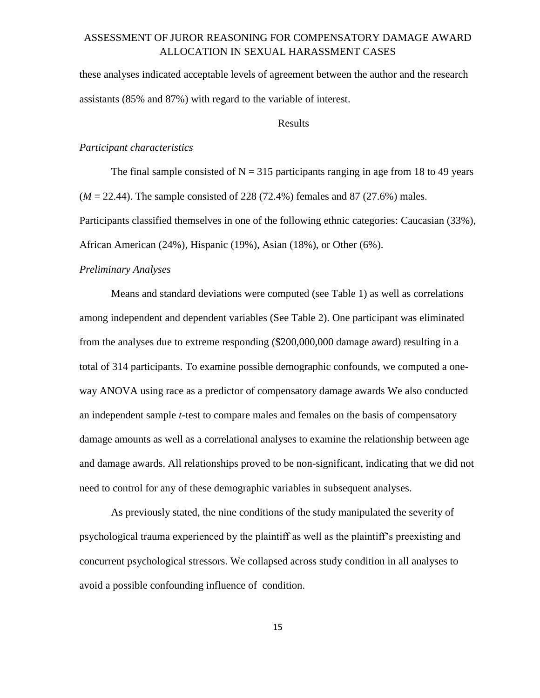these analyses indicated acceptable levels of agreement between the author and the research assistants (85% and 87%) with regard to the variable of interest.

#### Results

#### *Participant characteristics*

The final sample consisted of  $N = 315$  participants ranging in age from 18 to 49 years (*M* = 22.44). The sample consisted of 228 (72.4%) females and 87 (27.6%) males. Participants classified themselves in one of the following ethnic categories: Caucasian (33%), African American (24%), Hispanic (19%), Asian (18%), or Other (6%).

#### *Preliminary Analyses*

Means and standard deviations were computed (see Table 1) as well as correlations among independent and dependent variables (See Table 2). One participant was eliminated from the analyses due to extreme responding (\$200,000,000 damage award) resulting in a total of 314 participants. To examine possible demographic confounds, we computed a oneway ANOVA using race as a predictor of compensatory damage awards We also conducted an independent sample *t*-test to compare males and females on the basis of compensatory damage amounts as well as a correlational analyses to examine the relationship between age and damage awards. All relationships proved to be non-significant, indicating that we did not need to control for any of these demographic variables in subsequent analyses.

As previously stated, the nine conditions of the study manipulated the severity of psychological trauma experienced by the plaintiff as well as the plaintiff's preexisting and concurrent psychological stressors. We collapsed across study condition in all analyses to avoid a possible confounding influence of condition.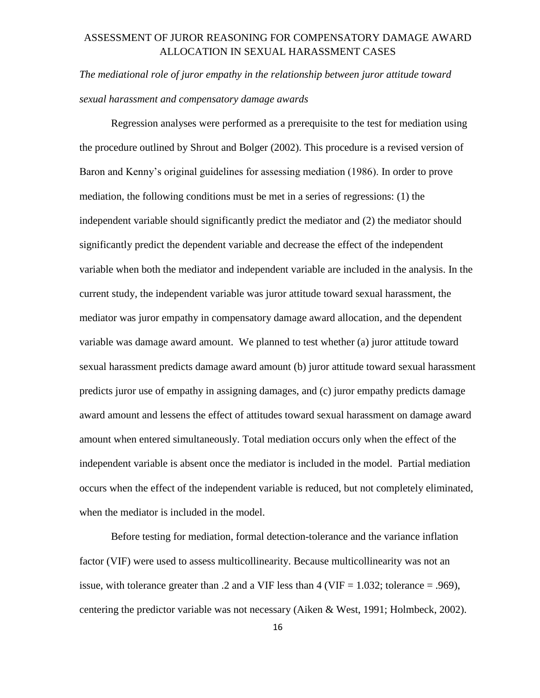*The mediational role of juror empathy in the relationship between juror attitude toward sexual harassment and compensatory damage awards* 

Regression analyses were performed as a prerequisite to the test for mediation using the procedure outlined by Shrout and Bolger (2002). This procedure is a revised version of Baron and Kenny's original guidelines for assessing mediation (1986). In order to prove mediation, the following conditions must be met in a series of regressions: (1) the independent variable should significantly predict the mediator and (2) the mediator should significantly predict the dependent variable and decrease the effect of the independent variable when both the mediator and independent variable are included in the analysis. In the current study, the independent variable was juror attitude toward sexual harassment, the mediator was juror empathy in compensatory damage award allocation, and the dependent variable was damage award amount. We planned to test whether (a) juror attitude toward sexual harassment predicts damage award amount (b) juror attitude toward sexual harassment predicts juror use of empathy in assigning damages, and (c) juror empathy predicts damage award amount and lessens the effect of attitudes toward sexual harassment on damage award amount when entered simultaneously. Total mediation occurs only when the effect of the independent variable is absent once the mediator is included in the model. Partial mediation occurs when the effect of the independent variable is reduced, but not completely eliminated, when the mediator is included in the model.

Before testing for mediation, formal detection-tolerance and the variance inflation factor (VIF) were used to assess multicollinearity. Because multicollinearity was not an issue, with tolerance greater than .2 and a VIF less than 4 (VIF =  $1.032$ ; tolerance = .969), centering the predictor variable was not necessary (Aiken & West, 1991; Holmbeck, 2002).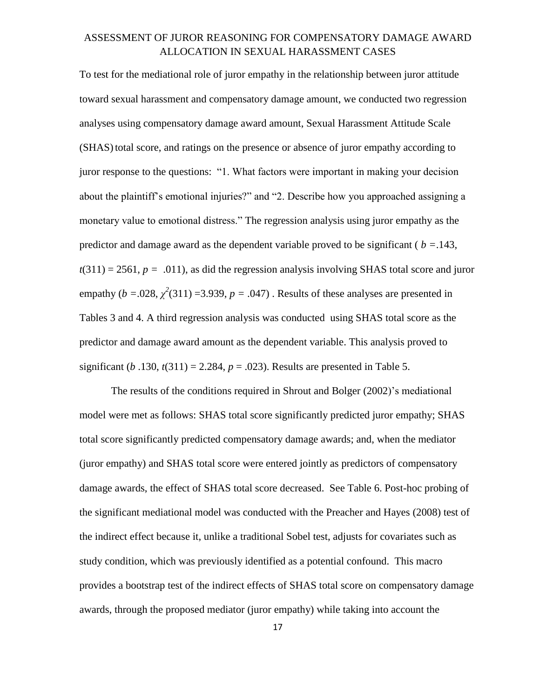To test for the mediational role of juror empathy in the relationship between juror attitude toward sexual harassment and compensatory damage amount, we conducted two regression analyses using compensatory damage award amount, Sexual Harassment Attitude Scale (SHAS) total score, and ratings on the presence or absence of juror empathy according to juror response to the questions: "1. What factors were important in making your decision about the plaintiff's emotional injuries?" and "2. Describe how you approached assigning a monetary value to emotional distress." The regression analysis using juror empathy as the predictor and damage award as the dependent variable proved to be significant ( *b =*.143,  $t(311) = 2561$ ,  $p = .011$ ), as did the regression analysis involving SHAS total score and juror empathy  $(b = .028, \chi^2(311) = 3.939, p = .047)$ . Results of these analyses are presented in Tables 3 and 4. A third regression analysis was conducted using SHAS total score as the predictor and damage award amount as the dependent variable. This analysis proved to significant (*b* .130,  $t(311) = 2.284$ ,  $p = .023$ ). Results are presented in Table 5.

The results of the conditions required in Shrout and Bolger (2002)'s mediational model were met as follows: SHAS total score significantly predicted juror empathy; SHAS total score significantly predicted compensatory damage awards; and, when the mediator (juror empathy) and SHAS total score were entered jointly as predictors of compensatory damage awards, the effect of SHAS total score decreased. See Table 6. Post-hoc probing of the significant mediational model was conducted with the Preacher and Hayes (2008) test of the indirect effect because it, unlike a traditional Sobel test, adjusts for covariates such as study condition, which was previously identified as a potential confound. This macro provides a bootstrap test of the indirect effects of SHAS total score on compensatory damage awards, through the proposed mediator (juror empathy) while taking into account the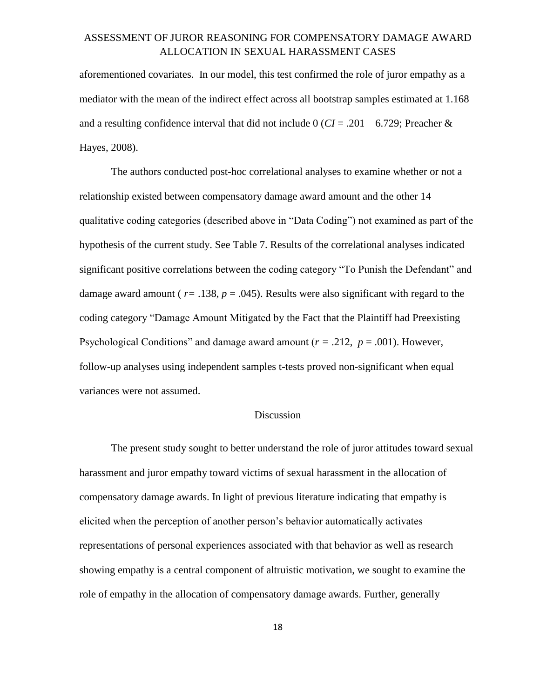aforementioned covariates. In our model, this test confirmed the role of juror empathy as a mediator with the mean of the indirect effect across all bootstrap samples estimated at 1.168 and a resulting confidence interval that did not include 0 ( $CI = .201 - 6.729$ ; Preacher & Hayes, 2008).

The authors conducted post-hoc correlational analyses to examine whether or not a relationship existed between compensatory damage award amount and the other 14 qualitative coding categories (described above in "Data Coding") not examined as part of the hypothesis of the current study. See Table 7. Results of the correlational analyses indicated significant positive correlations between the coding category "To Punish the Defendant" and damage award amount ( $r = .138$ ,  $p = .045$ ). Results were also significant with regard to the coding category "Damage Amount Mitigated by the Fact that the Plaintiff had Preexisting Psychological Conditions" and damage award amount (*r =* .212, *p* = .001). However, follow-up analyses using independent samples t-tests proved non-significant when equal variances were not assumed.

#### Discussion

The present study sought to better understand the role of juror attitudes toward sexual harassment and juror empathy toward victims of sexual harassment in the allocation of compensatory damage awards. In light of previous literature indicating that empathy is elicited when the perception of another person's behavior automatically activates representations of personal experiences associated with that behavior as well as research showing empathy is a central component of altruistic motivation, we sought to examine the role of empathy in the allocation of compensatory damage awards. Further, generally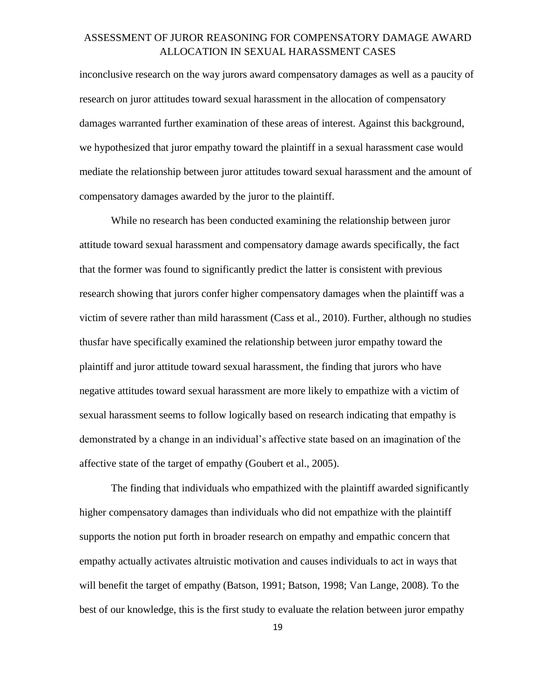inconclusive research on the way jurors award compensatory damages as well as a paucity of research on juror attitudes toward sexual harassment in the allocation of compensatory damages warranted further examination of these areas of interest. Against this background, we hypothesized that juror empathy toward the plaintiff in a sexual harassment case would mediate the relationship between juror attitudes toward sexual harassment and the amount of compensatory damages awarded by the juror to the plaintiff.

While no research has been conducted examining the relationship between juror attitude toward sexual harassment and compensatory damage awards specifically, the fact that the former was found to significantly predict the latter is consistent with previous research showing that jurors confer higher compensatory damages when the plaintiff was a victim of severe rather than mild harassment (Cass et al., 2010). Further, although no studies thusfar have specifically examined the relationship between juror empathy toward the plaintiff and juror attitude toward sexual harassment, the finding that jurors who have negative attitudes toward sexual harassment are more likely to empathize with a victim of sexual harassment seems to follow logically based on research indicating that empathy is demonstrated by a change in an individual's affective state based on an imagination of the affective state of the target of empathy (Goubert et al., 2005).

The finding that individuals who empathized with the plaintiff awarded significantly higher compensatory damages than individuals who did not empathize with the plaintiff supports the notion put forth in broader research on empathy and empathic concern that empathy actually activates altruistic motivation and causes individuals to act in ways that will benefit the target of empathy (Batson, 1991; Batson, 1998; Van Lange, 2008). To the best of our knowledge, this is the first study to evaluate the relation between juror empathy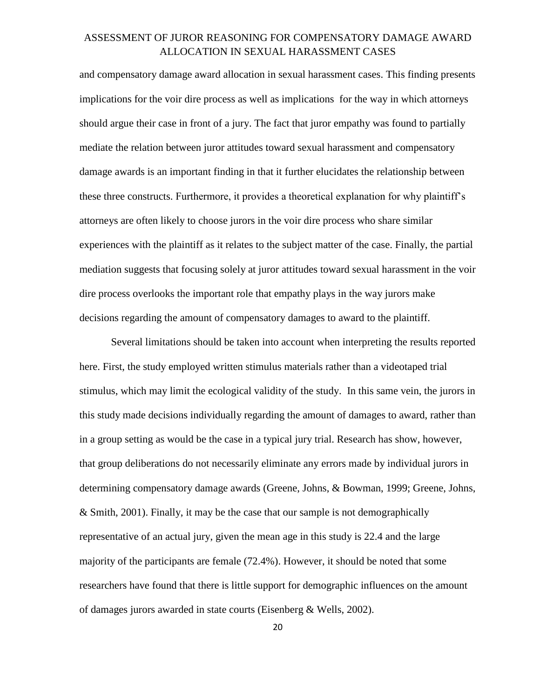and compensatory damage award allocation in sexual harassment cases. This finding presents implications for the voir dire process as well as implications for the way in which attorneys should argue their case in front of a jury. The fact that juror empathy was found to partially mediate the relation between juror attitudes toward sexual harassment and compensatory damage awards is an important finding in that it further elucidates the relationship between these three constructs. Furthermore, it provides a theoretical explanation for why plaintiff's attorneys are often likely to choose jurors in the voir dire process who share similar experiences with the plaintiff as it relates to the subject matter of the case. Finally, the partial mediation suggests that focusing solely at juror attitudes toward sexual harassment in the voir dire process overlooks the important role that empathy plays in the way jurors make decisions regarding the amount of compensatory damages to award to the plaintiff.

Several limitations should be taken into account when interpreting the results reported here. First, the study employed written stimulus materials rather than a videotaped trial stimulus, which may limit the ecological validity of the study. In this same vein, the jurors in this study made decisions individually regarding the amount of damages to award, rather than in a group setting as would be the case in a typical jury trial. Research has show, however, that group deliberations do not necessarily eliminate any errors made by individual jurors in determining compensatory damage awards (Greene, Johns, & Bowman, 1999; Greene, Johns,  $& Smith, 2001$ . Finally, it may be the case that our sample is not demographically representative of an actual jury, given the mean age in this study is 22.4 and the large majority of the participants are female (72.4%). However, it should be noted that some researchers have found that there is little support for demographic influences on the amount of damages jurors awarded in state courts (Eisenberg & Wells, 2002).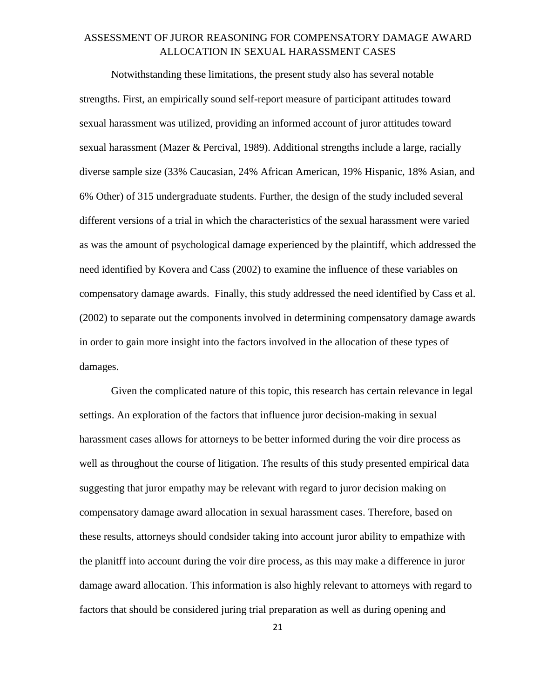Notwithstanding these limitations, the present study also has several notable strengths. First, an empirically sound self-report measure of participant attitudes toward sexual harassment was utilized, providing an informed account of juror attitudes toward sexual harassment (Mazer & Percival, 1989). Additional strengths include a large, racially diverse sample size (33% Caucasian, 24% African American, 19% Hispanic, 18% Asian, and 6% Other) of 315 undergraduate students. Further, the design of the study included several different versions of a trial in which the characteristics of the sexual harassment were varied as was the amount of psychological damage experienced by the plaintiff, which addressed the need identified by Kovera and Cass (2002) to examine the influence of these variables on compensatory damage awards. Finally, this study addressed the need identified by Cass et al. (2002) to separate out the components involved in determining compensatory damage awards in order to gain more insight into the factors involved in the allocation of these types of damages.

Given the complicated nature of this topic, this research has certain relevance in legal settings. An exploration of the factors that influence juror decision-making in sexual harassment cases allows for attorneys to be better informed during the voir dire process as well as throughout the course of litigation. The results of this study presented empirical data suggesting that juror empathy may be relevant with regard to juror decision making on compensatory damage award allocation in sexual harassment cases. Therefore, based on these results, attorneys should condsider taking into account juror ability to empathize with the planitff into account during the voir dire process, as this may make a difference in juror damage award allocation. This information is also highly relevant to attorneys with regard to factors that should be considered juring trial preparation as well as during opening and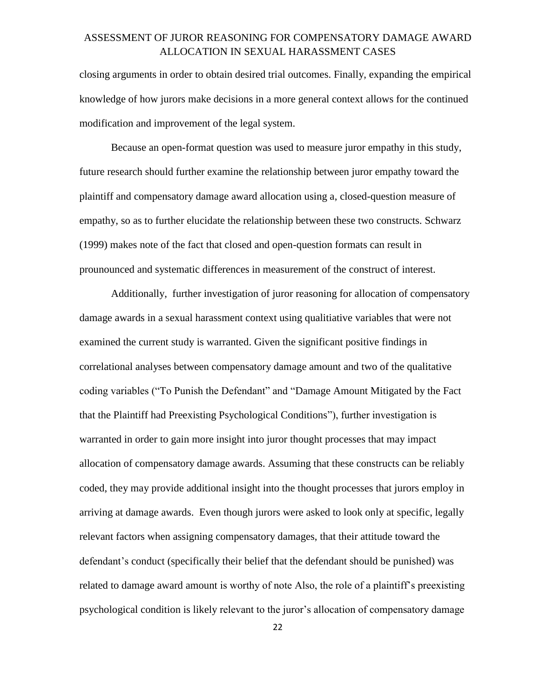closing arguments in order to obtain desired trial outcomes. Finally, expanding the empirical knowledge of how jurors make decisions in a more general context allows for the continued modification and improvement of the legal system.

Because an open-format question was used to measure juror empathy in this study, future research should further examine the relationship between juror empathy toward the plaintiff and compensatory damage award allocation using a, closed-question measure of empathy, so as to further elucidate the relationship between these two constructs. Schwarz (1999) makes note of the fact that closed and open-question formats can result in prounounced and systematic differences in measurement of the construct of interest.

Additionally, further investigation of juror reasoning for allocation of compensatory damage awards in a sexual harassment context using qualitiative variables that were not examined the current study is warranted. Given the significant positive findings in correlational analyses between compensatory damage amount and two of the qualitative coding variables ("To Punish the Defendant" and "Damage Amount Mitigated by the Fact that the Plaintiff had Preexisting Psychological Conditions"), further investigation is warranted in order to gain more insight into juror thought processes that may impact allocation of compensatory damage awards. Assuming that these constructs can be reliably coded, they may provide additional insight into the thought processes that jurors employ in arriving at damage awards. Even though jurors were asked to look only at specific, legally relevant factors when assigning compensatory damages, that their attitude toward the defendant's conduct (specifically their belief that the defendant should be punished) was related to damage award amount is worthy of note Also, the role of a plaintiff's preexisting psychological condition is likely relevant to the juror's allocation of compensatory damage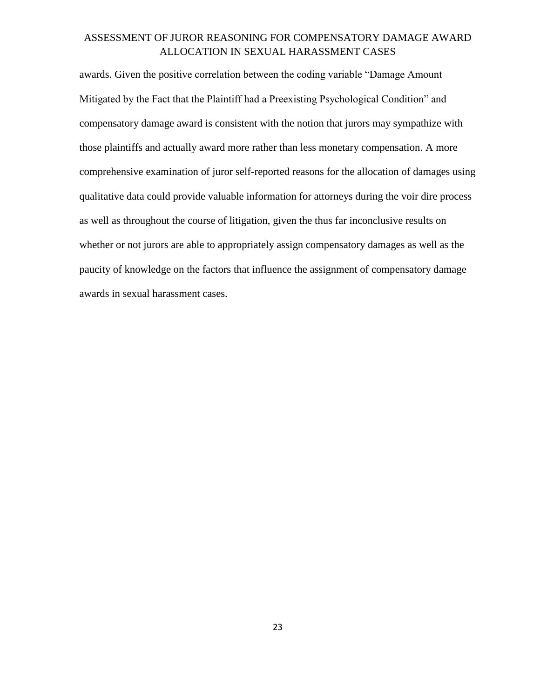awards. Given the positive correlation between the coding variable "Damage Amount Mitigated by the Fact that the Plaintiff had a Preexisting Psychological Condition" and compensatory damage award is consistent with the notion that jurors may sympathize with those plaintiffs and actually award more rather than less monetary compensation. A more comprehensive examination of juror self-reported reasons for the allocation of damages using qualitative data could provide valuable information for attorneys during the voir dire process as well as throughout the course of litigation, given the thus far inconclusive results on whether or not jurors are able to appropriately assign compensatory damages as well as the paucity of knowledge on the factors that influence the assignment of compensatory damage awards in sexual harassment cases.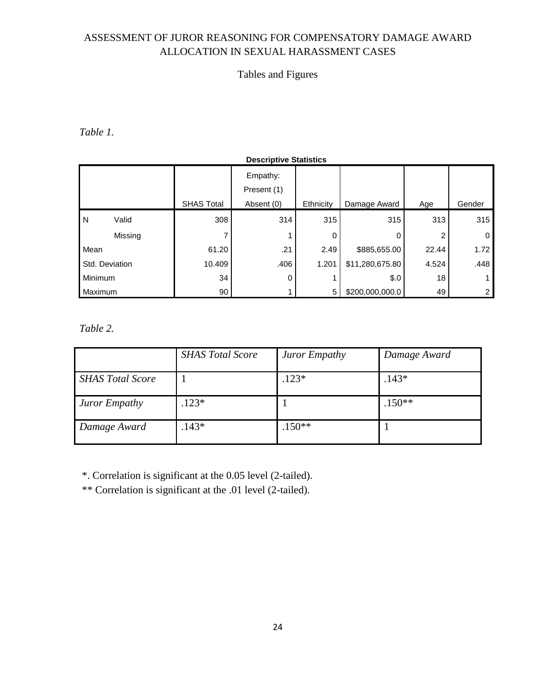## Tables and Figures

*Table 1.* 

|                |         |                   | <b>Descriptive Statistics</b> |           |                 |       |        |
|----------------|---------|-------------------|-------------------------------|-----------|-----------------|-------|--------|
|                |         |                   | Empathy:<br>Present (1)       |           |                 |       |        |
|                |         | <b>SHAS Total</b> | Absent (0)                    | Ethnicity | Damage Award    | Age   | Gender |
| N              | Valid   | 308               | 314                           | 315       | 315             | 313   | 315    |
|                | Missing | 7                 |                               | 0         | 0               |       | 0      |
| Mean           |         | 61.20             | .21                           | 2.49      | \$885,655.00    | 22.44 | 1.72   |
| Std. Deviation |         | 10.409            | .406                          | 1.201     | \$11,280,675.80 | 4.524 | .448   |
| Minimum        |         | 34                | 0                             |           | \$.0            | 18    |        |
| Maximum        |         | 90 <sub>1</sub>   |                               | 5         | \$200,000,000.0 | 49    |        |

*Table 2.* 

|                         | <b>SHAS Total Score</b> | Juror Empathy | Damage Award |
|-------------------------|-------------------------|---------------|--------------|
| <b>SHAS Total Score</b> |                         | $.123*$       | $.143*$      |
| Juror Empathy           | $.123*$                 |               | $.150**$     |
| Damage Award            | $.143*$                 | $.150**$      |              |

\*. Correlation is significant at the 0.05 level (2-tailed).

\*\* Correlation is significant at the .01 level (2-tailed).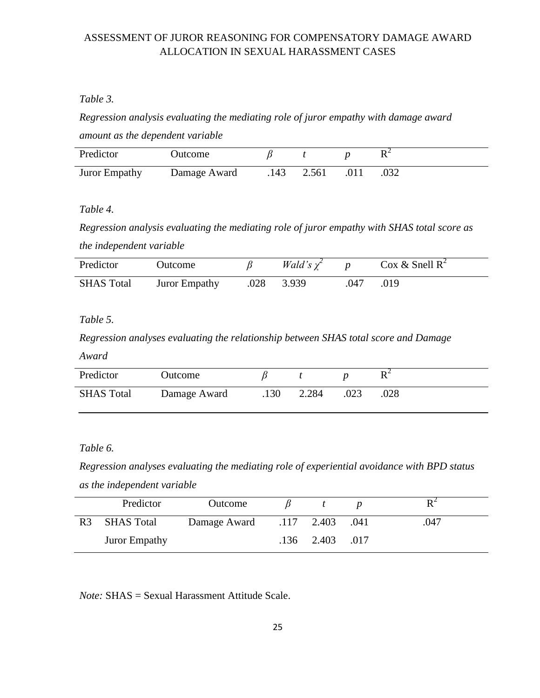#### *Table 3.*

*Regression analysis evaluating the mediating role of juror empathy with damage award amount as the dependent variable*

| Predictor            | Jutcome      |      |       |  |
|----------------------|--------------|------|-------|--|
| <b>Juror Empathy</b> | Damage Award | .143 | 2.561 |  |

*Table 4.* 

*Regression analysis evaluating the mediating role of juror empathy with SHAS total score as the independent variable*

| Predictor         | Outcome       |      | Wald's $\chi^2$ |     | $\cos \&$ Snell R <sup>2</sup> |
|-------------------|---------------|------|-----------------|-----|--------------------------------|
| <b>SHAS Total</b> | Juror Empathy | .028 | 3.939           | 047 | .019                           |

*Table 5.* 

*Regression analyses evaluating the relationship between SHAS total score and Damage Award*

| Predictor         | Outcome      |      |       |      |      |
|-------------------|--------------|------|-------|------|------|
| <b>SHAS Total</b> | Damage Award | .130 | 2.284 | .023 | .028 |

*Table 6.*

*Regression analyses evaluating the mediating role of experiential avoidance with BPD status as the independent variable*

|                | Predictor            | Outcome                      |                       |      |
|----------------|----------------------|------------------------------|-----------------------|------|
| R <sub>3</sub> | SHAS Total           | Damage Award .117 2.403 .041 |                       | .047 |
|                | <b>Juror Empathy</b> |                              | $.136$ $2.403$ $.017$ |      |

*Note:* SHAS = Sexual Harassment Attitude Scale.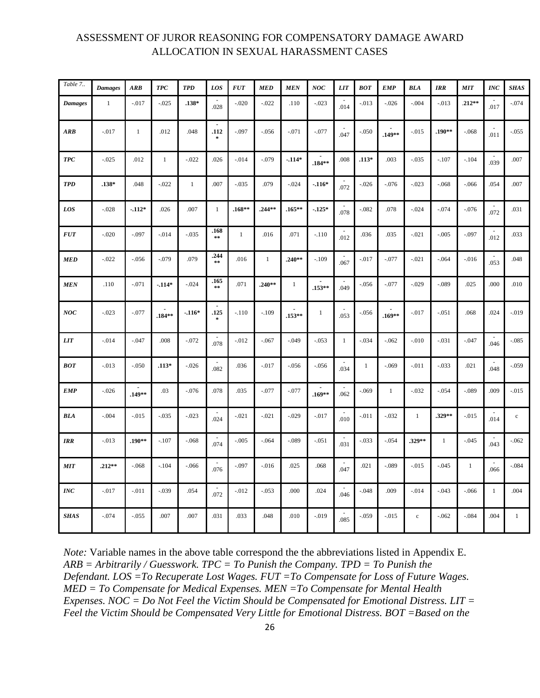| Table 7        | <b>Damages</b> | ARB          | <b>TPC</b>   | <b>TPD</b>   | LOS                     | <b>FUT</b>   | <b>MED</b>   | <b>MEN</b>   | NOC                        | <b>LIT</b>     | <b>BOT</b>   | <b>EMP</b>   | <b>BLA</b>   | <b>IRR</b>   | <b>MIT</b>   | <b>INC</b>       | <b>SHAS</b> |
|----------------|----------------|--------------|--------------|--------------|-------------------------|--------------|--------------|--------------|----------------------------|----------------|--------------|--------------|--------------|--------------|--------------|------------------|-------------|
| <b>Damages</b> | $\mathbf{1}$   | $-0.017$     | $-.025$      | $.138*$      | .028                    | $-.020$      | $-.022$      | .110         | $-.023$                    | $\sim$<br>.014 | $-.013$      | $-.026$      | $-.004$      | $-.013$      | $.212**$     | .017             | $-.074$     |
| ARB            | $-.017$        | $\mathbf{1}$ | .012         | .048         | $\sim$<br>.112          | $-.097$      | $-.056$      | $-.071$      | $-.077$                    | .047           | $-.050$      | .149**       | $-0.015$     | $.190**$     | $-.068$      | .011             | $-.055$     |
| <b>TPC</b>     | $-.025$        | .012         | $\mathbf{1}$ | $-.022$      | .026                    | $-.014$      | $-.079$      | $-114*$      | $.184**$                   | .008           | $.113*$      | .003         | $-.035$      | $-.107$      | $-.104$      | .039             | .007        |
| <b>TPD</b>     | $.138*$        | .048         | $-.022$      | $\mathbf{1}$ | .007                    | $-.035$      | .079         | $-.024$      | $-116*$                    | .072           | $-.026$      | $-.076$      | $-.023$      | $-.068$      | $-.066$      | .054             | .007        |
| LOS            | $-.028$        | $-112*$      | .026         | .007         | $\mathbf{1}$            | $.168**$     | $.244**$     | $.165***$    | $-125*$                    | $\sim$<br>.078 | $-.082$      | .078         | $-.024$      | $-.074$      | $-.076$      | .072             | .031        |
| <b>FUT</b>     | $-.020$        | $-.097$      | $-0.014$     | $-0.035$     | .168<br>$\star$ $\star$ | $\mathbf{1}$ | .016         | .071         | $-.110$                    | $\sim$<br>.012 | .036         | .035         | $-.021$      | $-.005$      | $-.097$      | .012             | .033        |
| <b>MED</b>     | $-.022$        | $-0.056$     | $-.079$      | .079         | .244<br>$**$            | .016         | $\mathbf{1}$ | $.240**$     | $-.109$                    | $\sim$<br>.067 | $-.017$      | $-.077$      | $-.021$      | $-.064$      | $-0.016$     | .053             | .048        |
| <b>MEN</b>     | .110           | $-.071$      | $-114*$      | $-.024$      | .165<br>$\pm\pm$        | .071         | $.240**$     | $\mathbf{1}$ | $\blacksquare$<br>$.153**$ | .049           | $-.056$      | $-.077$      | $-.029$      | $-.089$      | .025         | .000             | .010        |
| NOC            | $-.023$        | $-.077$      | $.184**$     | $-.116*$     | $\blacksquare$<br>.125  | $-.110$      | $-.109$      | $.153**$     | $\mathbf{1}$               | ÷.<br>.053     | $-.056$      | $.169**$     | $-0.017$     | $-.051$      | .068         | .024             | $-.019$     |
| <b>LIT</b>     | $-.014$        | $-.047$      | .008         | $-.072$      | .078                    | $-0.012$     | $-.067$      | $-.049$      | $-.053$                    | $\mathbf{1}$   | $-.034$      | $-.062$      | $-.010$      | $-.031$      | $-.047$      | .046             | $-.085$     |
| <b>BOT</b>     | $-.013$        | $-.050$      | $.113*$      | $-.026$      | .082                    | .036         | $-.017$      | $-.056$      | $-.056$                    | $\sim$<br>.034 | $\mathbf{1}$ | $-.069$      | $-0.011$     | $-.033$      | .021         | .048             | $-.059$     |
| <b>EMP</b>     | $-.026$        | $.149**$     | .03          | $-.076$      | .078                    | .035         | $-.077$      | $-.077$      | $.169**$                   | .062           | $-.069$      | $\mathbf{1}$ | $-.032$      | $-.054$      | $-.089$      | .009             | $-.015$     |
| BLA            | $-.004$        | $-0.015$     | $-.035$      | $-.023$      | .024                    | $-.021$      | $-.021$      | $-.029$      | $-.017$                    | .010           | $-.011$      | $-.032$      | $\mathbf{1}$ | .329**       | $-.015$      | .014             | $\mathbf c$ |
| <b>IRR</b>     | $-.013$        | $.190**$     | $-.107$      | $-.068$      | .074                    | $-.005$      | $-.064$      | $-.089$      | $-.051$                    | .031           | $-.033$      | $-.054$      | .329**       | $\mathbf{1}$ | $-.045$      | .043             | $-.062$     |
| MIT            | $.212**$       | $-0.068$     | $-.104$      | $-.066$      | $\sim$<br>.076          | $-.097$      | $-.016$      | .025         | .068                       | $\sim$<br>.047 | .021         | $-.089$      | $-0.015$     | $-.045$      | $\mathbf{1}$ | <b>.</b><br>.066 | $-.084$     |
| $\it{INC}$     | $-.017$        | $-.011$      | $-.039$      | .054         | .072                    | $-.012$      | $-.053$      | .000         | .024                       | .046           | $-.048$      | .009         | $-.014$      | $-.043$      | $-.066$      | $\mathbf{1}$     | .004        |
| <b>SHAS</b>    | $-.074$        | $-0.055$     | .007         | .007         | .031                    | .033         | .048         | .010         | $-.019$                    | $\sim$<br>.085 | $-.059$      | $-.015$      | $\mathbf c$  | $-.062$      | $-.084$      | .004             | $\,1$       |

*Note:* Variable names in the above table correspond the the abbreviations listed in Appendix E. *ARB = Arbitrarily / Guesswork. TPC = To Punish the Company. TPD = To Punish the Defendant. LOS =To Recuperate Lost Wages. FUT =To Compensate for Loss of Future Wages. MED = To Compensate for Medical Expenses. MEN =To Compensate for Mental Health Expenses. NOC = Do Not Feel the Victim Should be Compensated for Emotional Distress. LIT = Feel the Victim Should be Compensated Very Little for Emotional Distress. BOT =Based on the*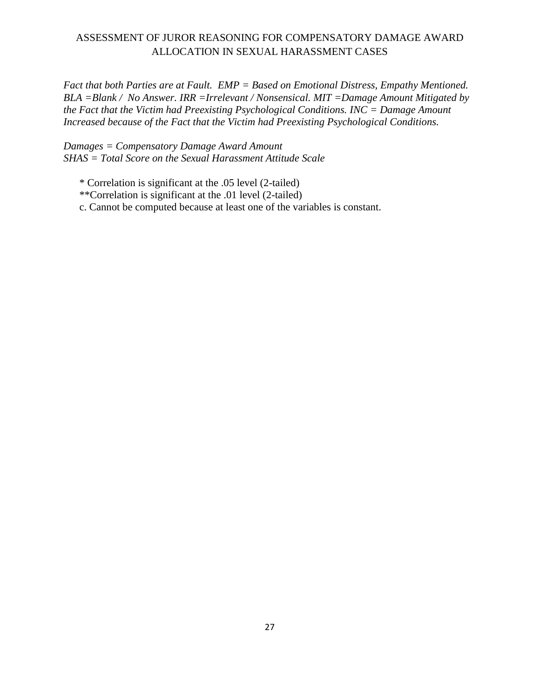*Fact that both Parties are at Fault. EMP = Based on Emotional Distress, Empathy Mentioned. BLA =Blank / No Answer. IRR =Irrelevant / Nonsensical. MIT =Damage Amount Mitigated by the Fact that the Victim had Preexisting Psychological Conditions. INC = Damage Amount Increased because of the Fact that the Victim had Preexisting Psychological Conditions.* 

*Damages = Compensatory Damage Award Amount SHAS = Total Score on the Sexual Harassment Attitude Scale*

\* Correlation is significant at the .05 level (2-tailed)

\*\*Correlation is significant at the .01 level (2-tailed)

c. Cannot be computed because at least one of the variables is constant.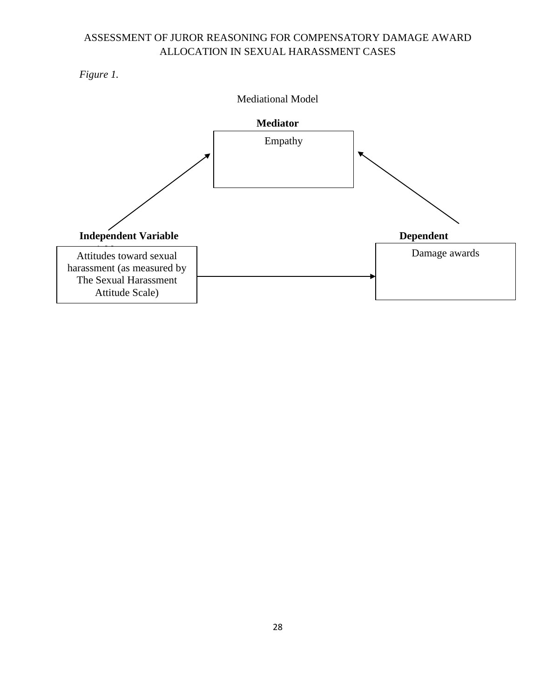*Figure 1.* 

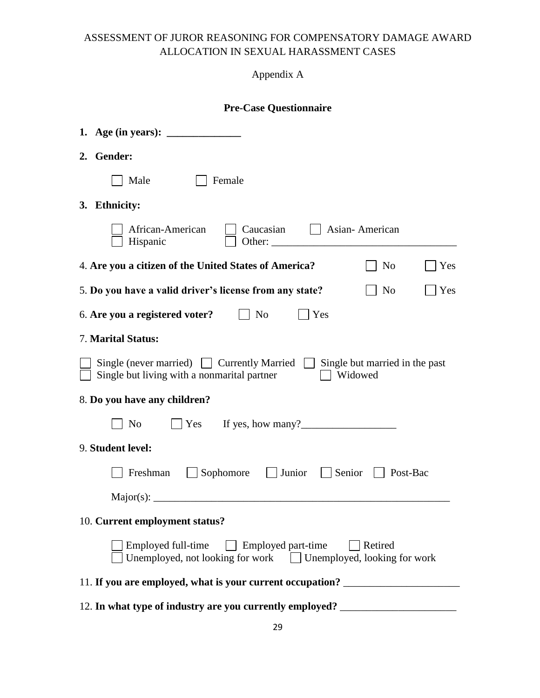## Appendix A

## **Pre-Case Questionnaire**

| 1. Age (in years): $\frac{1}{\sqrt{1-\frac{1}{2}} \cdot \frac{1}{\sqrt{1-\frac{1}{2}} \cdot \frac{1}{\sqrt{1-\frac{1}{2}} \cdot \frac{1}{\sqrt{1-\frac{1}{2}} \cdot \frac{1}{\sqrt{1-\frac{1}{2}} \cdot \frac{1}{\sqrt{1-\frac{1}{2}} \cdot \frac{1}{\sqrt{1-\frac{1}{2}} \cdot \frac{1}{\sqrt{1-\frac{1}{2}} \cdot \frac{1}{\sqrt{1-\frac{1}{2}} \cdot \frac{1}{\sqrt{1-\frac{1}{2}} \cdot \frac{1}{\sqrt{1-\frac{1}{2}} \cdot \frac{$ |
|-----------------------------------------------------------------------------------------------------------------------------------------------------------------------------------------------------------------------------------------------------------------------------------------------------------------------------------------------------------------------------------------------------------------------------------------|
| 2. Gender:                                                                                                                                                                                                                                                                                                                                                                                                                              |
| Male<br>Female                                                                                                                                                                                                                                                                                                                                                                                                                          |
| 3. Ethnicity:                                                                                                                                                                                                                                                                                                                                                                                                                           |
| African-American<br>Caucasian<br>    Asian-American<br>Hispanic<br>Other:                                                                                                                                                                                                                                                                                                                                                               |
| 4. Are you a citizen of the United States of America?<br>N <sub>0</sub><br>Yes                                                                                                                                                                                                                                                                                                                                                          |
| 5. Do you have a valid driver's license from any state?<br>N <sub>0</sub><br>Yes                                                                                                                                                                                                                                                                                                                                                        |
| $\vert$   No<br>  Yes<br>6. Are you a registered voter?                                                                                                                                                                                                                                                                                                                                                                                 |
| <b>7. Marital Status:</b>                                                                                                                                                                                                                                                                                                                                                                                                               |
| Single (never married)   Currently Married   Single but married in the past<br>Widowed<br>Single but living with a nonmarital partner                                                                                                                                                                                                                                                                                                   |
| 8. Do you have any children?                                                                                                                                                                                                                                                                                                                                                                                                            |
| $\angle$ Yes If yes, how many?<br>N <sub>0</sub>                                                                                                                                                                                                                                                                                                                                                                                        |
| 9. Student level:                                                                                                                                                                                                                                                                                                                                                                                                                       |
| Sophomore<br>  Junior<br>Senior<br>$\vert$ Post-Bac<br>Freshman                                                                                                                                                                                                                                                                                                                                                                         |
|                                                                                                                                                                                                                                                                                                                                                                                                                                         |
| 10. Current employment status?                                                                                                                                                                                                                                                                                                                                                                                                          |
| Employed full-time Employed part-time<br><b>Retired</b><br>Unemployed, not looking for work $\Box$ Unemployed, looking for work                                                                                                                                                                                                                                                                                                         |
| 11. If you are employed, what is your current occupation? ______________________                                                                                                                                                                                                                                                                                                                                                        |
| 12. In what type of industry are you currently employed? _______________________                                                                                                                                                                                                                                                                                                                                                        |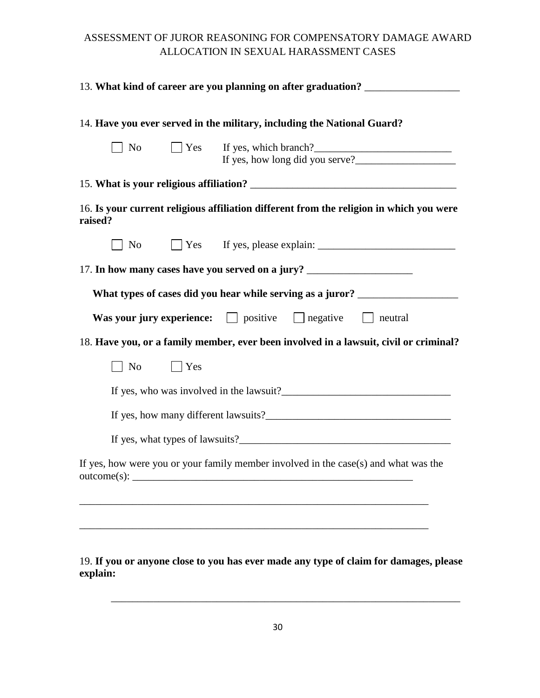|         |       |            | 13. What kind of career are you planning on after graduation? __________________        |
|---------|-------|------------|-----------------------------------------------------------------------------------------|
|         |       |            | 14. Have you ever served in the military, including the National Guard?                 |
|         | No No |            | $\Box$ Yes If yes, which branch?                                                        |
|         |       |            |                                                                                         |
| raised? |       |            | 16. Is your current religious affiliation different from the religion in which you were |
|         | No No |            |                                                                                         |
|         |       |            | 17. In how many cases have you served on a jury? _______________________________        |
|         |       |            | What types of cases did you hear while serving as a juror? _____________________        |
|         |       |            | Was your jury experience: $\Box$ positive $\Box$ negative $\Box$ neutral                |
|         |       |            | 18. Have you, or a family member, ever been involved in a lawsuit, civil or criminal?   |
|         | No    | $\Box$ Yes |                                                                                         |
|         |       |            |                                                                                         |
|         |       |            |                                                                                         |
|         |       |            |                                                                                         |
|         |       |            | If yes, how were you or your family member involved in the case(s) and what was the     |
|         |       |            |                                                                                         |
|         |       |            |                                                                                         |
|         |       |            |                                                                                         |

19. **If you or anyone close to you has ever made any type of claim for damages, please explain:**

\_\_\_\_\_\_\_\_\_\_\_\_\_\_\_\_\_\_\_\_\_\_\_\_\_\_\_\_\_\_\_\_\_\_\_\_\_\_\_\_\_\_\_\_\_\_\_\_\_\_\_\_\_\_\_\_\_\_\_\_\_\_\_\_\_\_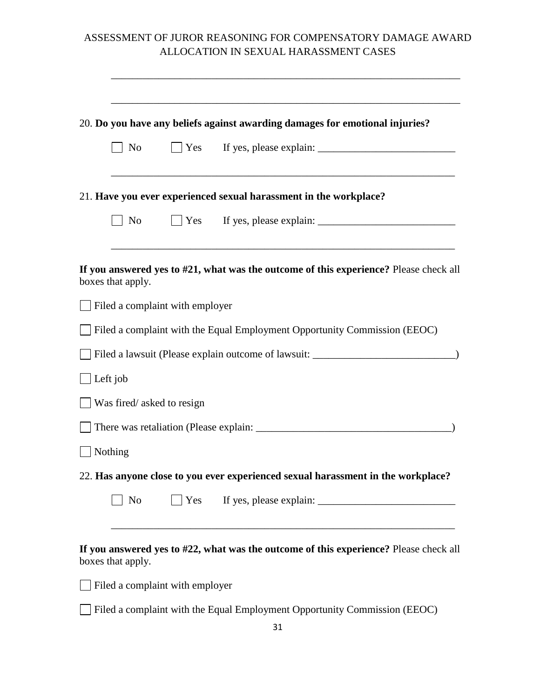|                           |                                 | 20. Do you have any beliefs against awarding damages for emotional injuries?          |
|---------------------------|---------------------------------|---------------------------------------------------------------------------------------|
| No                        | Yes                             |                                                                                       |
|                           |                                 | 21. Have you ever experienced sexual harassment in the workplace?                     |
| No                        |                                 | $\Box$ Yes If yes, please explain: $\Box$                                             |
| boxes that apply.         |                                 | If you answered yes to #21, what was the outcome of this experience? Please check all |
|                           | Filed a complaint with employer |                                                                                       |
|                           |                                 | Filed a complaint with the Equal Employment Opportunity Commission (EEOC)             |
|                           |                                 | Filed a lawsuit (Please explain outcome of lawsuit: _____________________________     |
| Left job                  |                                 |                                                                                       |
| Was fired/asked to resign |                                 |                                                                                       |
|                           |                                 |                                                                                       |
| Nothing                   |                                 |                                                                                       |
|                           |                                 | 22. Has anyone close to you ever experienced sexual harassment in the workplace?      |
| N <sub>o</sub>            | $\vert$ Yes                     |                                                                                       |
| boxes that apply.         |                                 | If you answered yes to #22, what was the outcome of this experience? Please check all |
|                           | Filed a complaint with employer |                                                                                       |
|                           |                                 | Filed a complaint with the Equal Employment Opportunity Commission (EEOC)<br>31       |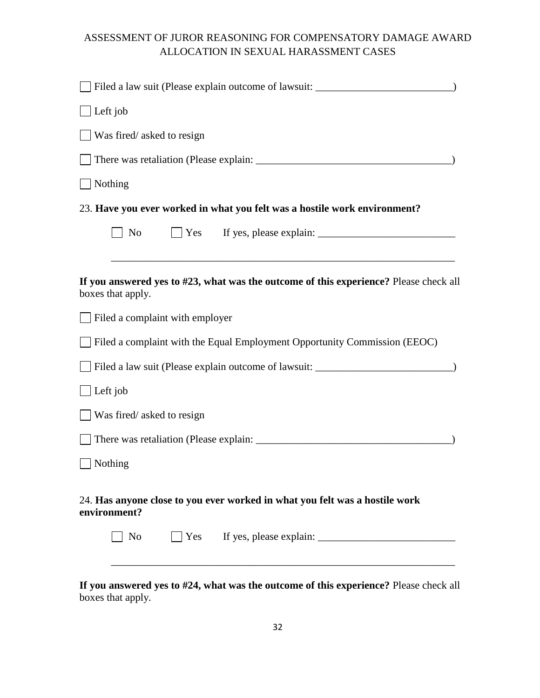| Filed a law suit (Please explain outcome of lawsuit: ___________________________                           |
|------------------------------------------------------------------------------------------------------------|
| Left job                                                                                                   |
| Was fired/asked to resign                                                                                  |
|                                                                                                            |
| Nothing                                                                                                    |
| 23. Have you ever worked in what you felt was a hostile work environment?                                  |
| N <sub>0</sub><br>$ $ Yes                                                                                  |
|                                                                                                            |
| If you answered yes to #23, what was the outcome of this experience? Please check all<br>boxes that apply. |
| $\Box$ Filed a complaint with employer                                                                     |
| Filed a complaint with the Equal Employment Opportunity Commission (EEOC)                                  |
| Filed a law suit (Please explain outcome of lawsuit: ____________________________                          |
| Left job                                                                                                   |
| Was fired/asked to resign                                                                                  |
|                                                                                                            |
| Nothing                                                                                                    |
| 24. Has anyone close to you ever worked in what you felt was a hostile work<br>environment?                |
| No                                                                                                         |
|                                                                                                            |

**If you answered yes to #24, what was the outcome of this experience?** Please check all boxes that apply.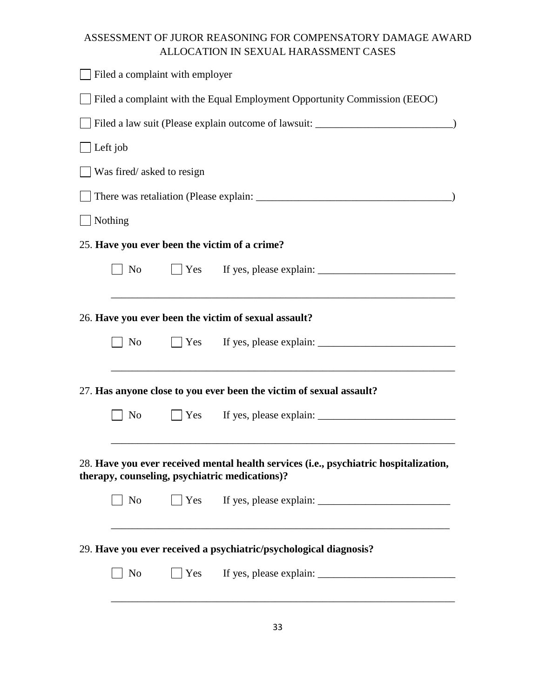|          | Filed a complaint with employer                                                   |  |                                                                                                                                         |  |  |  |  |  |  |
|----------|-----------------------------------------------------------------------------------|--|-----------------------------------------------------------------------------------------------------------------------------------------|--|--|--|--|--|--|
|          |                                                                                   |  | Filed a complaint with the Equal Employment Opportunity Commission (EEOC)                                                               |  |  |  |  |  |  |
|          | Filed a law suit (Please explain outcome of lawsuit: ____________________________ |  |                                                                                                                                         |  |  |  |  |  |  |
| Left job |                                                                                   |  |                                                                                                                                         |  |  |  |  |  |  |
|          | Was fired/asked to resign                                                         |  |                                                                                                                                         |  |  |  |  |  |  |
|          |                                                                                   |  |                                                                                                                                         |  |  |  |  |  |  |
| Nothing  |                                                                                   |  |                                                                                                                                         |  |  |  |  |  |  |
|          |                                                                                   |  | 25. Have you ever been the victim of a crime?                                                                                           |  |  |  |  |  |  |
|          | No                                                                                |  | □ Yes If yes, please explain: <u>_____________________</u>                                                                              |  |  |  |  |  |  |
|          |                                                                                   |  |                                                                                                                                         |  |  |  |  |  |  |
|          |                                                                                   |  | 26. Have you ever been the victim of sexual assault?                                                                                    |  |  |  |  |  |  |
|          | No                                                                                |  |                                                                                                                                         |  |  |  |  |  |  |
|          |                                                                                   |  |                                                                                                                                         |  |  |  |  |  |  |
|          |                                                                                   |  | 27. Has anyone close to you ever been the victim of sexual assault?                                                                     |  |  |  |  |  |  |
|          | No                                                                                |  |                                                                                                                                         |  |  |  |  |  |  |
|          |                                                                                   |  |                                                                                                                                         |  |  |  |  |  |  |
|          |                                                                                   |  | 28. Have you ever received mental health services (i.e., psychiatric hospitalization,<br>therapy, counseling, psychiatric medications)? |  |  |  |  |  |  |
|          | $\vert$ No                                                                        |  |                                                                                                                                         |  |  |  |  |  |  |
|          |                                                                                   |  | <u> 1989 - Johann Stein, marwolaethau a bhann an t-Amhain an t-Amhain an t-Amhain an t-Amhain an t-Amhain an t-A</u>                    |  |  |  |  |  |  |
|          |                                                                                   |  | 29. Have you ever received a psychiatric/psychological diagnosis?                                                                       |  |  |  |  |  |  |
|          | N <sub>o</sub>                                                                    |  |                                                                                                                                         |  |  |  |  |  |  |
|          |                                                                                   |  |                                                                                                                                         |  |  |  |  |  |  |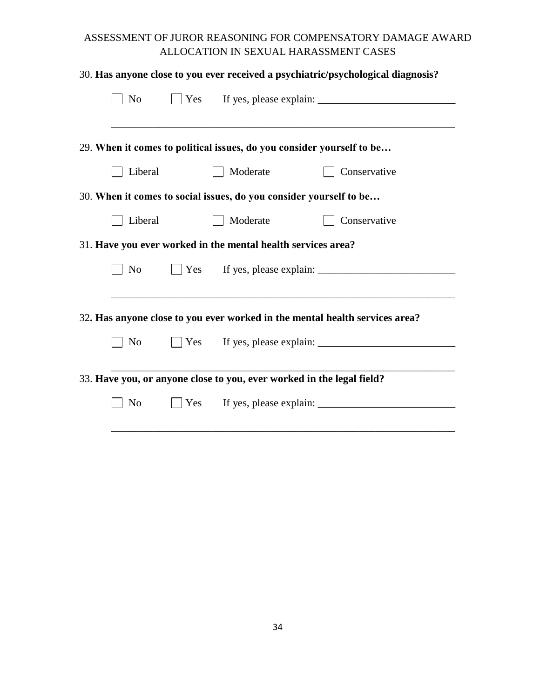|                                                              |     |          | 30. Has anyone close to you ever received a psychiatric/psychological diagnosis? |
|--------------------------------------------------------------|-----|----------|----------------------------------------------------------------------------------|
| N <sub>o</sub>                                               |     |          |                                                                                  |
|                                                              |     |          |                                                                                  |
|                                                              |     |          | 29. When it comes to political issues, do you consider yourself to be            |
| Liberal                                                      |     | Moderate | Conservative                                                                     |
|                                                              |     |          | 30. When it comes to social issues, do you consider yourself to be               |
| Liberal                                                      |     | Moderate | Conservative                                                                     |
| 31. Have you ever worked in the mental health services area? |     |          |                                                                                  |
| No                                                           |     |          | $\Box$ Yes If yes, please explain: $\Box$                                        |
|                                                              |     |          |                                                                                  |
|                                                              |     |          | 32. Has anyone close to you ever worked in the mental health services area?      |
| N <sub>o</sub>                                               |     |          |                                                                                  |
|                                                              |     |          |                                                                                  |
|                                                              |     |          | 33. Have you, or anyone close to you, ever worked in the legal field?            |
| N <sub>o</sub>                                               | Yes |          |                                                                                  |
|                                                              |     |          |                                                                                  |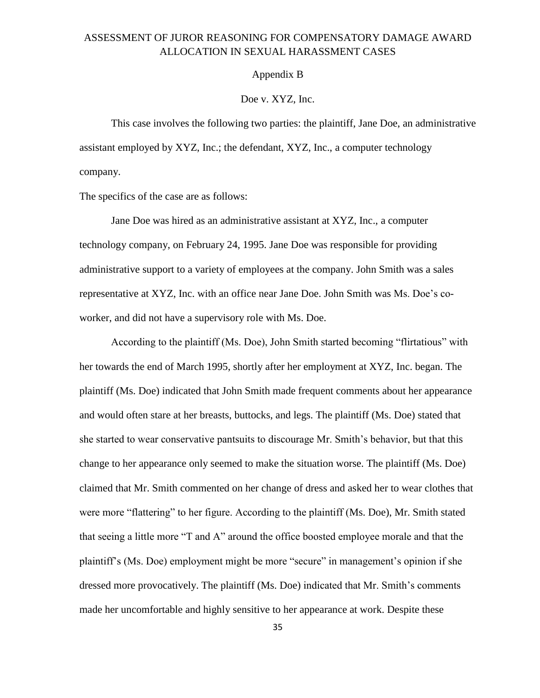#### Appendix B

#### Doe v. XYZ, Inc.

This case involves the following two parties: the plaintiff, Jane Doe, an administrative assistant employed by XYZ, Inc.; the defendant, XYZ, Inc., a computer technology company.

The specifics of the case are as follows:

Jane Doe was hired as an administrative assistant at XYZ, Inc., a computer technology company, on February 24, 1995. Jane Doe was responsible for providing administrative support to a variety of employees at the company. John Smith was a sales representative at XYZ, Inc. with an office near Jane Doe. John Smith was Ms. Doe's coworker, and did not have a supervisory role with Ms. Doe.

According to the plaintiff (Ms. Doe), John Smith started becoming "flirtatious" with her towards the end of March 1995, shortly after her employment at XYZ, Inc. began. The plaintiff (Ms. Doe) indicated that John Smith made frequent comments about her appearance and would often stare at her breasts, buttocks, and legs. The plaintiff (Ms. Doe) stated that she started to wear conservative pantsuits to discourage Mr. Smith's behavior, but that this change to her appearance only seemed to make the situation worse. The plaintiff (Ms. Doe) claimed that Mr. Smith commented on her change of dress and asked her to wear clothes that were more "flattering" to her figure. According to the plaintiff (Ms. Doe), Mr. Smith stated that seeing a little more "T and A" around the office boosted employee morale and that the plaintiff's (Ms. Doe) employment might be more "secure" in management's opinion if she dressed more provocatively. The plaintiff (Ms. Doe) indicated that Mr. Smith's comments made her uncomfortable and highly sensitive to her appearance at work. Despite these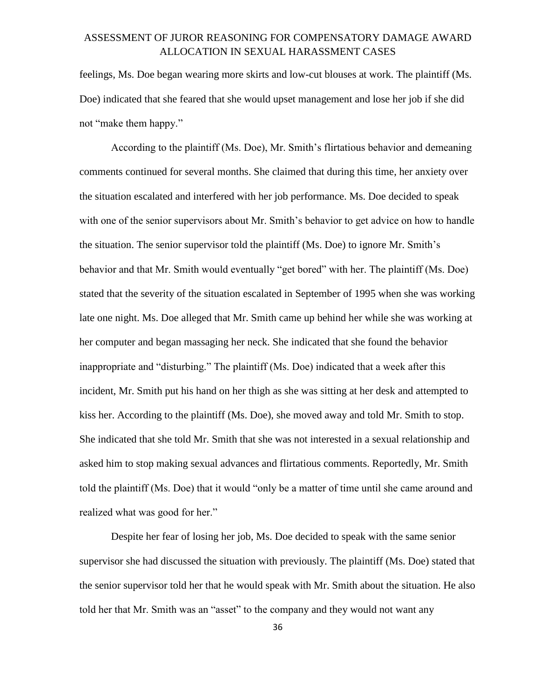feelings, Ms. Doe began wearing more skirts and low-cut blouses at work. The plaintiff (Ms. Doe) indicated that she feared that she would upset management and lose her job if she did not "make them happy."

According to the plaintiff (Ms. Doe), Mr. Smith's flirtatious behavior and demeaning comments continued for several months. She claimed that during this time, her anxiety over the situation escalated and interfered with her job performance. Ms. Doe decided to speak with one of the senior supervisors about Mr. Smith's behavior to get advice on how to handle the situation. The senior supervisor told the plaintiff (Ms. Doe) to ignore Mr. Smith's behavior and that Mr. Smith would eventually "get bored" with her. The plaintiff (Ms. Doe) stated that the severity of the situation escalated in September of 1995 when she was working late one night. Ms. Doe alleged that Mr. Smith came up behind her while she was working at her computer and began massaging her neck. She indicated that she found the behavior inappropriate and "disturbing." The plaintiff (Ms. Doe) indicated that a week after this incident, Mr. Smith put his hand on her thigh as she was sitting at her desk and attempted to kiss her. According to the plaintiff (Ms. Doe), she moved away and told Mr. Smith to stop. She indicated that she told Mr. Smith that she was not interested in a sexual relationship and asked him to stop making sexual advances and flirtatious comments. Reportedly, Mr. Smith told the plaintiff (Ms. Doe) that it would "only be a matter of time until she came around and realized what was good for her."

Despite her fear of losing her job, Ms. Doe decided to speak with the same senior supervisor she had discussed the situation with previously. The plaintiff (Ms. Doe) stated that the senior supervisor told her that he would speak with Mr. Smith about the situation. He also told her that Mr. Smith was an "asset" to the company and they would not want any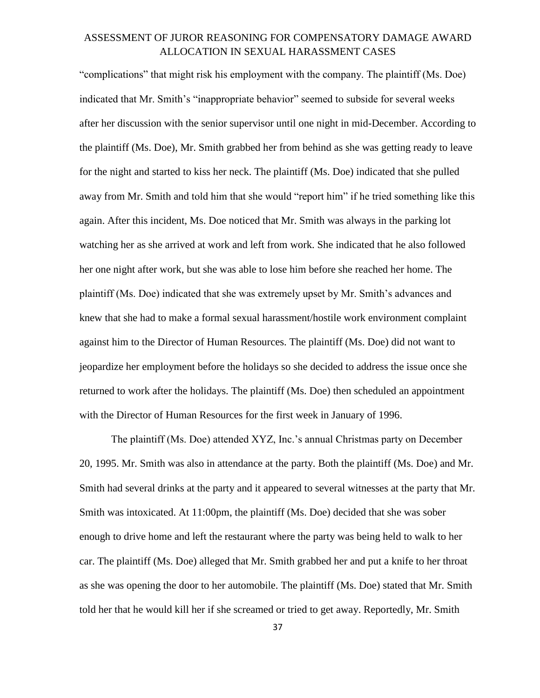"complications" that might risk his employment with the company. The plaintiff (Ms. Doe) indicated that Mr. Smith's "inappropriate behavior" seemed to subside for several weeks after her discussion with the senior supervisor until one night in mid-December. According to the plaintiff (Ms. Doe), Mr. Smith grabbed her from behind as she was getting ready to leave for the night and started to kiss her neck. The plaintiff (Ms. Doe) indicated that she pulled away from Mr. Smith and told him that she would "report him" if he tried something like this again. After this incident, Ms. Doe noticed that Mr. Smith was always in the parking lot watching her as she arrived at work and left from work. She indicated that he also followed her one night after work, but she was able to lose him before she reached her home. The plaintiff (Ms. Doe) indicated that she was extremely upset by Mr. Smith's advances and knew that she had to make a formal sexual harassment/hostile work environment complaint against him to the Director of Human Resources. The plaintiff (Ms. Doe) did not want to jeopardize her employment before the holidays so she decided to address the issue once she returned to work after the holidays. The plaintiff (Ms. Doe) then scheduled an appointment with the Director of Human Resources for the first week in January of 1996.

The plaintiff (Ms. Doe) attended XYZ, Inc.'s annual Christmas party on December 20, 1995. Mr. Smith was also in attendance at the party. Both the plaintiff (Ms. Doe) and Mr. Smith had several drinks at the party and it appeared to several witnesses at the party that Mr. Smith was intoxicated. At 11:00pm, the plaintiff (Ms. Doe) decided that she was sober enough to drive home and left the restaurant where the party was being held to walk to her car. The plaintiff (Ms. Doe) alleged that Mr. Smith grabbed her and put a knife to her throat as she was opening the door to her automobile. The plaintiff (Ms. Doe) stated that Mr. Smith told her that he would kill her if she screamed or tried to get away. Reportedly, Mr. Smith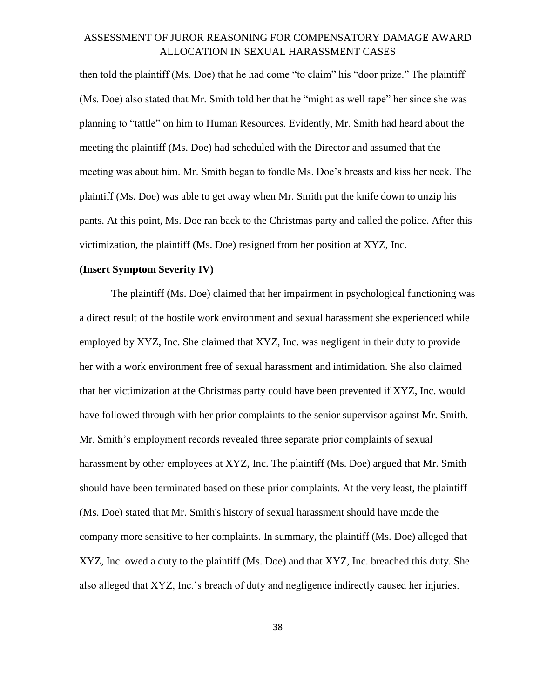then told the plaintiff (Ms. Doe) that he had come "to claim" his "door prize." The plaintiff (Ms. Doe) also stated that Mr. Smith told her that he "might as well rape" her since she was planning to "tattle" on him to Human Resources. Evidently, Mr. Smith had heard about the meeting the plaintiff (Ms. Doe) had scheduled with the Director and assumed that the meeting was about him. Mr. Smith began to fondle Ms. Doe's breasts and kiss her neck. The plaintiff (Ms. Doe) was able to get away when Mr. Smith put the knife down to unzip his pants. At this point, Ms. Doe ran back to the Christmas party and called the police. After this victimization, the plaintiff (Ms. Doe) resigned from her position at XYZ, Inc.

#### **(Insert Symptom Severity IV)**

The plaintiff (Ms. Doe) claimed that her impairment in psychological functioning was a direct result of the hostile work environment and sexual harassment she experienced while employed by XYZ, Inc. She claimed that XYZ, Inc. was negligent in their duty to provide her with a work environment free of sexual harassment and intimidation. She also claimed that her victimization at the Christmas party could have been prevented if XYZ, Inc. would have followed through with her prior complaints to the senior supervisor against Mr. Smith. Mr. Smith's employment records revealed three separate prior complaints of sexual harassment by other employees at XYZ, Inc. The plaintiff (Ms. Doe) argued that Mr. Smith should have been terminated based on these prior complaints. At the very least, the plaintiff (Ms. Doe) stated that Mr. Smith's history of sexual harassment should have made the company more sensitive to her complaints. In summary, the plaintiff (Ms. Doe) alleged that XYZ, Inc. owed a duty to the plaintiff (Ms. Doe) and that XYZ, Inc. breached this duty. She also alleged that XYZ, Inc.'s breach of duty and negligence indirectly caused her injuries.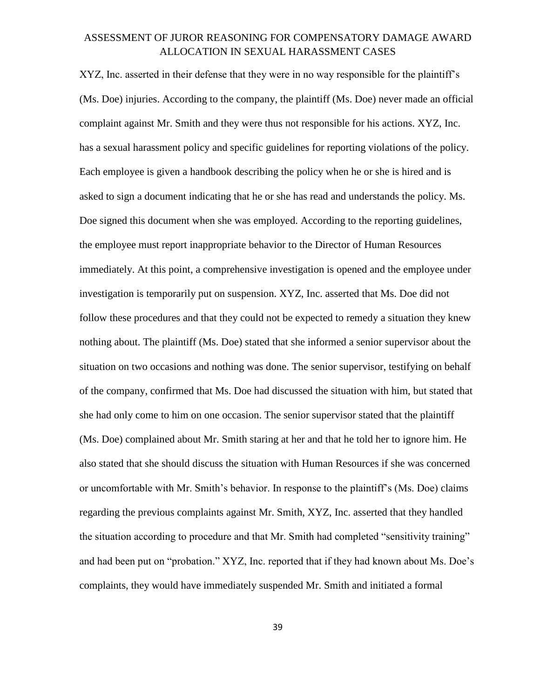XYZ, Inc. asserted in their defense that they were in no way responsible for the plaintiff's (Ms. Doe) injuries. According to the company, the plaintiff (Ms. Doe) never made an official complaint against Mr. Smith and they were thus not responsible for his actions. XYZ, Inc. has a sexual harassment policy and specific guidelines for reporting violations of the policy. Each employee is given a handbook describing the policy when he or she is hired and is asked to sign a document indicating that he or she has read and understands the policy. Ms. Doe signed this document when she was employed. According to the reporting guidelines, the employee must report inappropriate behavior to the Director of Human Resources immediately. At this point, a comprehensive investigation is opened and the employee under investigation is temporarily put on suspension. XYZ, Inc. asserted that Ms. Doe did not follow these procedures and that they could not be expected to remedy a situation they knew nothing about. The plaintiff (Ms. Doe) stated that she informed a senior supervisor about the situation on two occasions and nothing was done. The senior supervisor, testifying on behalf of the company, confirmed that Ms. Doe had discussed the situation with him, but stated that she had only come to him on one occasion. The senior supervisor stated that the plaintiff (Ms. Doe) complained about Mr. Smith staring at her and that he told her to ignore him. He also stated that she should discuss the situation with Human Resources if she was concerned or uncomfortable with Mr. Smith's behavior. In response to the plaintiff's (Ms. Doe) claims regarding the previous complaints against Mr. Smith, XYZ, Inc. asserted that they handled the situation according to procedure and that Mr. Smith had completed "sensitivity training" and had been put on "probation." XYZ, Inc. reported that if they had known about Ms. Doe's complaints, they would have immediately suspended Mr. Smith and initiated a formal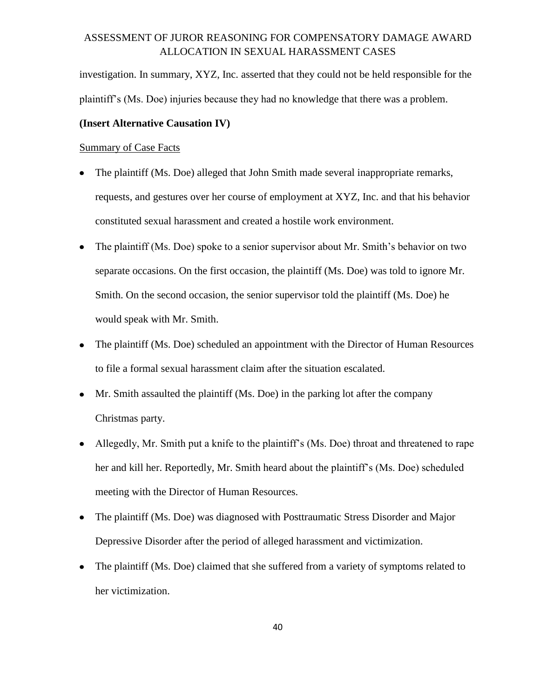investigation. In summary, XYZ, Inc. asserted that they could not be held responsible for the plaintiff's (Ms. Doe) injuries because they had no knowledge that there was a problem.

#### **(Insert Alternative Causation IV)**

#### Summary of Case Facts

- The plaintiff (Ms. Doe) alleged that John Smith made several inappropriate remarks, requests, and gestures over her course of employment at XYZ, Inc. and that his behavior constituted sexual harassment and created a hostile work environment.
- The plaintiff (Ms. Doe) spoke to a senior supervisor about Mr. Smith's behavior on two separate occasions. On the first occasion, the plaintiff (Ms. Doe) was told to ignore Mr. Smith. On the second occasion, the senior supervisor told the plaintiff (Ms. Doe) he would speak with Mr. Smith.
- The plaintiff (Ms. Doe) scheduled an appointment with the Director of Human Resources  $\bullet$ to file a formal sexual harassment claim after the situation escalated.
- Mr. Smith assaulted the plaintiff (Ms. Doe) in the parking lot after the company Christmas party.
- Allegedly, Mr. Smith put a knife to the plaintiff's (Ms. Doe) throat and threatened to rape  $\bullet$ her and kill her. Reportedly, Mr. Smith heard about the plaintiff's (Ms. Doe) scheduled meeting with the Director of Human Resources.
- The plaintiff (Ms. Doe) was diagnosed with Posttraumatic Stress Disorder and Major  $\bullet$ Depressive Disorder after the period of alleged harassment and victimization.
- The plaintiff (Ms. Doe) claimed that she suffered from a variety of symptoms related to  $\bullet$ her victimization.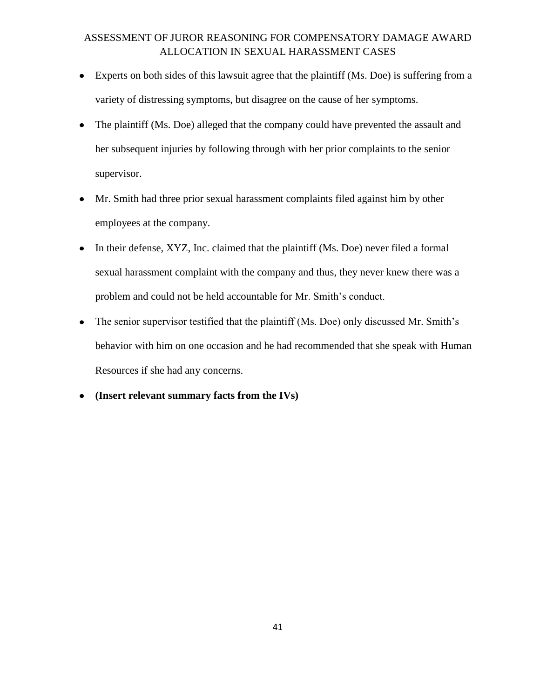- Experts on both sides of this lawsuit agree that the plaintiff (Ms. Doe) is suffering from a variety of distressing symptoms, but disagree on the cause of her symptoms.
- The plaintiff (Ms. Doe) alleged that the company could have prevented the assault and her subsequent injuries by following through with her prior complaints to the senior supervisor.
- Mr. Smith had three prior sexual harassment complaints filed against him by other employees at the company.
- In their defense, XYZ, Inc. claimed that the plaintiff (Ms. Doe) never filed a formal sexual harassment complaint with the company and thus, they never knew there was a problem and could not be held accountable for Mr. Smith's conduct.
- The senior supervisor testified that the plaintiff (Ms. Doe) only discussed Mr. Smith's  $\bullet$ behavior with him on one occasion and he had recommended that she speak with Human Resources if she had any concerns.
- **(Insert relevant summary facts from the IVs)** $\bullet$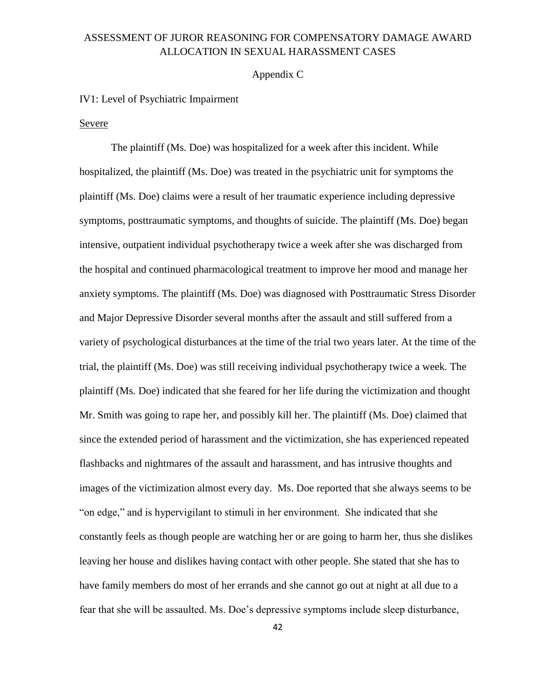#### Appendix C

#### IV1: Level of Psychiatric Impairment

#### Severe

The plaintiff (Ms. Doe) was hospitalized for a week after this incident. While hospitalized, the plaintiff (Ms. Doe) was treated in the psychiatric unit for symptoms the plaintiff (Ms. Doe) claims were a result of her traumatic experience including depressive symptoms, posttraumatic symptoms, and thoughts of suicide. The plaintiff (Ms. Doe) began intensive, outpatient individual psychotherapy twice a week after she was discharged from the hospital and continued pharmacological treatment to improve her mood and manage her anxiety symptoms. The plaintiff (Ms. Doe) was diagnosed with Posttraumatic Stress Disorder and Major Depressive Disorder several months after the assault and still suffered from a variety of psychological disturbances at the time of the trial two years later. At the time of the trial, the plaintiff (Ms. Doe) was still receiving individual psychotherapy twice a week. The plaintiff (Ms. Doe) indicated that she feared for her life during the victimization and thought Mr. Smith was going to rape her, and possibly kill her. The plaintiff (Ms. Doe) claimed that since the extended period of harassment and the victimization, she has experienced repeated flashbacks and nightmares of the assault and harassment, and has intrusive thoughts and images of the victimization almost every day. Ms. Doe reported that she always seems to be "on edge," and is hypervigilant to stimuli in her environment. She indicated that she constantly feels as though people are watching her or are going to harm her, thus she dislikes leaving her house and dislikes having contact with other people. She stated that she has to have family members do most of her errands and she cannot go out at night at all due to a fear that she will be assaulted. Ms. Doe's depressive symptoms include sleep disturbance,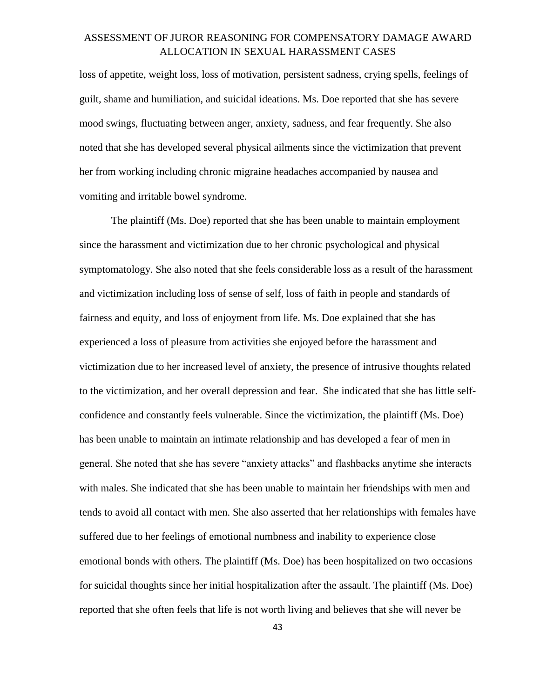loss of appetite, weight loss, loss of motivation, persistent sadness, crying spells, feelings of guilt, shame and humiliation, and suicidal ideations. Ms. Doe reported that she has severe mood swings, fluctuating between anger, anxiety, sadness, and fear frequently. She also noted that she has developed several physical ailments since the victimization that prevent her from working including chronic migraine headaches accompanied by nausea and vomiting and irritable bowel syndrome.

The plaintiff (Ms. Doe) reported that she has been unable to maintain employment since the harassment and victimization due to her chronic psychological and physical symptomatology. She also noted that she feels considerable loss as a result of the harassment and victimization including loss of sense of self, loss of faith in people and standards of fairness and equity, and loss of enjoyment from life. Ms. Doe explained that she has experienced a loss of pleasure from activities she enjoyed before the harassment and victimization due to her increased level of anxiety, the presence of intrusive thoughts related to the victimization, and her overall depression and fear. She indicated that she has little selfconfidence and constantly feels vulnerable. Since the victimization, the plaintiff (Ms. Doe) has been unable to maintain an intimate relationship and has developed a fear of men in general. She noted that she has severe "anxiety attacks" and flashbacks anytime she interacts with males. She indicated that she has been unable to maintain her friendships with men and tends to avoid all contact with men. She also asserted that her relationships with females have suffered due to her feelings of emotional numbness and inability to experience close emotional bonds with others. The plaintiff (Ms. Doe) has been hospitalized on two occasions for suicidal thoughts since her initial hospitalization after the assault. The plaintiff (Ms. Doe) reported that she often feels that life is not worth living and believes that she will never be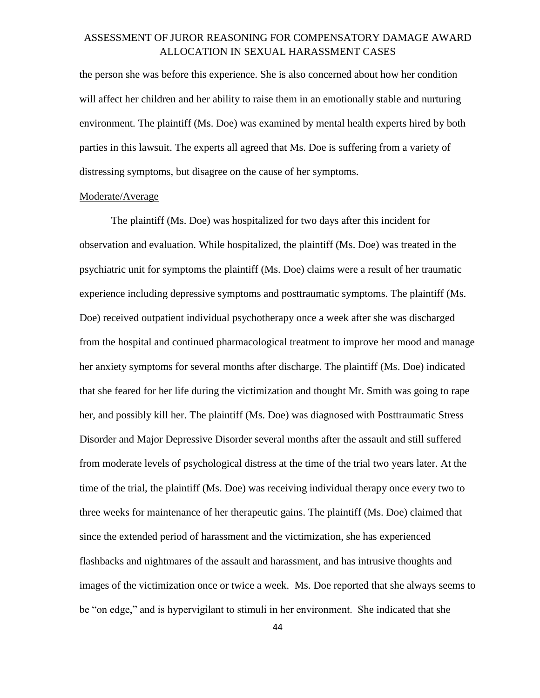the person she was before this experience. She is also concerned about how her condition will affect her children and her ability to raise them in an emotionally stable and nurturing environment. The plaintiff (Ms. Doe) was examined by mental health experts hired by both parties in this lawsuit. The experts all agreed that Ms. Doe is suffering from a variety of distressing symptoms, but disagree on the cause of her symptoms.

#### Moderate/Average

The plaintiff (Ms. Doe) was hospitalized for two days after this incident for observation and evaluation. While hospitalized, the plaintiff (Ms. Doe) was treated in the psychiatric unit for symptoms the plaintiff (Ms. Doe) claims were a result of her traumatic experience including depressive symptoms and posttraumatic symptoms. The plaintiff (Ms. Doe) received outpatient individual psychotherapy once a week after she was discharged from the hospital and continued pharmacological treatment to improve her mood and manage her anxiety symptoms for several months after discharge. The plaintiff (Ms. Doe) indicated that she feared for her life during the victimization and thought Mr. Smith was going to rape her, and possibly kill her. The plaintiff (Ms. Doe) was diagnosed with Posttraumatic Stress Disorder and Major Depressive Disorder several months after the assault and still suffered from moderate levels of psychological distress at the time of the trial two years later. At the time of the trial, the plaintiff (Ms. Doe) was receiving individual therapy once every two to three weeks for maintenance of her therapeutic gains. The plaintiff (Ms. Doe) claimed that since the extended period of harassment and the victimization, she has experienced flashbacks and nightmares of the assault and harassment, and has intrusive thoughts and images of the victimization once or twice a week. Ms. Doe reported that she always seems to be "on edge," and is hypervigilant to stimuli in her environment. She indicated that she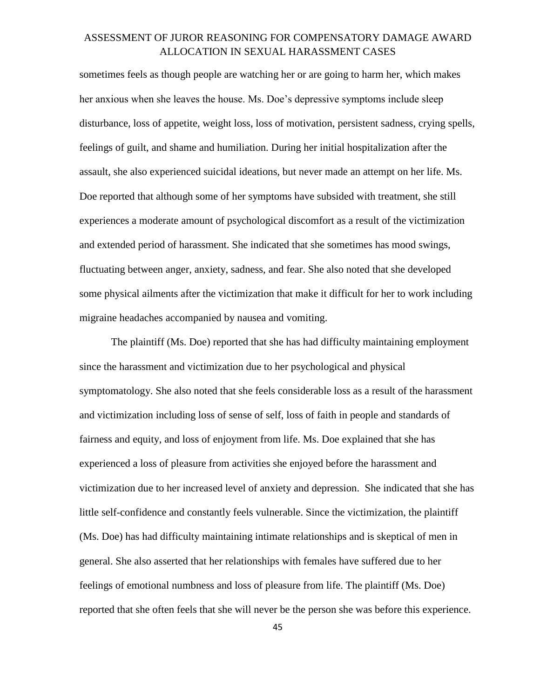sometimes feels as though people are watching her or are going to harm her, which makes her anxious when she leaves the house. Ms. Doe's depressive symptoms include sleep disturbance, loss of appetite, weight loss, loss of motivation, persistent sadness, crying spells, feelings of guilt, and shame and humiliation. During her initial hospitalization after the assault, she also experienced suicidal ideations, but never made an attempt on her life. Ms. Doe reported that although some of her symptoms have subsided with treatment, she still experiences a moderate amount of psychological discomfort as a result of the victimization and extended period of harassment. She indicated that she sometimes has mood swings, fluctuating between anger, anxiety, sadness, and fear. She also noted that she developed some physical ailments after the victimization that make it difficult for her to work including migraine headaches accompanied by nausea and vomiting.

The plaintiff (Ms. Doe) reported that she has had difficulty maintaining employment since the harassment and victimization due to her psychological and physical symptomatology. She also noted that she feels considerable loss as a result of the harassment and victimization including loss of sense of self, loss of faith in people and standards of fairness and equity, and loss of enjoyment from life. Ms. Doe explained that she has experienced a loss of pleasure from activities she enjoyed before the harassment and victimization due to her increased level of anxiety and depression. She indicated that she has little self-confidence and constantly feels vulnerable. Since the victimization, the plaintiff (Ms. Doe) has had difficulty maintaining intimate relationships and is skeptical of men in general. She also asserted that her relationships with females have suffered due to her feelings of emotional numbness and loss of pleasure from life. The plaintiff (Ms. Doe) reported that she often feels that she will never be the person she was before this experience.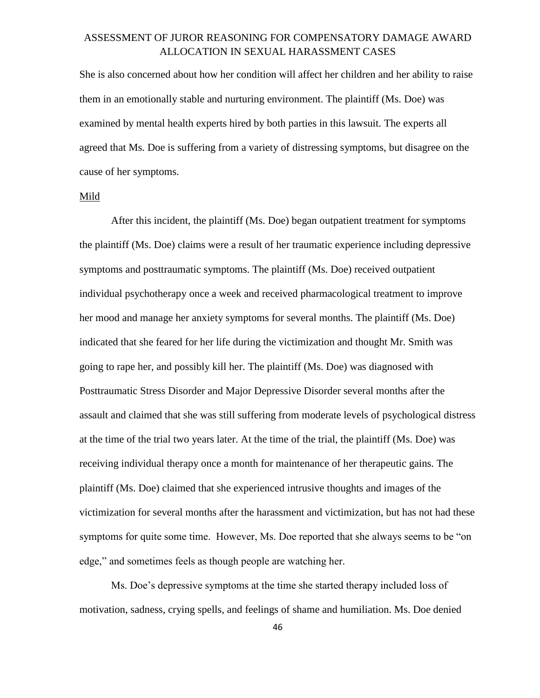She is also concerned about how her condition will affect her children and her ability to raise them in an emotionally stable and nurturing environment. The plaintiff (Ms. Doe) was examined by mental health experts hired by both parties in this lawsuit. The experts all agreed that Ms. Doe is suffering from a variety of distressing symptoms, but disagree on the cause of her symptoms.

#### Mild

After this incident, the plaintiff (Ms. Doe) began outpatient treatment for symptoms the plaintiff (Ms. Doe) claims were a result of her traumatic experience including depressive symptoms and posttraumatic symptoms. The plaintiff (Ms. Doe) received outpatient individual psychotherapy once a week and received pharmacological treatment to improve her mood and manage her anxiety symptoms for several months. The plaintiff (Ms. Doe) indicated that she feared for her life during the victimization and thought Mr. Smith was going to rape her, and possibly kill her. The plaintiff (Ms. Doe) was diagnosed with Posttraumatic Stress Disorder and Major Depressive Disorder several months after the assault and claimed that she was still suffering from moderate levels of psychological distress at the time of the trial two years later. At the time of the trial, the plaintiff (Ms. Doe) was receiving individual therapy once a month for maintenance of her therapeutic gains. The plaintiff (Ms. Doe) claimed that she experienced intrusive thoughts and images of the victimization for several months after the harassment and victimization, but has not had these symptoms for quite some time. However, Ms. Doe reported that she always seems to be "on edge," and sometimes feels as though people are watching her.

Ms. Doe's depressive symptoms at the time she started therapy included loss of motivation, sadness, crying spells, and feelings of shame and humiliation. Ms. Doe denied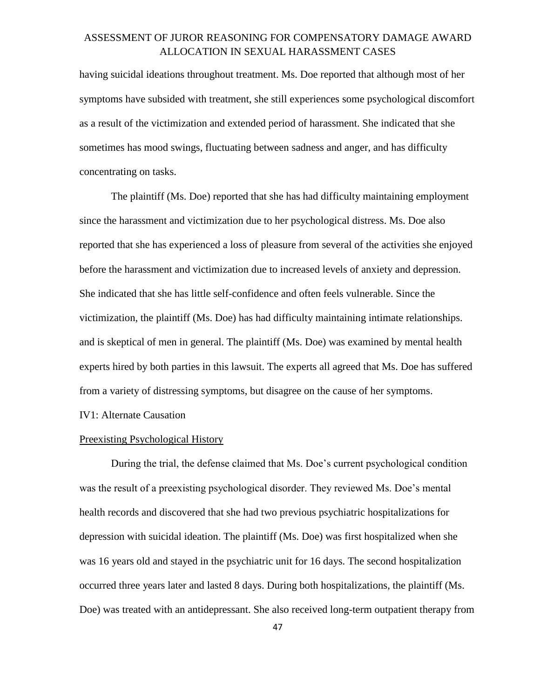having suicidal ideations throughout treatment. Ms. Doe reported that although most of her symptoms have subsided with treatment, she still experiences some psychological discomfort as a result of the victimization and extended period of harassment. She indicated that she sometimes has mood swings, fluctuating between sadness and anger, and has difficulty concentrating on tasks.

The plaintiff (Ms. Doe) reported that she has had difficulty maintaining employment since the harassment and victimization due to her psychological distress. Ms. Doe also reported that she has experienced a loss of pleasure from several of the activities she enjoyed before the harassment and victimization due to increased levels of anxiety and depression. She indicated that she has little self-confidence and often feels vulnerable. Since the victimization, the plaintiff (Ms. Doe) has had difficulty maintaining intimate relationships. and is skeptical of men in general. The plaintiff (Ms. Doe) was examined by mental health experts hired by both parties in this lawsuit. The experts all agreed that Ms. Doe has suffered from a variety of distressing symptoms, but disagree on the cause of her symptoms. IV1: Alternate Causation

#### Preexisting Psychological History

During the trial, the defense claimed that Ms. Doe's current psychological condition was the result of a preexisting psychological disorder. They reviewed Ms. Doe's mental health records and discovered that she had two previous psychiatric hospitalizations for depression with suicidal ideation. The plaintiff (Ms. Doe) was first hospitalized when she was 16 years old and stayed in the psychiatric unit for 16 days. The second hospitalization occurred three years later and lasted 8 days. During both hospitalizations, the plaintiff (Ms. Doe) was treated with an antidepressant. She also received long-term outpatient therapy from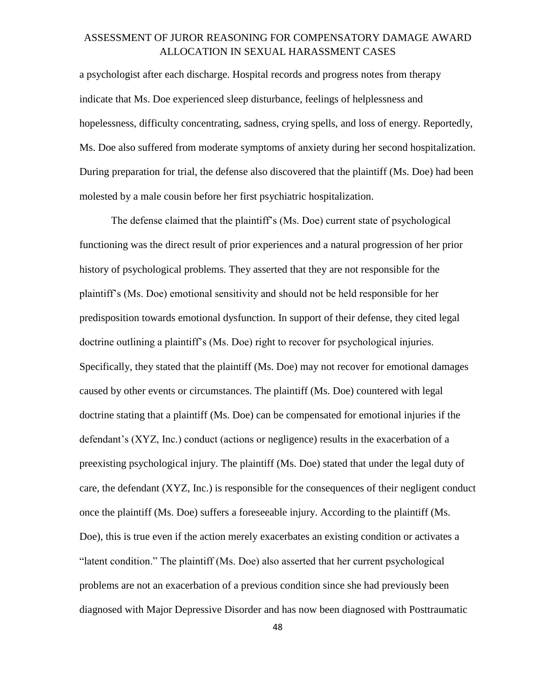a psychologist after each discharge. Hospital records and progress notes from therapy indicate that Ms. Doe experienced sleep disturbance, feelings of helplessness and hopelessness, difficulty concentrating, sadness, crying spells, and loss of energy. Reportedly, Ms. Doe also suffered from moderate symptoms of anxiety during her second hospitalization. During preparation for trial, the defense also discovered that the plaintiff (Ms. Doe) had been molested by a male cousin before her first psychiatric hospitalization.

The defense claimed that the plaintiff's (Ms. Doe) current state of psychological functioning was the direct result of prior experiences and a natural progression of her prior history of psychological problems. They asserted that they are not responsible for the plaintiff's (Ms. Doe) emotional sensitivity and should not be held responsible for her predisposition towards emotional dysfunction. In support of their defense, they cited legal doctrine outlining a plaintiff's (Ms. Doe) right to recover for psychological injuries. Specifically, they stated that the plaintiff (Ms. Doe) may not recover for emotional damages caused by other events or circumstances. The plaintiff (Ms. Doe) countered with legal doctrine stating that a plaintiff (Ms. Doe) can be compensated for emotional injuries if the defendant's (XYZ, Inc.) conduct (actions or negligence) results in the exacerbation of a preexisting psychological injury. The plaintiff (Ms. Doe) stated that under the legal duty of care, the defendant (XYZ, Inc.) is responsible for the consequences of their negligent conduct once the plaintiff (Ms. Doe) suffers a foreseeable injury. According to the plaintiff (Ms. Doe), this is true even if the action merely exacerbates an existing condition or activates a "latent condition." The plaintiff (Ms. Doe) also asserted that her current psychological problems are not an exacerbation of a previous condition since she had previously been diagnosed with Major Depressive Disorder and has now been diagnosed with Posttraumatic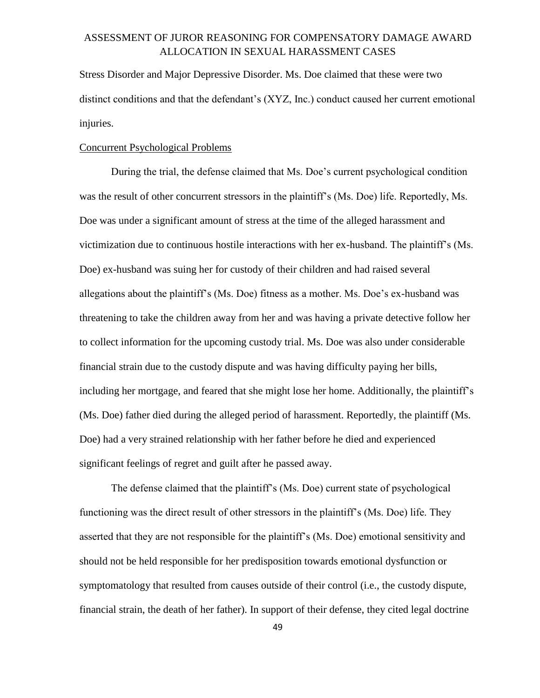Stress Disorder and Major Depressive Disorder. Ms. Doe claimed that these were two distinct conditions and that the defendant's (XYZ, Inc.) conduct caused her current emotional injuries.

#### Concurrent Psychological Problems

During the trial, the defense claimed that Ms. Doe's current psychological condition was the result of other concurrent stressors in the plaintiff's (Ms. Doe) life. Reportedly, Ms. Doe was under a significant amount of stress at the time of the alleged harassment and victimization due to continuous hostile interactions with her ex-husband. The plaintiff's (Ms. Doe) ex-husband was suing her for custody of their children and had raised several allegations about the plaintiff's (Ms. Doe) fitness as a mother. Ms. Doe's ex-husband was threatening to take the children away from her and was having a private detective follow her to collect information for the upcoming custody trial. Ms. Doe was also under considerable financial strain due to the custody dispute and was having difficulty paying her bills, including her mortgage, and feared that she might lose her home. Additionally, the plaintiff's (Ms. Doe) father died during the alleged period of harassment. Reportedly, the plaintiff (Ms. Doe) had a very strained relationship with her father before he died and experienced significant feelings of regret and guilt after he passed away.

The defense claimed that the plaintiff's (Ms. Doe) current state of psychological functioning was the direct result of other stressors in the plaintiff's (Ms. Doe) life. They asserted that they are not responsible for the plaintiff's (Ms. Doe) emotional sensitivity and should not be held responsible for her predisposition towards emotional dysfunction or symptomatology that resulted from causes outside of their control (i.e., the custody dispute, financial strain, the death of her father). In support of their defense, they cited legal doctrine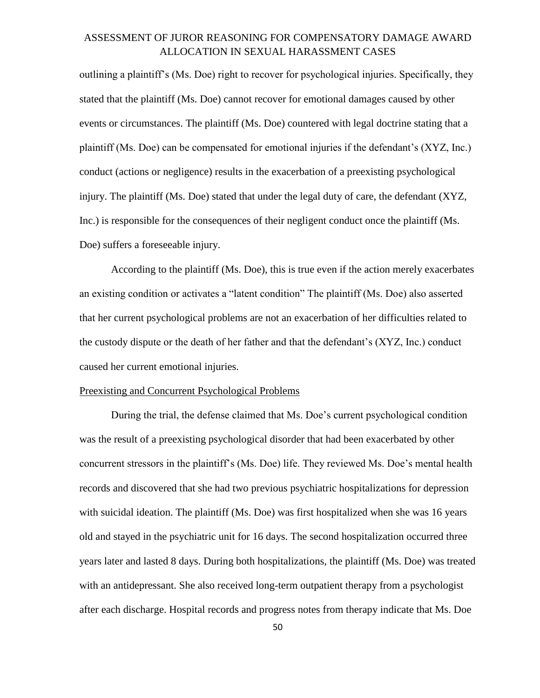outlining a plaintiff's (Ms. Doe) right to recover for psychological injuries. Specifically, they stated that the plaintiff (Ms. Doe) cannot recover for emotional damages caused by other events or circumstances. The plaintiff (Ms. Doe) countered with legal doctrine stating that a plaintiff (Ms. Doe) can be compensated for emotional injuries if the defendant's (XYZ, Inc.) conduct (actions or negligence) results in the exacerbation of a preexisting psychological injury. The plaintiff (Ms. Doe) stated that under the legal duty of care, the defendant (XYZ, Inc.) is responsible for the consequences of their negligent conduct once the plaintiff (Ms. Doe) suffers a foreseeable injury.

According to the plaintiff (Ms. Doe), this is true even if the action merely exacerbates an existing condition or activates a "latent condition" The plaintiff (Ms. Doe) also asserted that her current psychological problems are not an exacerbation of her difficulties related to the custody dispute or the death of her father and that the defendant's (XYZ, Inc.) conduct caused her current emotional injuries.

#### Preexisting and Concurrent Psychological Problems

During the trial, the defense claimed that Ms. Doe's current psychological condition was the result of a preexisting psychological disorder that had been exacerbated by other concurrent stressors in the plaintiff's (Ms. Doe) life. They reviewed Ms. Doe's mental health records and discovered that she had two previous psychiatric hospitalizations for depression with suicidal ideation. The plaintiff (Ms. Doe) was first hospitalized when she was 16 years old and stayed in the psychiatric unit for 16 days. The second hospitalization occurred three years later and lasted 8 days. During both hospitalizations, the plaintiff (Ms. Doe) was treated with an antidepressant. She also received long-term outpatient therapy from a psychologist after each discharge. Hospital records and progress notes from therapy indicate that Ms. Doe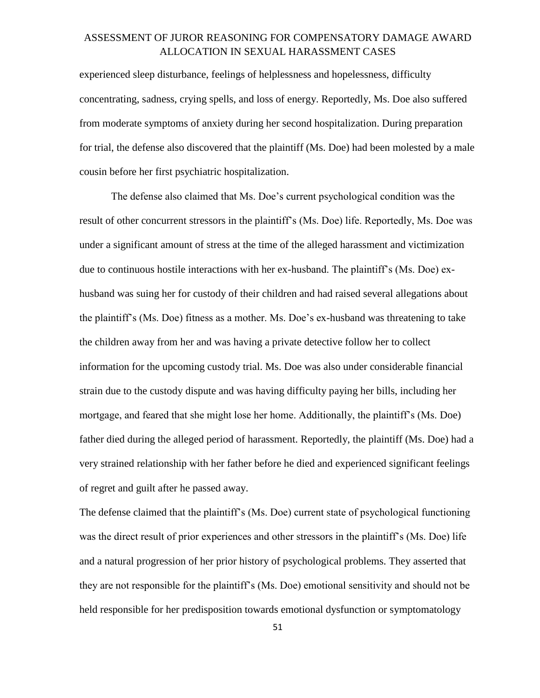experienced sleep disturbance, feelings of helplessness and hopelessness, difficulty concentrating, sadness, crying spells, and loss of energy. Reportedly, Ms. Doe also suffered from moderate symptoms of anxiety during her second hospitalization. During preparation for trial, the defense also discovered that the plaintiff (Ms. Doe) had been molested by a male cousin before her first psychiatric hospitalization.

The defense also claimed that Ms. Doe's current psychological condition was the result of other concurrent stressors in the plaintiff's (Ms. Doe) life. Reportedly, Ms. Doe was under a significant amount of stress at the time of the alleged harassment and victimization due to continuous hostile interactions with her ex-husband. The plaintiff's (Ms. Doe) exhusband was suing her for custody of their children and had raised several allegations about the plaintiff's (Ms. Doe) fitness as a mother. Ms. Doe's ex-husband was threatening to take the children away from her and was having a private detective follow her to collect information for the upcoming custody trial. Ms. Doe was also under considerable financial strain due to the custody dispute and was having difficulty paying her bills, including her mortgage, and feared that she might lose her home. Additionally, the plaintiff's (Ms. Doe) father died during the alleged period of harassment. Reportedly, the plaintiff (Ms. Doe) had a very strained relationship with her father before he died and experienced significant feelings of regret and guilt after he passed away.

The defense claimed that the plaintiff's (Ms. Doe) current state of psychological functioning was the direct result of prior experiences and other stressors in the plaintiff's (Ms. Doe) life and a natural progression of her prior history of psychological problems. They asserted that they are not responsible for the plaintiff's (Ms. Doe) emotional sensitivity and should not be held responsible for her predisposition towards emotional dysfunction or symptomatology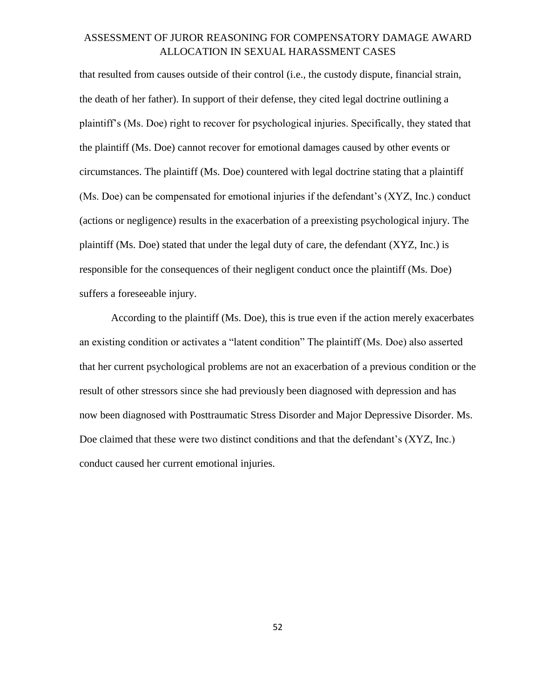that resulted from causes outside of their control (i.e., the custody dispute, financial strain, the death of her father). In support of their defense, they cited legal doctrine outlining a plaintiff's (Ms. Doe) right to recover for psychological injuries. Specifically, they stated that the plaintiff (Ms. Doe) cannot recover for emotional damages caused by other events or circumstances. The plaintiff (Ms. Doe) countered with legal doctrine stating that a plaintiff (Ms. Doe) can be compensated for emotional injuries if the defendant's (XYZ, Inc.) conduct (actions or negligence) results in the exacerbation of a preexisting psychological injury. The plaintiff (Ms. Doe) stated that under the legal duty of care, the defendant (XYZ, Inc.) is responsible for the consequences of their negligent conduct once the plaintiff (Ms. Doe) suffers a foreseeable injury.

According to the plaintiff (Ms. Doe), this is true even if the action merely exacerbates an existing condition or activates a "latent condition" The plaintiff (Ms. Doe) also asserted that her current psychological problems are not an exacerbation of a previous condition or the result of other stressors since she had previously been diagnosed with depression and has now been diagnosed with Posttraumatic Stress Disorder and Major Depressive Disorder. Ms. Doe claimed that these were two distinct conditions and that the defendant's (XYZ, Inc.) conduct caused her current emotional injuries.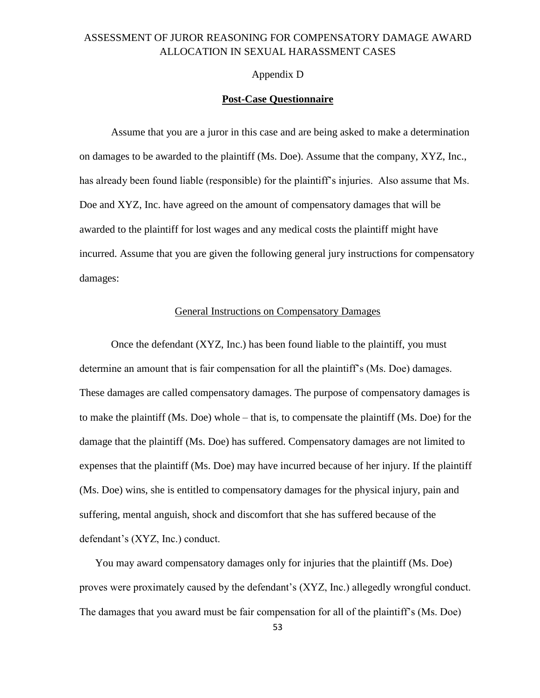#### Appendix D

### **Post-Case Questionnaire**

Assume that you are a juror in this case and are being asked to make a determination on damages to be awarded to the plaintiff (Ms. Doe). Assume that the company, XYZ, Inc., has already been found liable (responsible) for the plaintiff's injuries. Also assume that Ms. Doe and XYZ, Inc. have agreed on the amount of compensatory damages that will be awarded to the plaintiff for lost wages and any medical costs the plaintiff might have incurred. Assume that you are given the following general jury instructions for compensatory damages:

#### General Instructions on Compensatory Damages

Once the defendant (XYZ, Inc.) has been found liable to the plaintiff, you must determine an amount that is fair compensation for all the plaintiff's (Ms. Doe) damages. These damages are called compensatory damages. The purpose of compensatory damages is to make the plaintiff (Ms. Doe) whole – that is, to compensate the plaintiff (Ms. Doe) for the damage that the plaintiff (Ms. Doe) has suffered. Compensatory damages are not limited to expenses that the plaintiff (Ms. Doe) may have incurred because of her injury. If the plaintiff (Ms. Doe) wins, she is entitled to compensatory damages for the physical injury, pain and suffering, mental anguish, shock and discomfort that she has suffered because of the defendant's (XYZ, Inc.) conduct.

You may award compensatory damages only for injuries that the plaintiff (Ms. Doe) proves were proximately caused by the defendant's (XYZ, Inc.) allegedly wrongful conduct. The damages that you award must be fair compensation for all of the plaintiff's (Ms. Doe)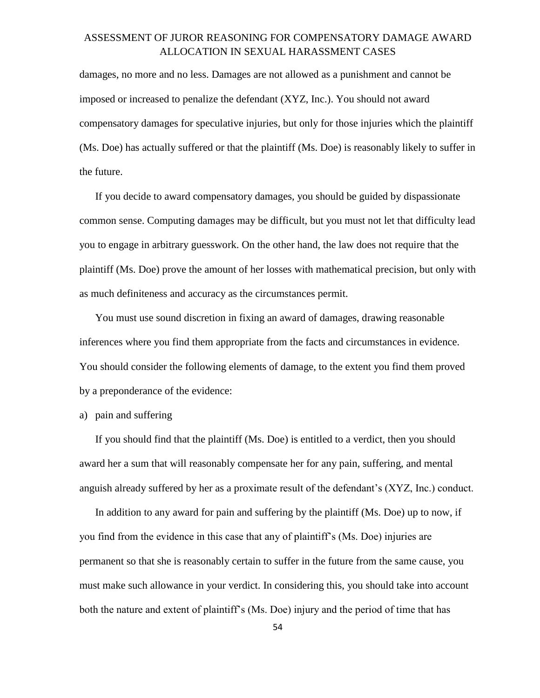damages, no more and no less. Damages are not allowed as a punishment and cannot be imposed or increased to penalize the defendant (XYZ, Inc.). You should not award compensatory damages for speculative injuries, but only for those injuries which the plaintiff (Ms. Doe) has actually suffered or that the plaintiff (Ms. Doe) is reasonably likely to suffer in the future.

If you decide to award compensatory damages, you should be guided by dispassionate common sense. Computing damages may be difficult, but you must not let that difficulty lead you to engage in arbitrary guesswork. On the other hand, the law does not require that the plaintiff (Ms. Doe) prove the amount of her losses with mathematical precision, but only with as much definiteness and accuracy as the circumstances permit.

You must use sound discretion in fixing an award of damages, drawing reasonable inferences where you find them appropriate from the facts and circumstances in evidence. You should consider the following elements of damage, to the extent you find them proved by a preponderance of the evidence:

a) pain and suffering

If you should find that the plaintiff (Ms. Doe) is entitled to a verdict, then you should award her a sum that will reasonably compensate her for any pain, suffering, and mental anguish already suffered by her as a proximate result of the defendant's (XYZ, Inc.) conduct.

In addition to any award for pain and suffering by the plaintiff (Ms. Doe) up to now, if you find from the evidence in this case that any of plaintiff's (Ms. Doe) injuries are permanent so that she is reasonably certain to suffer in the future from the same cause, you must make such allowance in your verdict. In considering this, you should take into account both the nature and extent of plaintiff's (Ms. Doe) injury and the period of time that has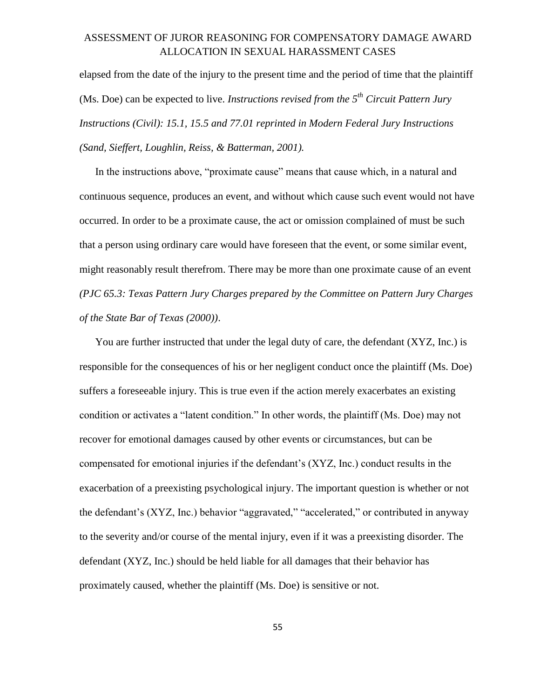elapsed from the date of the injury to the present time and the period of time that the plaintiff (Ms. Doe) can be expected to live. *Instructions revised from the 5th Circuit Pattern Jury Instructions (Civil): 15.1, 15.5 and 77.01 reprinted in Modern Federal Jury Instructions (Sand, Sieffert, Loughlin, Reiss, & Batterman, 2001).*

In the instructions above, "proximate cause" means that cause which, in a natural and continuous sequence, produces an event, and without which cause such event would not have occurred. In order to be a proximate cause, the act or omission complained of must be such that a person using ordinary care would have foreseen that the event, or some similar event, might reasonably result therefrom. There may be more than one proximate cause of an event *(PJC 65.3: Texas Pattern Jury Charges prepared by the Committee on Pattern Jury Charges of the State Bar of Texas (2000))*.

You are further instructed that under the legal duty of care, the defendant (XYZ, Inc.) is responsible for the consequences of his or her negligent conduct once the plaintiff (Ms. Doe) suffers a foreseeable injury. This is true even if the action merely exacerbates an existing condition or activates a "latent condition." In other words, the plaintiff (Ms. Doe) may not recover for emotional damages caused by other events or circumstances, but can be compensated for emotional injuries if the defendant's (XYZ, Inc.) conduct results in the exacerbation of a preexisting psychological injury. The important question is whether or not the defendant's (XYZ, Inc.) behavior "aggravated," "accelerated," or contributed in anyway to the severity and/or course of the mental injury, even if it was a preexisting disorder. The defendant (XYZ, Inc.) should be held liable for all damages that their behavior has proximately caused, whether the plaintiff (Ms. Doe) is sensitive or not.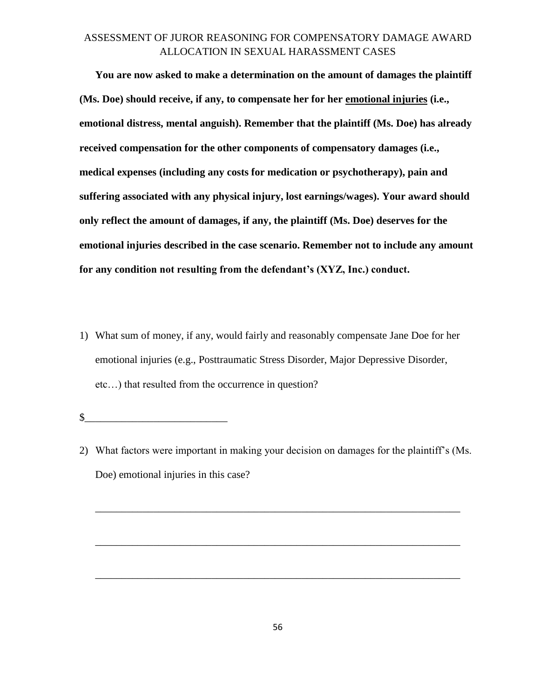**You are now asked to make a determination on the amount of damages the plaintiff (Ms. Doe) should receive, if any, to compensate her for her emotional injuries (i.e., emotional distress, mental anguish). Remember that the plaintiff (Ms. Doe) has already received compensation for the other components of compensatory damages (i.e., medical expenses (including any costs for medication or psychotherapy), pain and suffering associated with any physical injury, lost earnings/wages). Your award should only reflect the amount of damages, if any, the plaintiff (Ms. Doe) deserves for the emotional injuries described in the case scenario. Remember not to include any amount for any condition not resulting from the defendant's (XYZ, Inc.) conduct.**

1) What sum of money, if any, would fairly and reasonably compensate Jane Doe for her emotional injuries (e.g., Posttraumatic Stress Disorder, Major Depressive Disorder, etc…) that resulted from the occurrence in question?

 $\frac{1}{2}$ 

2) What factors were important in making your decision on damages for the plaintiff's (Ms. Doe) emotional injuries in this case?

\_\_\_\_\_\_\_\_\_\_\_\_\_\_\_\_\_\_\_\_\_\_\_\_\_\_\_\_\_\_\_\_\_\_\_\_\_\_\_\_\_\_\_\_\_\_\_\_\_\_\_\_\_\_\_\_\_\_\_\_\_\_\_\_\_\_\_\_\_

 $\overline{\phantom{a}}$  ,  $\overline{\phantom{a}}$  ,  $\overline{\phantom{a}}$  ,  $\overline{\phantom{a}}$  ,  $\overline{\phantom{a}}$  ,  $\overline{\phantom{a}}$  ,  $\overline{\phantom{a}}$  ,  $\overline{\phantom{a}}$  ,  $\overline{\phantom{a}}$  ,  $\overline{\phantom{a}}$  ,  $\overline{\phantom{a}}$  ,  $\overline{\phantom{a}}$  ,  $\overline{\phantom{a}}$  ,  $\overline{\phantom{a}}$  ,  $\overline{\phantom{a}}$  ,  $\overline{\phantom{a}}$ 

\_\_\_\_\_\_\_\_\_\_\_\_\_\_\_\_\_\_\_\_\_\_\_\_\_\_\_\_\_\_\_\_\_\_\_\_\_\_\_\_\_\_\_\_\_\_\_\_\_\_\_\_\_\_\_\_\_\_\_\_\_\_\_\_\_\_\_\_\_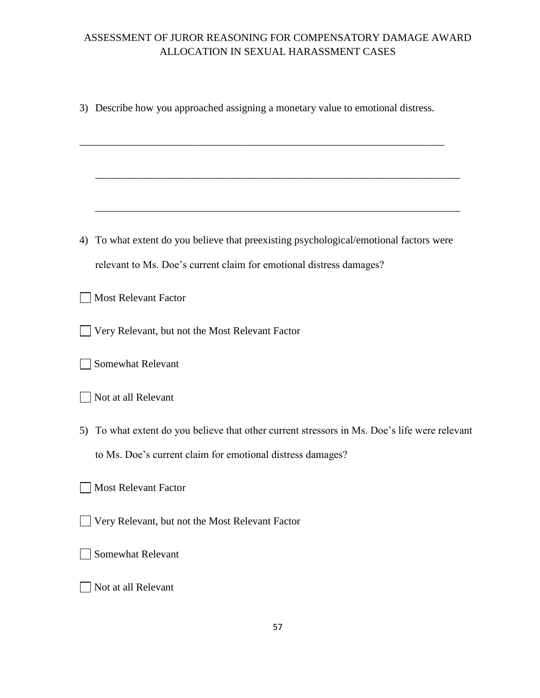|    | 3) Describe how you approached assigning a monetary value to emotional distress.                                                                         |
|----|----------------------------------------------------------------------------------------------------------------------------------------------------------|
|    |                                                                                                                                                          |
|    |                                                                                                                                                          |
| 4) | To what extent do you believe that preexisting psychological/emotional factors were                                                                      |
|    | relevant to Ms. Doe's current claim for emotional distress damages?                                                                                      |
|    | <b>Most Relevant Factor</b>                                                                                                                              |
|    | Very Relevant, but not the Most Relevant Factor                                                                                                          |
|    | Somewhat Relevant                                                                                                                                        |
|    | Not at all Relevant                                                                                                                                      |
| 5) | To what extent do you believe that other current stressors in Ms. Doe's life were relevant<br>to Ms. Doe's current claim for emotional distress damages? |
|    | Most Relevant Factor                                                                                                                                     |
|    | Very Relevant, but not the Most Relevant Factor                                                                                                          |
|    | <b>Somewhat Relevant</b>                                                                                                                                 |
|    | Not at all Relevant                                                                                                                                      |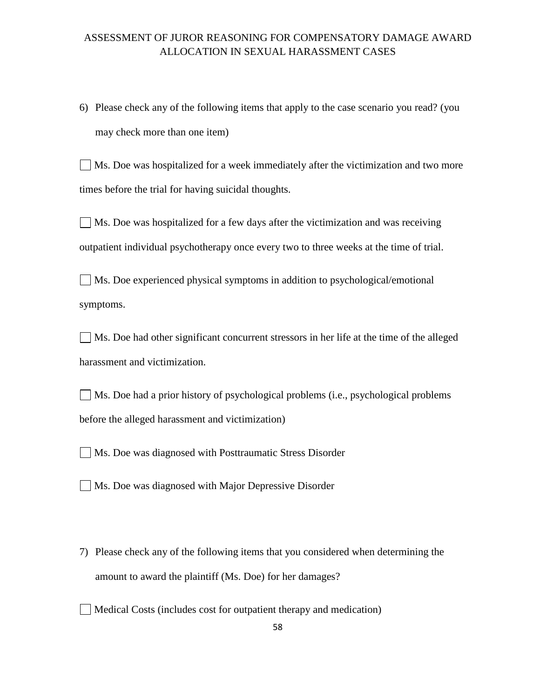6) Please check any of the following items that apply to the case scenario you read? (you may check more than one item)

Ms. Doe was hospitalized for a week immediately after the victimization and two more times before the trial for having suicidal thoughts.

Ms. Doe was hospitalized for a few days after the victimization and was receiving outpatient individual psychotherapy once every two to three weeks at the time of trial.

Ms. Doe experienced physical symptoms in addition to psychological/emotional symptoms.

Ms. Doe had other significant concurrent stressors in her life at the time of the alleged harassment and victimization.

Ms. Doe had a prior history of psychological problems (i.e., psychological problems before the alleged harassment and victimization)

Ms. Doe was diagnosed with Posttraumatic Stress Disorder

Ms. Doe was diagnosed with Major Depressive Disorder

7) Please check any of the following items that you considered when determining the amount to award the plaintiff (Ms. Doe) for her damages?

 $\Box$  Medical Costs (includes cost for outpatient therapy and medication)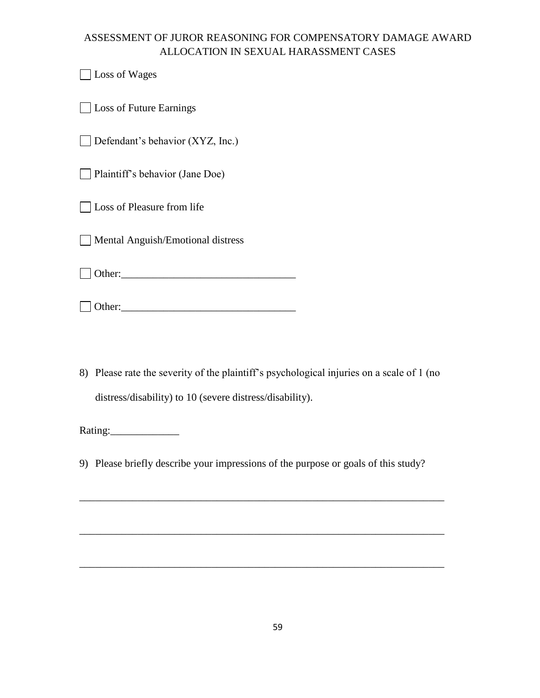Loss of Wages

**Loss of Future Earnings** 

 $\Box$  Defendant's behavior (XYZ, Inc.)

Plaintiff's behavior (Jane Doe)

**Loss of Pleasure from life** 

Mental Anguish/Emotional distress

Other:\_\_\_\_\_\_\_\_\_\_\_\_\_\_\_\_\_\_\_\_\_\_\_\_\_\_\_\_\_\_\_\_\_

 $\Box$  Other:

8) Please rate the severity of the plaintiff's psychological injuries on a scale of 1 (no distress/disability) to 10 (severe distress/disability).

Rating:\_\_\_\_\_\_\_\_\_\_\_\_\_

9) Please briefly describe your impressions of the purpose or goals of this study?

\_\_\_\_\_\_\_\_\_\_\_\_\_\_\_\_\_\_\_\_\_\_\_\_\_\_\_\_\_\_\_\_\_\_\_\_\_\_\_\_\_\_\_\_\_\_\_\_\_\_\_\_\_\_\_\_\_\_\_\_\_\_\_\_\_\_\_\_\_

\_\_\_\_\_\_\_\_\_\_\_\_\_\_\_\_\_\_\_\_\_\_\_\_\_\_\_\_\_\_\_\_\_\_\_\_\_\_\_\_\_\_\_\_\_\_\_\_\_\_\_\_\_\_\_\_\_\_\_\_\_\_\_\_\_\_\_\_\_

\_\_\_\_\_\_\_\_\_\_\_\_\_\_\_\_\_\_\_\_\_\_\_\_\_\_\_\_\_\_\_\_\_\_\_\_\_\_\_\_\_\_\_\_\_\_\_\_\_\_\_\_\_\_\_\_\_\_\_\_\_\_\_\_\_\_\_\_\_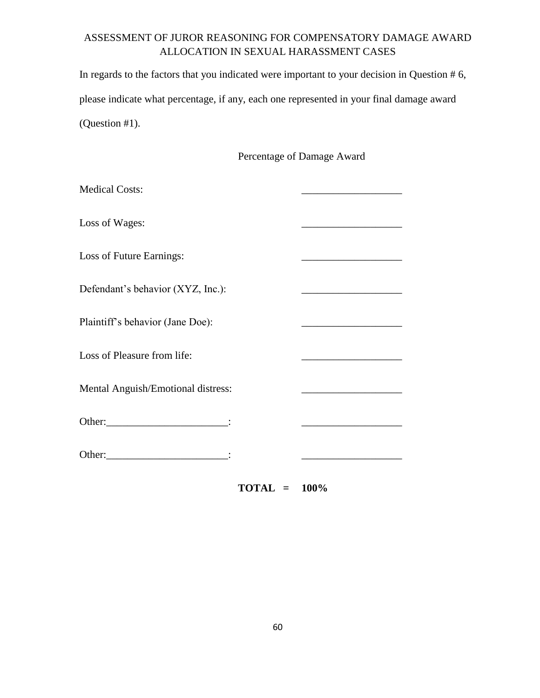In regards to the factors that you indicated were important to your decision in Question # 6, please indicate what percentage, if any, each one represented in your final damage award (Question #1).

Percentage of Damage Award

| <b>Medical Costs:</b>              |                                                                                                                                                                                                                                      |
|------------------------------------|--------------------------------------------------------------------------------------------------------------------------------------------------------------------------------------------------------------------------------------|
| Loss of Wages:                     |                                                                                                                                                                                                                                      |
| Loss of Future Earnings:           |                                                                                                                                                                                                                                      |
| Defendant's behavior (XYZ, Inc.):  |                                                                                                                                                                                                                                      |
| Plaintiff's behavior (Jane Doe):   |                                                                                                                                                                                                                                      |
| Loss of Pleasure from life:        | <u> 1989 - Johann John Harry Harry Harry Harry Harry Harry Harry Harry Harry Harry Harry Harry Harry Harry Harry Harry Harry Harry Harry Harry Harry Harry Harry Harry Harry Harry Harry Harry Harry Harry Harry Harry Harry Har</u> |
| Mental Anguish/Emotional distress: |                                                                                                                                                                                                                                      |
|                                    |                                                                                                                                                                                                                                      |
|                                    |                                                                                                                                                                                                                                      |

**TOTAL = 100%**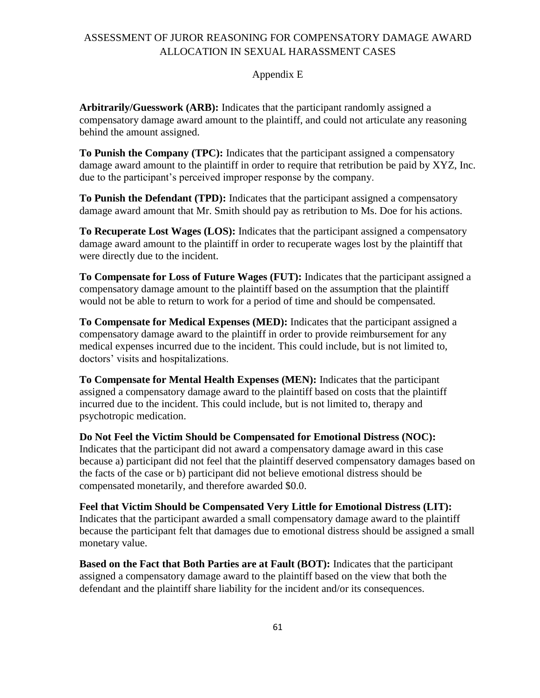### Appendix E

**Arbitrarily/Guesswork (ARB):** Indicates that the participant randomly assigned a compensatory damage award amount to the plaintiff, and could not articulate any reasoning behind the amount assigned.

**To Punish the Company (TPC):** Indicates that the participant assigned a compensatory damage award amount to the plaintiff in order to require that retribution be paid by XYZ, Inc. due to the participant's perceived improper response by the company.

**To Punish the Defendant (TPD):** Indicates that the participant assigned a compensatory damage award amount that Mr. Smith should pay as retribution to Ms. Doe for his actions.

**To Recuperate Lost Wages (LOS):** Indicates that the participant assigned a compensatory damage award amount to the plaintiff in order to recuperate wages lost by the plaintiff that were directly due to the incident.

**To Compensate for Loss of Future Wages (FUT):** Indicates that the participant assigned a compensatory damage amount to the plaintiff based on the assumption that the plaintiff would not be able to return to work for a period of time and should be compensated.

**To Compensate for Medical Expenses (MED):** Indicates that the participant assigned a compensatory damage award to the plaintiff in order to provide reimbursement for any medical expenses incurred due to the incident. This could include, but is not limited to, doctors' visits and hospitalizations.

**To Compensate for Mental Health Expenses (MEN):** Indicates that the participant assigned a compensatory damage award to the plaintiff based on costs that the plaintiff incurred due to the incident. This could include, but is not limited to, therapy and psychotropic medication.

**Do Not Feel the Victim Should be Compensated for Emotional Distress (NOC):** Indicates that the participant did not award a compensatory damage award in this case because a) participant did not feel that the plaintiff deserved compensatory damages based on the facts of the case or b) participant did not believe emotional distress should be compensated monetarily, and therefore awarded \$0.0.

**Feel that Victim Should be Compensated Very Little for Emotional Distress (LIT):** Indicates that the participant awarded a small compensatory damage award to the plaintiff because the participant felt that damages due to emotional distress should be assigned a small monetary value.

**Based on the Fact that Both Parties are at Fault (BOT):** Indicates that the participant assigned a compensatory damage award to the plaintiff based on the view that both the defendant and the plaintiff share liability for the incident and/or its consequences.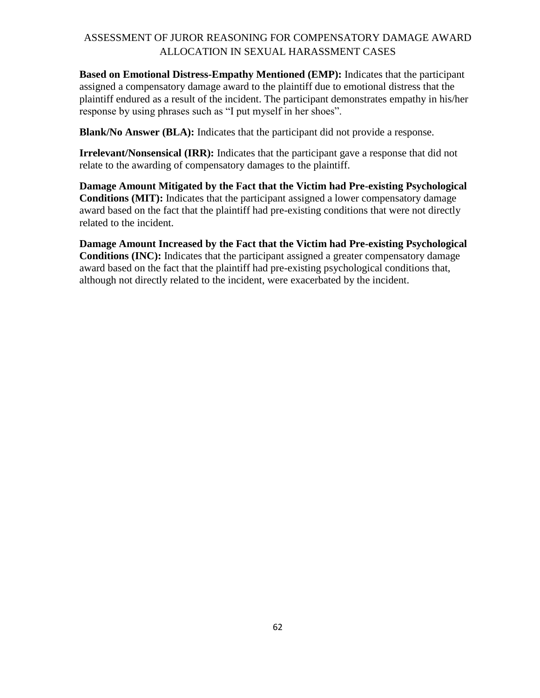**Based on Emotional Distress-Empathy Mentioned (EMP):** Indicates that the participant assigned a compensatory damage award to the plaintiff due to emotional distress that the plaintiff endured as a result of the incident. The participant demonstrates empathy in his/her response by using phrases such as "I put myself in her shoes".

**Blank/No Answer (BLA):** Indicates that the participant did not provide a response.

**Irrelevant/Nonsensical (IRR):** Indicates that the participant gave a response that did not relate to the awarding of compensatory damages to the plaintiff.

**Damage Amount Mitigated by the Fact that the Victim had Pre-existing Psychological Conditions (MIT):** Indicates that the participant assigned a lower compensatory damage award based on the fact that the plaintiff had pre-existing conditions that were not directly related to the incident.

**Damage Amount Increased by the Fact that the Victim had Pre-existing Psychological Conditions (INC):** Indicates that the participant assigned a greater compensatory damage award based on the fact that the plaintiff had pre-existing psychological conditions that, although not directly related to the incident, were exacerbated by the incident.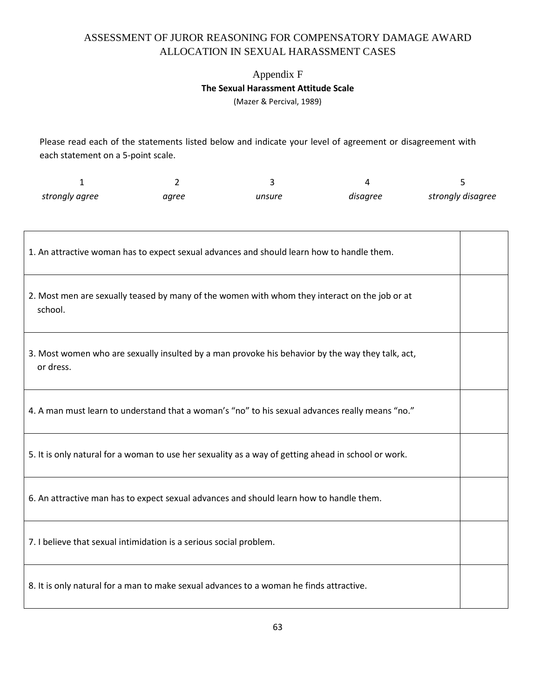# Appendix F **The Sexual Harassment Attitude Scale**

(Mazer & Percival, 1989)

Please read each of the statements listed below and indicate your level of agreement or disagreement with each statement on a 5-point scale.

| strongly agree | aaree | unsure | disagree | strongly disagree |
|----------------|-------|--------|----------|-------------------|

| 1. An attractive woman has to expect sexual advances and should learn how to handle them.                     |  |
|---------------------------------------------------------------------------------------------------------------|--|
| 2. Most men are sexually teased by many of the women with whom they interact on the job or at<br>school.      |  |
| 3. Most women who are sexually insulted by a man provoke his behavior by the way they talk, act,<br>or dress. |  |
| 4. A man must learn to understand that a woman's "no" to his sexual advances really means "no."               |  |
| 5. It is only natural for a woman to use her sexuality as a way of getting ahead in school or work.           |  |
| 6. An attractive man has to expect sexual advances and should learn how to handle them.                       |  |
| 7. I believe that sexual intimidation is a serious social problem.                                            |  |
| 8. It is only natural for a man to make sexual advances to a woman he finds attractive.                       |  |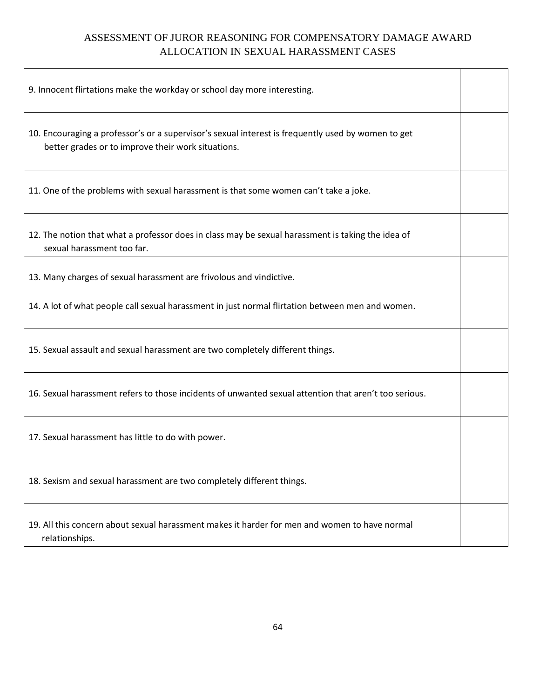| 9. Innocent flirtations make the workday or school day more interesting.                                                                                 |  |
|----------------------------------------------------------------------------------------------------------------------------------------------------------|--|
| 10. Encouraging a professor's or a supervisor's sexual interest is frequently used by women to get<br>better grades or to improve their work situations. |  |
| 11. One of the problems with sexual harassment is that some women can't take a joke.                                                                     |  |
| 12. The notion that what a professor does in class may be sexual harassment is taking the idea of<br>sexual harassment too far.                          |  |
| 13. Many charges of sexual harassment are frivolous and vindictive.                                                                                      |  |
| 14. A lot of what people call sexual harassment in just normal flirtation between men and women.                                                         |  |
| 15. Sexual assault and sexual harassment are two completely different things.                                                                            |  |
| 16. Sexual harassment refers to those incidents of unwanted sexual attention that aren't too serious.                                                    |  |
| 17. Sexual harassment has little to do with power.                                                                                                       |  |
| 18. Sexism and sexual harassment are two completely different things.                                                                                    |  |
| 19. All this concern about sexual harassment makes it harder for men and women to have normal<br>relationships.                                          |  |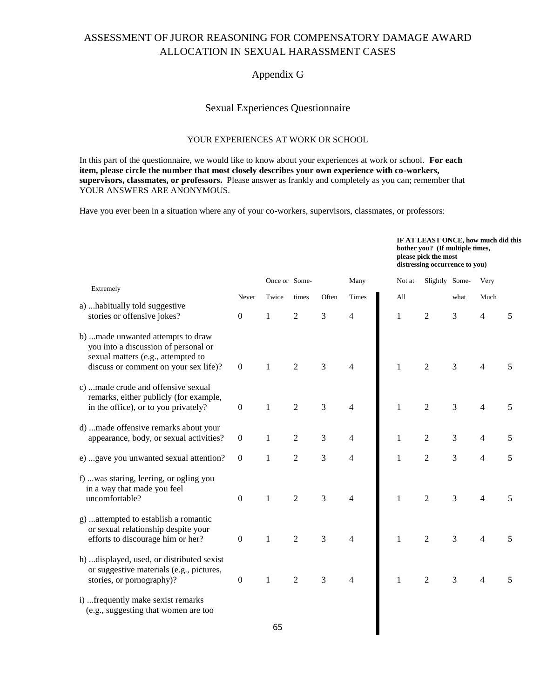#### Appendix G

### Sexual Experiences Questionnaire

#### YOUR EXPERIENCES AT WORK OR SCHOOL

In this part of the questionnaire, we would like to know about your experiences at work or school. **For each item, please circle the number that most closely describes your own experience with co-workers, supervisors, classmates, or professors.** Please answer as frankly and completely as you can; remember that YOUR ANSWERS ARE ANONYMOUS.

Have you ever been in a situation where any of your co-workers, supervisors, classmates, or professors:

|                                                                                                                                                          |                  |               |                |                |                | IF AT LEAST ONCE, how much did this<br>bother you? (If multiple times,<br>please pick the most<br>distressing occurrence to you) |                  |      |                |   |
|----------------------------------------------------------------------------------------------------------------------------------------------------------|------------------|---------------|----------------|----------------|----------------|----------------------------------------------------------------------------------------------------------------------------------|------------------|------|----------------|---|
| Extremely                                                                                                                                                |                  | Once or Some- |                |                | Many           | Not at                                                                                                                           | Slightly Some-   |      | Very           |   |
|                                                                                                                                                          | Never            | Twice         | times          | Often          | Times          | All                                                                                                                              |                  | what | Much           |   |
| a)  habitually told suggestive<br>stories or offensive jokes?                                                                                            | $\boldsymbol{0}$ | $\mathbf{1}$  | $\overline{2}$ | 3              | 4              | $\mathbf{1}$                                                                                                                     | $\boldsymbol{2}$ | 3    | 4              | 5 |
| b) made unwanted attempts to draw<br>you into a discussion of personal or<br>sexual matters (e.g., attempted to<br>discuss or comment on your sex life)? | $\boldsymbol{0}$ | 1             | $\overline{2}$ | 3              | 4              | $\mathbf{1}$                                                                                                                     | $\overline{2}$   | 3    | 4              | 5 |
| c) made crude and offensive sexual<br>remarks, either publicly (for example,<br>in the office), or to you privately?                                     | $\boldsymbol{0}$ | $\mathbf{1}$  | $\sqrt{2}$     | 3              | 4              | $\,1$                                                                                                                            | $\boldsymbol{2}$ | 3    | 4              | 5 |
| d) made offensive remarks about your<br>appearance, body, or sexual activities?                                                                          | $\boldsymbol{0}$ | 1             | $\sqrt{2}$     | 3              | 4              | $\,1\,$                                                                                                                          | $\mathbf{2}$     | 3    | 4              | 5 |
| e) gave you unwanted sexual attention?                                                                                                                   | $\boldsymbol{0}$ | 1             | $\overline{2}$ | 3              | $\overline{4}$ | $\mathbf{1}$                                                                                                                     | $\overline{2}$   | 3    | 4              | 5 |
| f) was staring, leering, or ogling you<br>in a way that made you feel<br>uncomfortable?                                                                  | $\boldsymbol{0}$ | 1             | $\overline{c}$ | 3              | $\overline{4}$ | $\mathbf{1}$                                                                                                                     | $\overline{2}$   | 3    | 4              | 5 |
| g)  attempted to establish a romantic<br>or sexual relationship despite your<br>efforts to discourage him or her?                                        | $\boldsymbol{0}$ | $\mathbf{1}$  | $\overline{2}$ | $\overline{3}$ | $\overline{4}$ | $\mathbf{1}$                                                                                                                     | $\overline{2}$   | 3    | 4              | 5 |
| h)  displayed, used, or distributed sexist<br>or suggestive materials (e.g., pictures,<br>stories, or pornography)?                                      | $\boldsymbol{0}$ | $\mathbf{1}$  | $\overline{2}$ | $\overline{3}$ | $\overline{4}$ | $\mathbf{1}$                                                                                                                     | $\overline{2}$   | 3    | $\overline{4}$ | 5 |
| i)  frequently make sexist remarks<br>(e.g., suggesting that women are too                                                                               |                  |               |                |                |                |                                                                                                                                  |                  |      |                |   |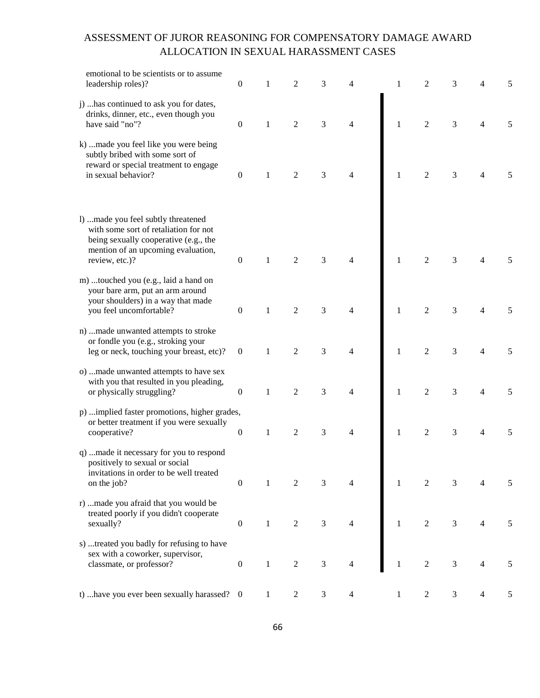| emotional to be scientists or to assume<br>leadership roles)?                                                                                                                 | $\boldsymbol{0}$ |              | 2              | 3                           | 4              | 1            | 2                | 3 | 4              | 5 |
|-------------------------------------------------------------------------------------------------------------------------------------------------------------------------------|------------------|--------------|----------------|-----------------------------|----------------|--------------|------------------|---|----------------|---|
| j)  has continued to ask you for dates,<br>drinks, dinner, etc., even though you<br>have said "no"?                                                                           | $\boldsymbol{0}$ | 1            | $\overline{2}$ | $\mathfrak{Z}$              | $\overline{4}$ | $\mathbf{1}$ | $\overline{2}$   | 3 | 4              |   |
| k) made you feel like you were being<br>subtly bribed with some sort of<br>reward or special treatment to engage<br>in sexual behavior?                                       | $\boldsymbol{0}$ | 1            | $\overline{2}$ | 3                           | 4              | $\mathbf{1}$ | $\sqrt{2}$       | 3 | 4              |   |
| 1)  made you feel subtly threatened<br>with some sort of retaliation for not<br>being sexually cooperative (e.g., the<br>mention of an upcoming evaluation,<br>review, etc.)? | $\boldsymbol{0}$ | 1            | $\overline{2}$ | $\mathfrak{Z}$              | 4              | $\mathbf{1}$ | $\boldsymbol{2}$ | 3 | 4              |   |
| m) touched you (e.g., laid a hand on<br>your bare arm, put an arm around<br>your shoulders) in a way that made<br>you feel uncomfortable?                                     | $\boldsymbol{0}$ | 1            | $\overline{2}$ | $\mathfrak{Z}$              | $\overline{4}$ | $\mathbf{1}$ | $\sqrt{2}$       | 3 | 4              | 5 |
| n) made unwanted attempts to stroke<br>or fondle you (e.g., stroking your<br>leg or neck, touching your breast, etc)?                                                         | $\boldsymbol{0}$ | 1            | $\overline{2}$ | 3                           | $\overline{4}$ | $\mathbf{1}$ | $\sqrt{2}$       | 3 | 4              | 5 |
| o) made unwanted attempts to have sex<br>with you that resulted in you pleading,<br>or physically struggling?                                                                 | $\boldsymbol{0}$ | $\mathbf{1}$ | $\overline{2}$ | $\mathfrak{Z}$              | $\overline{4}$ | $\,1$        | $\sqrt{2}$       | 3 | 4              |   |
| p) implied faster promotions, higher grades,<br>or better treatment if you were sexually<br>cooperative?                                                                      | $\boldsymbol{0}$ | $\mathbf{1}$ | $\overline{2}$ | $\mathfrak{Z}$              | $\overline{4}$ | $\mathbf{1}$ | $\overline{2}$   | 3 | 4              |   |
| q) made it necessary for you to respond<br>positively to sexual or social<br>invitations in order to be well treated<br>on the job?                                           | $\boldsymbol{0}$ | $\mathbf{1}$ | $\mathfrak{2}$ | $\mathfrak{Z}$              | $\overline{4}$ | $\mathbf{1}$ | $\overline{2}$   | 3 | 4              |   |
| r) made you afraid that you would be<br>treated poorly if you didn't cooperate<br>sexually?                                                                                   | $\boldsymbol{0}$ | $\mathbf{1}$ | $\overline{2}$ | $\mathfrak{Z}$              | $\overline{4}$ | $\mathbf{1}$ | $\sqrt{2}$       | 3 | 4              |   |
| s) treated you badly for refusing to have<br>sex with a coworker, supervisor,<br>classmate, or professor?                                                                     | $\boldsymbol{0}$ | $\mathbf{1}$ | $\sqrt{2}$     | $\ensuremath{\mathfrak{Z}}$ | 4              | $\mathbf{1}$ | $\sqrt{2}$       | 3 | $\overline{4}$ | 5 |
| t)  have you ever been sexually harassed? 0                                                                                                                                   |                  | $\mathbf{1}$ | $\overline{c}$ | 3                           | 4              | $\mathbf{1}$ | $\overline{c}$   | 3 | 4              | 5 |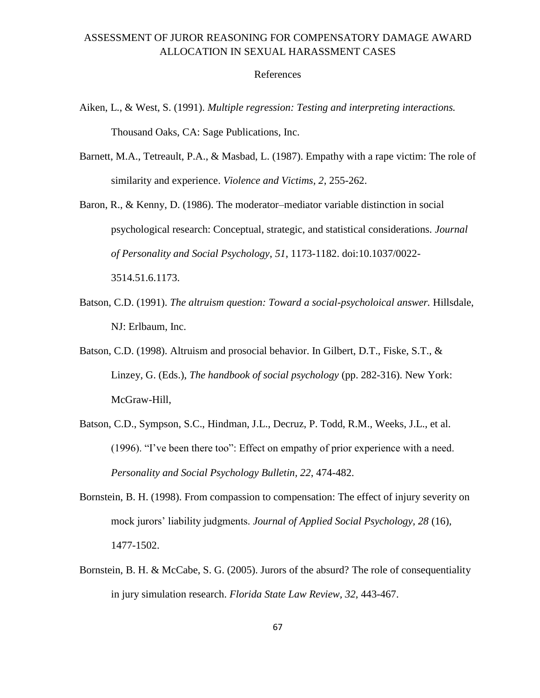#### References

- Aiken, L., & West, S. (1991). *Multiple regression: Testing and interpreting interactions.*  Thousand Oaks, CA: Sage Publications, Inc.
- Barnett, M.A., Tetreault, P.A., & Masbad, L. (1987). Empathy with a rape victim: The role of similarity and experience. *Violence and Victims, 2*, 255-262.
- Baron, R., & Kenny, D. (1986). The moderator–mediator variable distinction in social psychological research: Conceptual, strategic, and statistical considerations. *Journal of Personality and Social Psychology*, *51*, 1173-1182. doi:10.1037/0022- 3514.51.6.1173.
- Batson, C.D. (1991). *The altruism question: Toward a social-psycholoical answer*. Hillsdale, NJ: Erlbaum, Inc.
- Batson, C.D. (1998). Altruism and prosocial behavior. In Gilbert, D.T., Fiske, S.T., & Linzey, G. (Eds.), *The handbook of social psychology* (pp. 282-316). New York: McGraw-Hill,
- Batson, C.D., Sympson, S.C., Hindman, J.L., Decruz, P. Todd, R.M., Weeks, J.L., et al. (1996). "I've been there too": Effect on empathy of prior experience with a need. *Personality and Social Psychology Bulletin, 22*, 474-482.
- Bornstein, B. H. (1998). From compassion to compensation: The effect of injury severity on mock jurors' liability judgments. *Journal of Applied Social Psychology, 28* (16), 1477-1502.
- Bornstein, B. H. & McCabe, S. G. (2005). Jurors of the absurd? The role of consequentiality in jury simulation research. *Florida State Law Review, 32,* 443-467.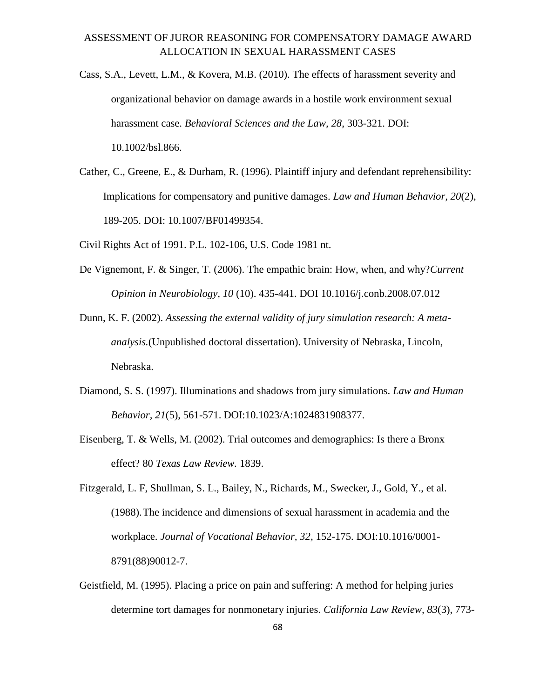- Cass, S.A., Levett, L.M., & Kovera, M.B. (2010). The effects of harassment severity and organizational behavior on damage awards in a hostile work environment sexual harassment case. *Behavioral Sciences and the Law, 28*, 303-321. DOI: 10.1002/bsl.866.
- Cather, C., Greene, E., & Durham, R. (1996). Plaintiff injury and defendant reprehensibility: Implications for compensatory and punitive damages. *Law and Human Behavior, 20*(2), 189-205. DOI: 10.1007/BF01499354.

Civil Rights Act of 1991. P.L. 102-106, U.S. Code 1981 nt.

- De Vignemont, F. & Singer, T. (2006). The empathic brain: How, when, and why?*Current Opinion in Neurobiology, 10* (10). 435-441. DOI 10.1016/j.conb.2008.07.012
- Dunn, K. F. (2002). *Assessing the external validity of jury simulation research: A metaanalysis.*(Unpublished doctoral dissertation). University of Nebraska, Lincoln, Nebraska.
- Diamond, S. S. (1997). Illuminations and shadows from jury simulations. *Law and Human Behavior, 21*(5), 561-571. DOI:10.1023/A:1024831908377.
- Eisenberg, T. & Wells, M. (2002). Trial outcomes and demographics: Is there a Bronx effect? 80 *Texas Law Review.* 1839.

Fitzgerald, L. F, Shullman, S. L., Bailey, N., Richards, M., Swecker, J., Gold, Y., et al. (1988).The incidence and dimensions of sexual harassment in academia and the workplace. *Journal of Vocational Behavior, 32,* 152-175. DOI:10.1016/0001- 8791(88)90012-7.

Geistfield, M. (1995). Placing a price on pain and suffering: A method for helping juries determine tort damages for nonmonetary injuries. *California Law Review, 83*(3), 773-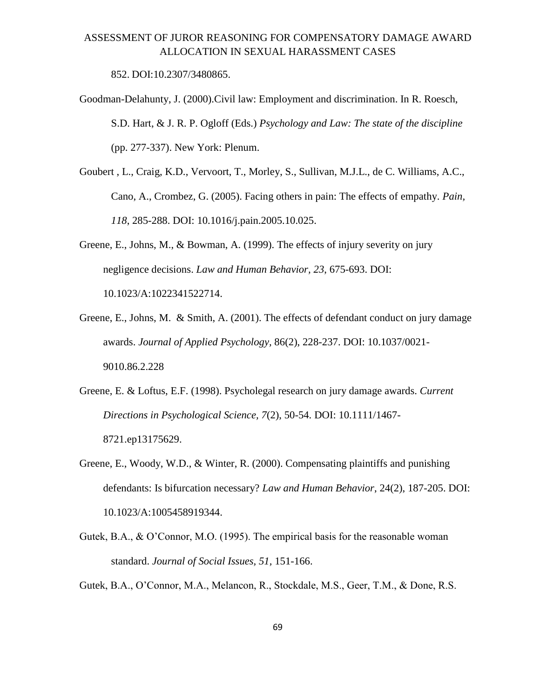852. DOI:10.2307/3480865.

- Goodman-Delahunty, J. (2000).Civil law: Employment and discrimination. In R. Roesch, S.D. Hart, & J. R. P. Ogloff (Eds.) *Psychology and Law: The state of the discipline*  (pp. 277-337). New York: Plenum.
- Goubert , L., Craig, K.D., Vervoort, T., Morley, S., Sullivan, M.J.L., de C. Williams, A.C., Cano, A., Crombez, G. (2005). Facing others in pain: The effects of empathy. *Pain, 118*, 285-288. DOI: 10.1016/j.pain.2005.10.025.
- Greene, E., Johns, M., & Bowman, A. (1999). The effects of injury severity on jury negligence decisions. *Law and Human Behavior, 23*, 675-693. DOI: 10.1023/A:1022341522714.
- Greene, E., Johns, M. & Smith, A. (2001). The effects of defendant conduct on jury damage awards. *Journal of Applied Psychology,* 86(2), 228-237. DOI: 10.1037/0021- 9010.86.2.228
- Greene, E. & Loftus, E.F. (1998). Psycholegal research on jury damage awards. *Current Directions in Psychological Science, 7*(2), 50-54. DOI: 10.1111/1467- 8721.ep13175629.
- Greene, E., Woody, W.D., & Winter, R. (2000). Compensating plaintiffs and punishing defendants: Is bifurcation necessary? *Law and Human Behavior*, 24(2), 187-205. DOI: 10.1023/A:1005458919344.
- Gutek, B.A., & O'Connor, M.O. (1995). The empirical basis for the reasonable woman standard. *Journal of Social Issues, 51,* 151-166.
- Gutek, B.A., O'Connor, M.A., Melancon, R., Stockdale, M.S., Geer, T.M., & Done, R.S.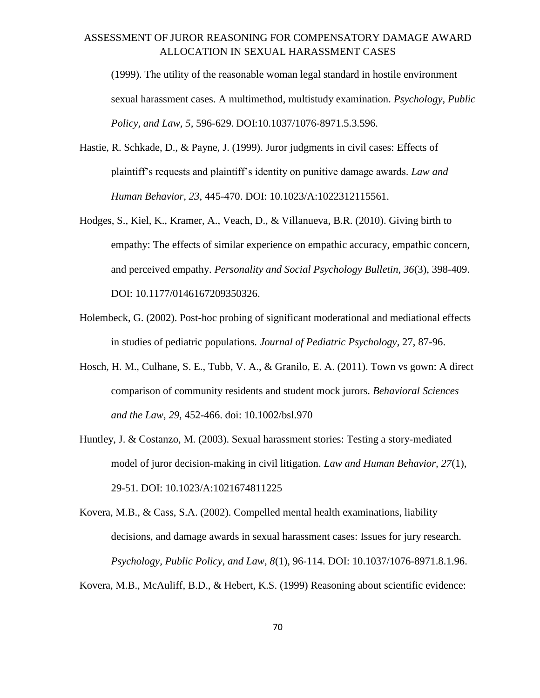(1999). The utility of the reasonable woman legal standard in hostile environment sexual harassment cases. A multimethod, multistudy examination. *Psychology, Public Policy, and Law, 5,* 596-629. [DOI:10.1037/1076-8971.5.3.596.](http://dx.doi.org/10.1037%2F1076-8971.5.3.596)

- Hastie, R. Schkade, D., & Payne, J. (1999). Juror judgments in civil cases: Effects of plaintiff's requests and plaintiff's identity on punitive damage awards. *Law and Human Behavior, 23*, 445-470. DOI: 10.1023/A:1022312115561.
- Hodges, S., Kiel, K., Kramer, A., Veach, D., & Villanueva, B.R. (2010). Giving birth to empathy: The effects of similar experience on empathic accuracy, empathic concern, and perceived empathy. *Personality and Social Psychology Bulletin, 36*(3), 398-409. DOI: 10.1177/0146167209350326.
- Holembeck, G. (2002). Post-hoc probing of significant moderational and mediational effects in studies of pediatric populations*. Journal of Pediatric Psychology,* 27, 87-96.
- Hosch, H. M., Culhane, S. E., Tubb, V. A., & Granilo, E. A. (2011). Town vs gown: A direct comparison of community residents and student mock jurors. *Behavioral Sciences and the Law, 29,* 452-466. doi: 10.1002/bsl.970
- Huntley, J. & Costanzo, M. (2003). Sexual harassment stories: Testing a story-mediated model of juror decision-making in civil litigation. *Law and Human Behavior, 27*(1), 29-51. DOI: 10.1023/A:1021674811225

Kovera, M.B., & Cass, S.A. (2002). Compelled mental health examinations, liability decisions, and damage awards in sexual harassment cases: Issues for jury research. *Psychology, Public Policy, and Law, 8*(1), 96-114. DOI: 10.1037/1076-8971.8.1.96.

Kovera, M.B., McAuliff, B.D., & Hebert, K.S. (1999) Reasoning about scientific evidence: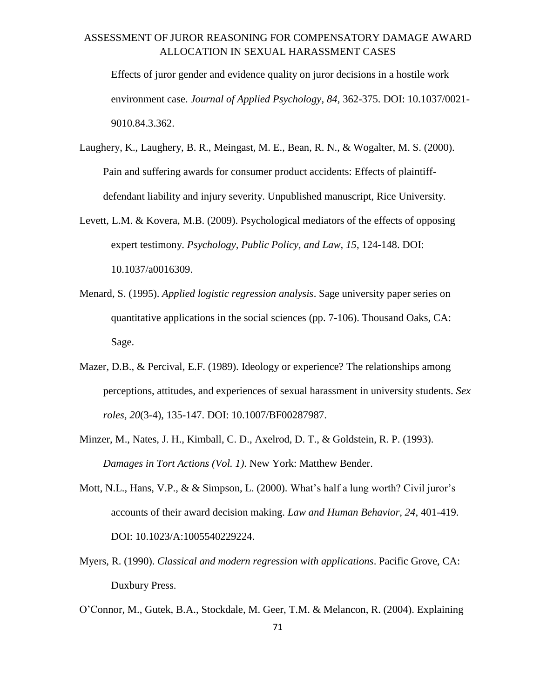Effects of juror gender and evidence quality on juror decisions in a hostile work environment case. *Journal of Applied Psychology, 84*, 362-375. DOI: 10.1037/0021- 9010.84.3.362.

- Laughery, K., Laughery, B. R., Meingast, M. E., Bean, R. N., & Wogalter, M. S. (2000). Pain and suffering awards for consumer product accidents: Effects of plaintiffdefendant liability and injury severity. Unpublished manuscript, Rice University.
- Levett, L.M. & Kovera, M.B. (2009). Psychological mediators of the effects of opposing expert testimony. *Psychology, Public Policy, and Law, 15*, 124-148. DOI: 10.1037/a0016309.
- Menard, S. (1995). *Applied logistic regression analysis*. Sage university paper series on quantitative applications in the social sciences (pp. 7-106). Thousand Oaks, CA: Sage.
- Mazer, D.B., & Percival, E.F. (1989). Ideology or experience? The relationships among perceptions, attitudes, and experiences of sexual harassment in university students. *Sex roles, 20*(3-4), 135-147. DOI: 10.1007/BF00287987.
- Minzer, M., Nates, J. H., Kimball, C. D., Axelrod, D. T., & Goldstein, R. P. (1993). *Damages in Tort Actions (Vol. 1)*. New York: Matthew Bender.
- Mott, N.L., Hans, V.P., & & Simpson, L. (2000). What's half a lung worth? Civil juror's accounts of their award decision making. *Law and Human Behavior, 24*, 401-419. DOI: 10.1023/A:1005540229224.
- Myers, R. (1990). *Classical and modern regression with applications*. Pacific Grove, CA: Duxbury Press.
- O'Connor, M., Gutek, B.A., Stockdale, M. Geer, T.M. & Melancon, R. (2004). Explaining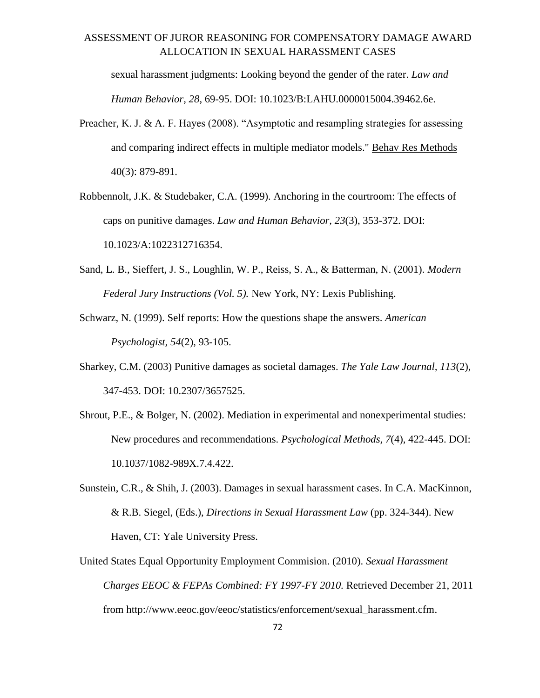sexual harassment judgments: Looking beyond the gender of the rater. *Law and Human Behavior, 28*, 69-95. DOI: 10.1023/B:LAHU.0000015004.39462.6e.

- Preacher, K. J. & A. F. Hayes (2008). "Asymptotic and resampling strategies for assessing and comparing indirect effects in multiple mediator models." Behav Res Methods 40(3): 879-891.
- Robbennolt, J.K. & Studebaker, C.A. (1999). Anchoring in the courtroom: The effects of caps on punitive damages. *Law and Human Behavior, 23*(3), 353-372. DOI: 10.1023/A:1022312716354.
- Sand, L. B., Sieffert, J. S., Loughlin, W. P., Reiss, S. A., & Batterman, N. (2001). *Modern Federal Jury Instructions (Vol. 5).* New York, NY: Lexis Publishing.
- Schwarz, N. (1999). Self reports: How the questions shape the answers. *American Psychologist, 54*(2), 93-105.
- Sharkey, C.M. (2003) Punitive damages as societal damages. *The Yale Law Journal, 113*(2), 347-453. DOI: 10.2307/3657525.
- Shrout, P.E., & Bolger, N. (2002). Mediation in experimental and nonexperimental studies: New procedures and recommendations. *Psychological Methods, 7*(4), 422-445. DOI: 10.1037/1082-989X.7.4.422.
- Sunstein, C.R., & Shih, J. (2003). Damages in sexual harassment cases. In C.A. MacKinnon, & R.B. Siegel, (Eds.), *Directions in Sexual Harassment Law* (pp. 324-344). New Haven, CT: Yale University Press.
- United States Equal Opportunity Employment Commision. (2010). *Sexual Harassment Charges EEOC & FEPAs Combined: FY 1997-FY 2010.* Retrieved December 21, 2011 from http://www.eeoc.gov/eeoc/statistics/enforcement/sexual\_harassment.cfm.